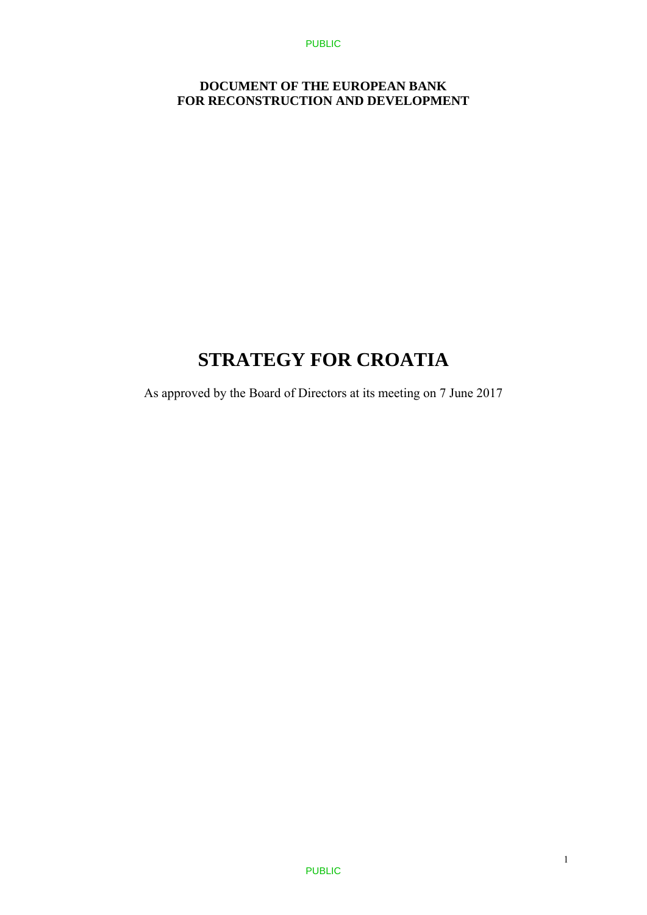### **DOCUMENT OF THE EUROPEAN BANK FOR RECONSTRUCTION AND DEVELOPMENT**

# **STRATEGY FOR CROATIA**

As approved by the Board of Directors at its meeting on 7 June 2017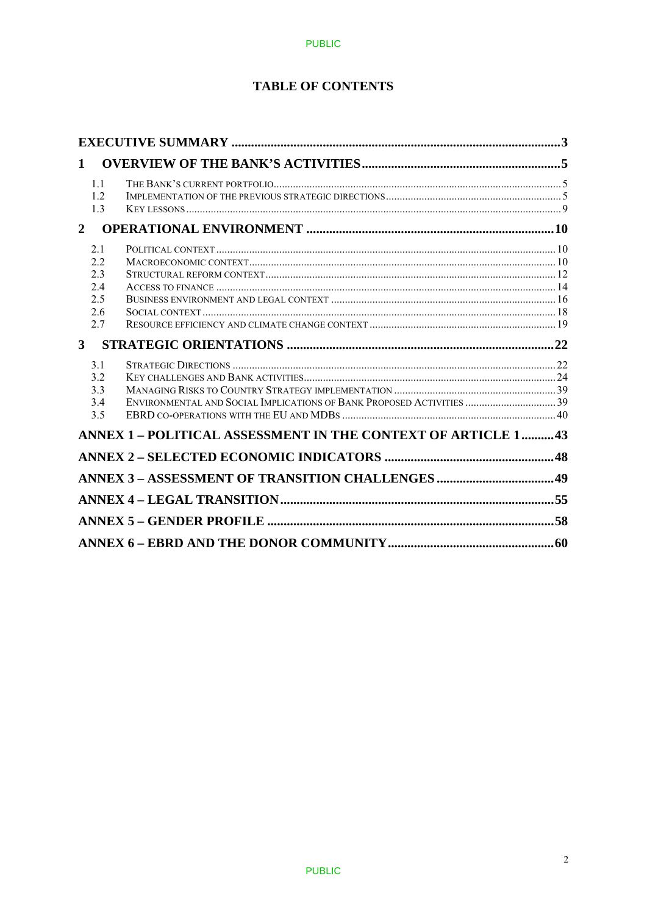# **TABLE OF CONTENTS**

| 1                                            |                                                                       |  |
|----------------------------------------------|-----------------------------------------------------------------------|--|
| 1.1<br>1.2<br>13                             |                                                                       |  |
| $\overline{2}$                               |                                                                       |  |
| 2.1<br>22<br>2.3<br>2.4<br>2.5<br>2.6<br>2.7 |                                                                       |  |
| $\mathbf{3}$                                 |                                                                       |  |
| 3.1<br>3.2<br>3.3<br>3.4<br>3.5              | ENVIRONMENTAL AND SOCIAL IMPLICATIONS OF BANK PROPOSED ACTIVITIES  39 |  |
|                                              | ANNEX 1 - POLITICAL ASSESSMENT IN THE CONTEXT OF ARTICLE 1 43         |  |
|                                              |                                                                       |  |
|                                              |                                                                       |  |
|                                              |                                                                       |  |
|                                              |                                                                       |  |
|                                              |                                                                       |  |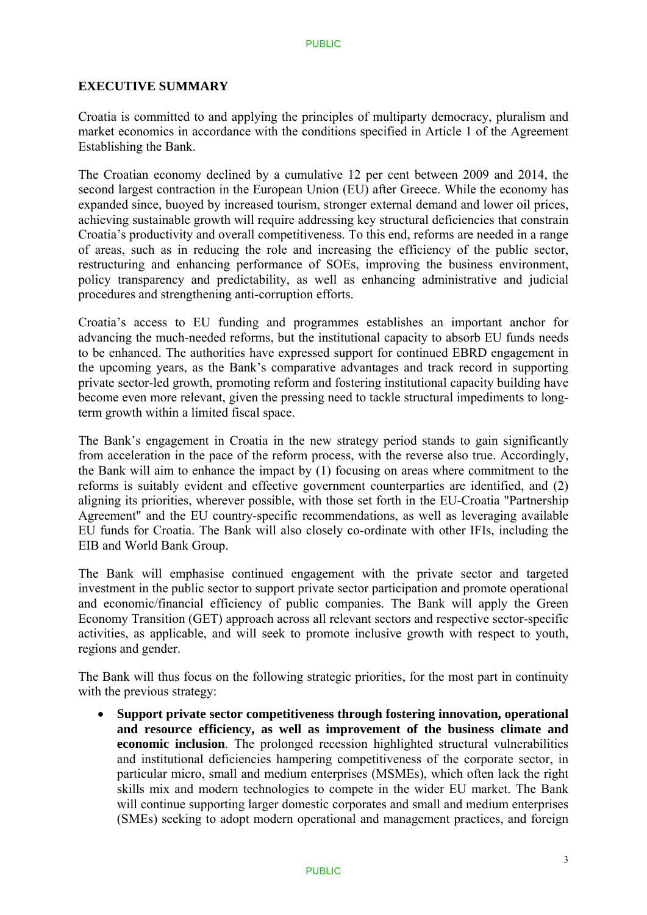### **EXECUTIVE SUMMARY**

Croatia is committed to and applying the principles of multiparty democracy, pluralism and market economics in accordance with the conditions specified in Article 1 of the Agreement Establishing the Bank.

The Croatian economy declined by a cumulative 12 per cent between 2009 and 2014, the second largest contraction in the European Union (EU) after Greece. While the economy has expanded since, buoyed by increased tourism, stronger external demand and lower oil prices, achieving sustainable growth will require addressing key structural deficiencies that constrain Croatia's productivity and overall competitiveness. To this end, reforms are needed in a range of areas, such as in reducing the role and increasing the efficiency of the public sector, restructuring and enhancing performance of SOEs, improving the business environment, policy transparency and predictability, as well as enhancing administrative and judicial procedures and strengthening anti-corruption efforts.

Croatia's access to EU funding and programmes establishes an important anchor for advancing the much-needed reforms, but the institutional capacity to absorb EU funds needs to be enhanced. The authorities have expressed support for continued EBRD engagement in the upcoming years, as the Bank's comparative advantages and track record in supporting private sector-led growth, promoting reform and fostering institutional capacity building have become even more relevant, given the pressing need to tackle structural impediments to longterm growth within a limited fiscal space.

The Bank's engagement in Croatia in the new strategy period stands to gain significantly from acceleration in the pace of the reform process, with the reverse also true. Accordingly, the Bank will aim to enhance the impact by (1) focusing on areas where commitment to the reforms is suitably evident and effective government counterparties are identified, and (2) aligning its priorities, wherever possible, with those set forth in the EU-Croatia "Partnership Agreement" and the EU country-specific recommendations, as well as leveraging available EU funds for Croatia. The Bank will also closely co-ordinate with other IFIs, including the EIB and World Bank Group.

The Bank will emphasise continued engagement with the private sector and targeted investment in the public sector to support private sector participation and promote operational and economic/financial efficiency of public companies. The Bank will apply the Green Economy Transition (GET) approach across all relevant sectors and respective sector-specific activities, as applicable, and will seek to promote inclusive growth with respect to youth, regions and gender.

The Bank will thus focus on the following strategic priorities, for the most part in continuity with the previous strategy:

 **Support private sector competitiveness through fostering innovation, operational and resource efficiency, as well as improvement of the business climate and economic inclusion**. The prolonged recession highlighted structural vulnerabilities and institutional deficiencies hampering competitiveness of the corporate sector, in particular micro, small and medium enterprises (MSMEs), which often lack the right skills mix and modern technologies to compete in the wider EU market. The Bank will continue supporting larger domestic corporates and small and medium enterprises (SMEs) seeking to adopt modern operational and management practices, and foreign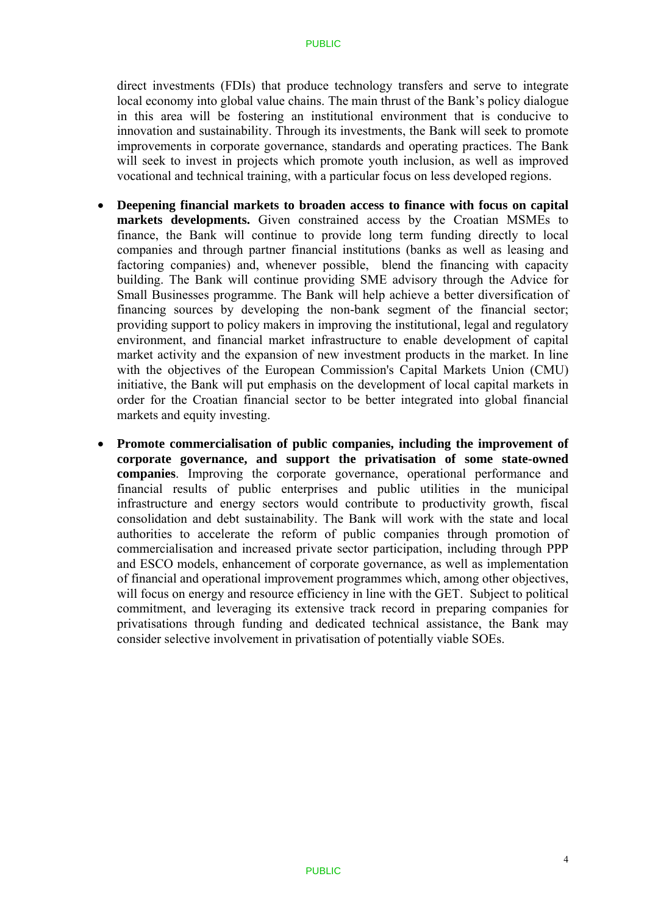direct investments (FDIs) that produce technology transfers and serve to integrate local economy into global value chains. The main thrust of the Bank's policy dialogue in this area will be fostering an institutional environment that is conducive to innovation and sustainability. Through its investments, the Bank will seek to promote improvements in corporate governance, standards and operating practices. The Bank will seek to invest in projects which promote youth inclusion, as well as improved vocational and technical training, with a particular focus on less developed regions.

- **Deepening financial markets to broaden access to finance with focus on capital markets developments.** Given constrained access by the Croatian MSMEs to finance, the Bank will continue to provide long term funding directly to local companies and through partner financial institutions (banks as well as leasing and factoring companies) and, whenever possible, blend the financing with capacity building. The Bank will continue providing SME advisory through the Advice for Small Businesses programme. The Bank will help achieve a better diversification of financing sources by developing the non-bank segment of the financial sector; providing support to policy makers in improving the institutional, legal and regulatory environment, and financial market infrastructure to enable development of capital market activity and the expansion of new investment products in the market. In line with the objectives of the European Commission's Capital Markets Union (CMU) initiative, the Bank will put emphasis on the development of local capital markets in order for the Croatian financial sector to be better integrated into global financial markets and equity investing.
- **Promote commercialisation of public companies, including the improvement of corporate governance, and support the privatisation of some state-owned companies**. Improving the corporate governance, operational performance and financial results of public enterprises and public utilities in the municipal infrastructure and energy sectors would contribute to productivity growth, fiscal consolidation and debt sustainability. The Bank will work with the state and local authorities to accelerate the reform of public companies through promotion of commercialisation and increased private sector participation, including through PPP and ESCO models, enhancement of corporate governance, as well as implementation of financial and operational improvement programmes which, among other objectives, will focus on energy and resource efficiency in line with the GET. Subject to political commitment, and leveraging its extensive track record in preparing companies for privatisations through funding and dedicated technical assistance, the Bank may consider selective involvement in privatisation of potentially viable SOEs.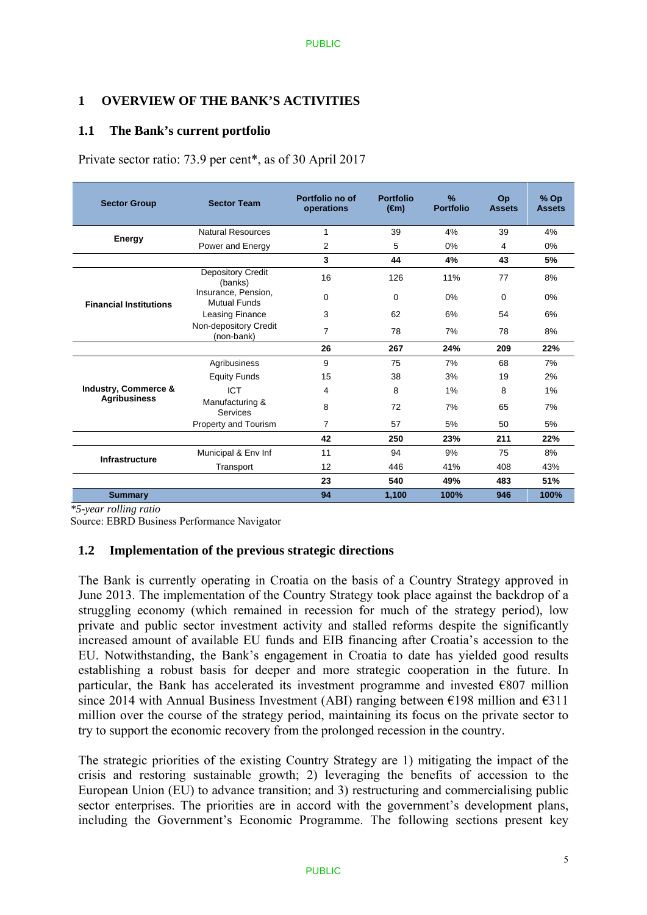### **1 OVERVIEW OF THE BANK'S ACTIVITIES**

### **1.1 The Bank's current portfolio**

Private sector ratio: 73.9 per cent\*, as of 30 April 2017

| <b>Sector Group</b>             | <b>Sector Team</b>                         | Portfolio no of<br>operations | <b>Portfolio</b><br>$(\oplus n)$ | $\frac{9}{6}$<br><b>Portfolio</b> | Op<br><b>Assets</b> | $%$ Op<br><b>Assets</b> |
|---------------------------------|--------------------------------------------|-------------------------------|----------------------------------|-----------------------------------|---------------------|-------------------------|
| Energy                          | <b>Natural Resources</b>                   | 1                             | 39                               | 4%                                | 39                  | 4%                      |
|                                 | Power and Energy                           | 2                             | 5                                | 0%                                | 4                   | 0%                      |
|                                 |                                            | 3                             | 44                               | 4%                                | 43                  | 5%                      |
|                                 | <b>Depository Credit</b><br>(banks)        | 16                            | 126                              | 11%                               | 77                  | 8%                      |
| <b>Financial Institutions</b>   | Insurance, Pension,<br><b>Mutual Funds</b> | 0                             | 0                                | 0%                                | 0                   | 0%                      |
|                                 | Leasing Finance                            | 3                             | 62                               | 6%                                | 54                  | 6%                      |
|                                 | Non-depository Credit<br>(non-bank)        | $\overline{7}$                | 78                               | 7%                                | 78                  | 8%                      |
|                                 |                                            | 26                            | 267                              | 24%                               | 209                 | 22%                     |
|                                 | Agribusiness                               | 9                             | 75                               | 7%                                | 68                  | 7%                      |
|                                 | <b>Equity Funds</b>                        | 15                            | 38                               | 3%                                | 19                  | 2%                      |
| <b>Industry, Commerce &amp;</b> | <b>ICT</b>                                 | 4                             | 8                                | 1%                                | 8                   | 1%                      |
| <b>Agribusiness</b>             | Manufacturing &<br>Services                | 8                             | 72                               | 7%                                | 65                  | 7%                      |
|                                 | Property and Tourism                       | 7                             | 57                               | 5%                                | 50                  | 5%                      |
|                                 |                                            | 42                            | 250                              | 23%                               | 211                 | 22%                     |
|                                 | Municipal & Env Inf                        | 11                            | 94                               | 9%                                | 75                  | 8%                      |
| <b>Infrastructure</b>           | Transport                                  | 12                            | 446                              | 41%                               | 408                 | 43%                     |
|                                 |                                            | 23                            | 540                              | 49%                               | 483                 | 51%                     |
| <b>Summary</b>                  |                                            | 94                            | 1,100                            | 100%                              | 946                 | 100%                    |

*\*5-year rolling ratio* 

Source: EBRD Business Performance Navigator

### **1.2 Implementation of the previous strategic directions**

The Bank is currently operating in Croatia on the basis of a Country Strategy approved in June 2013. The implementation of the Country Strategy took place against the backdrop of a struggling economy (which remained in recession for much of the strategy period), low private and public sector investment activity and stalled reforms despite the significantly increased amount of available EU funds and EIB financing after Croatia's accession to the EU. Notwithstanding, the Bank's engagement in Croatia to date has yielded good results establishing a robust basis for deeper and more strategic cooperation in the future. In particular, the Bank has accelerated its investment programme and invested  $\epsilon$ 807 million since 2014 with Annual Business Investment (ABI) ranging between  $\epsilon$ 198 million and  $\epsilon$ 311 million over the course of the strategy period, maintaining its focus on the private sector to try to support the economic recovery from the prolonged recession in the country.

The strategic priorities of the existing Country Strategy are 1) mitigating the impact of the crisis and restoring sustainable growth; 2) leveraging the benefits of accession to the European Union (EU) to advance transition; and 3) restructuring and commercialising public sector enterprises. The priorities are in accord with the government's development plans, including the Government's Economic Programme. The following sections present key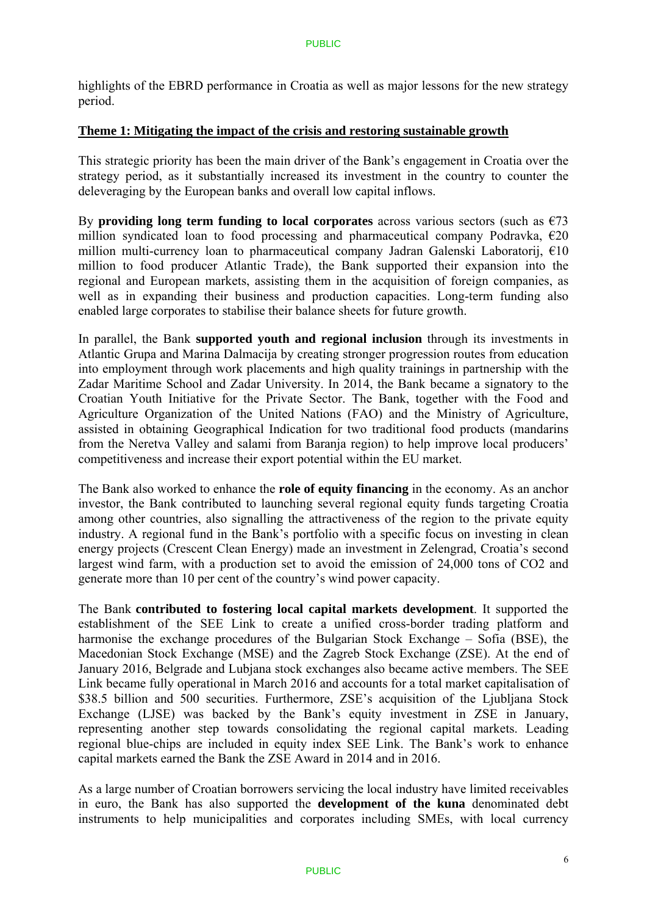highlights of the EBRD performance in Croatia as well as major lessons for the new strategy period.

#### **Theme 1: Mitigating the impact of the crisis and restoring sustainable growth**

This strategic priority has been the main driver of the Bank's engagement in Croatia over the strategy period, as it substantially increased its investment in the country to counter the deleveraging by the European banks and overall low capital inflows.

By **providing long term funding to local corporates** across various sectors (such as  $\epsilon$ 73) million syndicated loan to food processing and pharmaceutical company Podravka,  $\epsilon$ 20 million multi-currency loan to pharmaceutical company Jadran Galenski Laboratorij, €10 million to food producer Atlantic Trade), the Bank supported their expansion into the regional and European markets, assisting them in the acquisition of foreign companies, as well as in expanding their business and production capacities. Long-term funding also enabled large corporates to stabilise their balance sheets for future growth.

In parallel, the Bank **supported youth and regional inclusion** through its investments in Atlantic Grupa and Marina Dalmacija by creating stronger progression routes from education into employment through work placements and high quality trainings in partnership with the Zadar Maritime School and Zadar University. In 2014, the Bank became a signatory to the Croatian Youth Initiative for the Private Sector. The Bank, together with the Food and Agriculture Organization of the United Nations (FAO) and the Ministry of Agriculture, assisted in obtaining Geographical Indication for two traditional food products (mandarins from the Neretva Valley and salami from Baranja region) to help improve local producers' competitiveness and increase their export potential within the EU market.

The Bank also worked to enhance the **role of equity financing** in the economy. As an anchor investor, the Bank contributed to launching several regional equity funds targeting Croatia among other countries, also signalling the attractiveness of the region to the private equity industry. A regional fund in the Bank's portfolio with a specific focus on investing in clean energy projects (Crescent Clean Energy) made an investment in Zelengrad, Croatia's second largest wind farm, with a production set to avoid the emission of 24,000 tons of CO2 and generate more than 10 per cent of the country's wind power capacity.

The Bank **contributed to fostering local capital markets development**. It supported the establishment of the SEE Link to create a unified cross-border trading platform and harmonise the exchange procedures of the Bulgarian Stock Exchange – Sofia (BSE), the Macedonian Stock Exchange (MSE) and the Zagreb Stock Exchange (ZSE). At the end of January 2016, Belgrade and Lubjana stock exchanges also became active members. The SEE Link became fully operational in March 2016 and accounts for a total market capitalisation of \$38.5 billion and 500 securities. Furthermore, ZSE's acquisition of the Ljubliana Stock Exchange (LJSE) was backed by the Bank's equity investment in ZSE in January, representing another step towards consolidating the regional capital markets. Leading regional blue-chips are included in equity index SEE Link. The Bank's work to enhance capital markets earned the Bank the ZSE Award in 2014 and in 2016.

As a large number of Croatian borrowers servicing the local industry have limited receivables in euro, the Bank has also supported the **development of the kuna** denominated debt instruments to help municipalities and corporates including SMEs, with local currency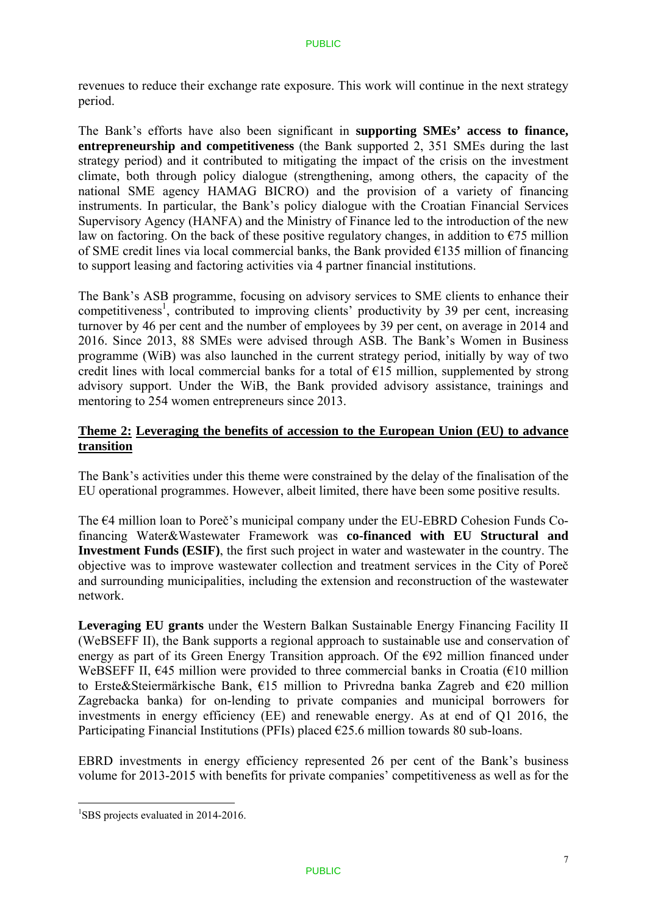revenues to reduce their exchange rate exposure. This work will continue in the next strategy period.

The Bank's efforts have also been significant in **supporting SMEs' access to finance, entrepreneurship and competitiveness** (the Bank supported 2, 351 SMEs during the last strategy period) and it contributed to mitigating the impact of the crisis on the investment climate, both through policy dialogue (strengthening, among others, the capacity of the national SME agency HAMAG BICRO) and the provision of a variety of financing instruments. In particular, the Bank's policy dialogue with the Croatian Financial Services Supervisory Agency (HANFA) and the Ministry of Finance led to the introduction of the new law on factoring. On the back of these positive regulatory changes, in addition to  $\epsilon$ 75 million of SME credit lines via local commercial banks, the Bank provided €135 million of financing to support leasing and factoring activities via 4 partner financial institutions.

The Bank's ASB programme, focusing on advisory services to SME clients to enhance their competitiveness<sup>1</sup>, contributed to improving clients' productivity by 39 per cent, increasing turnover by 46 per cent and the number of employees by 39 per cent, on average in 2014 and 2016. Since 2013, 88 SMEs were advised through ASB. The Bank's Women in Business programme (WiB) was also launched in the current strategy period, initially by way of two credit lines with local commercial banks for a total of  $E15$  million, supplemented by strong advisory support. Under the WiB, the Bank provided advisory assistance, trainings and mentoring to 254 women entrepreneurs since 2013.

### **Theme 2: Leveraging the benefits of accession to the European Union (EU) to advance transition**

The Bank's activities under this theme were constrained by the delay of the finalisation of the EU operational programmes. However, albeit limited, there have been some positive results.

The €4 million loan to Poreč's municipal company under the EU-EBRD Cohesion Funds Cofinancing Water&Wastewater Framework was **co-financed with EU Structural and Investment Funds (ESIF)**, the first such project in water and wastewater in the country. The objective was to improve wastewater collection and treatment services in the City of Poreč and surrounding municipalities, including the extension and reconstruction of the wastewater network.

**Leveraging EU grants** under the Western Balkan Sustainable Energy Financing Facility II (WeBSEFF II), the Bank supports a regional approach to sustainable use and conservation of energy as part of its Green Energy Transition approach. Of the €92 million financed under WeBSEFF II,  $\epsilon$ 45 million were provided to three commercial banks in Croatia ( $\epsilon$ 10 million to Erste&Steiermärkische Bank, €15 million to Privredna banka Zagreb and €20 million Zagrebacka banka) for on-lending to private companies and municipal borrowers for investments in energy efficiency (EE) and renewable energy. As at end of Q1 2016, the Participating Financial Institutions (PFIs) placed  $\epsilon$ 25.6 million towards 80 sub-loans.

EBRD investments in energy efficiency represented 26 per cent of the Bank's business volume for 2013-2015 with benefits for private companies' competitiveness as well as for the

<u>.</u>

<sup>&</sup>lt;sup>1</sup>SBS projects evaluated in 2014-2016.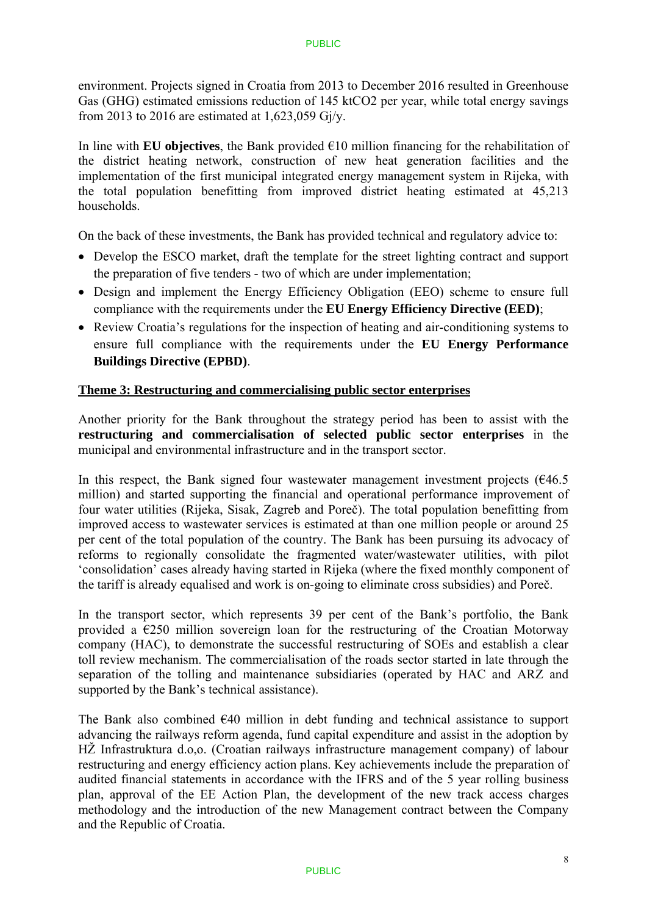environment. Projects signed in Croatia from 2013 to December 2016 resulted in Greenhouse Gas (GHG) estimated emissions reduction of 145 ktCO2 per year, while total energy savings from 2013 to 2016 are estimated at 1,623,059 Gj/y.

In line with **EU objectives**, the Bank provided  $\epsilon$ 10 million financing for the rehabilitation of the district heating network, construction of new heat generation facilities and the implementation of the first municipal integrated energy management system in Rijeka, with the total population benefitting from improved district heating estimated at 45,213 households.

On the back of these investments, the Bank has provided technical and regulatory advice to:

- Develop the ESCO market, draft the template for the street lighting contract and support the preparation of five tenders - two of which are under implementation;
- Design and implement the Energy Efficiency Obligation (EEO) scheme to ensure full compliance with the requirements under the **EU Energy Efficiency Directive (EED)**;
- Review Croatia's regulations for the inspection of heating and air-conditioning systems to ensure full compliance with the requirements under the **EU Energy Performance Buildings Directive (EPBD)**.

### **Theme 3: Restructuring and commercialising public sector enterprises**

Another priority for the Bank throughout the strategy period has been to assist with the **restructuring and commercialisation of selected public sector enterprises** in the municipal and environmental infrastructure and in the transport sector.

In this respect, the Bank signed four wastewater management investment projects  $(646.5$ million) and started supporting the financial and operational performance improvement of four water utilities (Rijeka, Sisak, Zagreb and Poreč). The total population benefitting from improved access to wastewater services is estimated at than one million people or around 25 per cent of the total population of the country. The Bank has been pursuing its advocacy of reforms to regionally consolidate the fragmented water/wastewater utilities, with pilot 'consolidation' cases already having started in Rijeka (where the fixed monthly component of the tariff is already equalised and work is on-going to eliminate cross subsidies) and Poreč.

In the transport sector, which represents 39 per cent of the Bank's portfolio, the Bank provided a  $E$ 250 million sovereign loan for the restructuring of the Croatian Motorway company (HAC), to demonstrate the successful restructuring of SOEs and establish a clear toll review mechanism. The commercialisation of the roads sector started in late through the separation of the tolling and maintenance subsidiaries (operated by HAC and ARZ and supported by the Bank's technical assistance).

The Bank also combined €40 million in debt funding and technical assistance to support advancing the railways reform agenda, fund capital expenditure and assist in the adoption by HŽ Infrastruktura d.o,o. (Croatian railways infrastructure management company) of labour restructuring and energy efficiency action plans. Key achievements include the preparation of audited financial statements in accordance with the IFRS and of the 5 year rolling business plan, approval of the EE Action Plan, the development of the new track access charges methodology and the introduction of the new Management contract between the Company and the Republic of Croatia.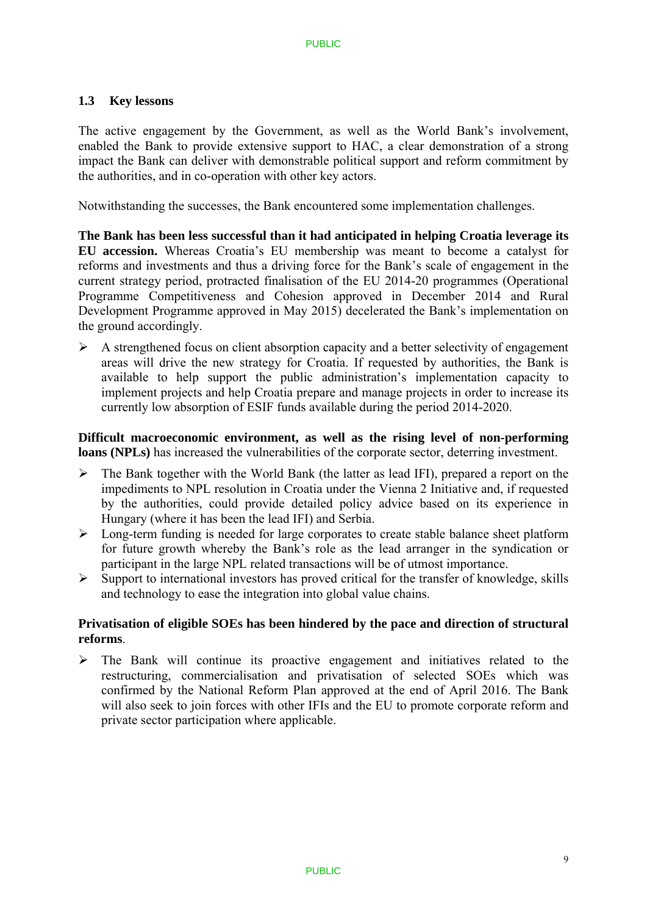### **1.3 Key lessons**

The active engagement by the Government, as well as the World Bank's involvement, enabled the Bank to provide extensive support to HAC, a clear demonstration of a strong impact the Bank can deliver with demonstrable political support and reform commitment by the authorities, and in co-operation with other key actors.

Notwithstanding the successes, the Bank encountered some implementation challenges.

**The Bank has been less successful than it had anticipated in helping Croatia leverage its EU accession.** Whereas Croatia's EU membership was meant to become a catalyst for reforms and investments and thus a driving force for the Bank's scale of engagement in the current strategy period, protracted finalisation of the EU 2014-20 programmes (Operational Programme Competitiveness and Cohesion approved in December 2014 and Rural Development Programme approved in May 2015) decelerated the Bank's implementation on the ground accordingly.

 $\triangleright$  A strengthened focus on client absorption capacity and a better selectivity of engagement areas will drive the new strategy for Croatia. If requested by authorities, the Bank is available to help support the public administration's implementation capacity to implement projects and help Croatia prepare and manage projects in order to increase its currently low absorption of ESIF funds available during the period 2014-2020.

**Difficult macroeconomic environment, as well as the rising level of non-performing loans (NPLs)** has increased the vulnerabilities of the corporate sector, deterring investment.

- $\triangleright$  The Bank together with the World Bank (the latter as lead IFI), prepared a report on the impediments to NPL resolution in Croatia under the Vienna 2 Initiative and, if requested by the authorities, could provide detailed policy advice based on its experience in Hungary (where it has been the lead IFI) and Serbia.
- $\triangleright$  Long-term funding is needed for large corporates to create stable balance sheet platform for future growth whereby the Bank's role as the lead arranger in the syndication or participant in the large NPL related transactions will be of utmost importance.
- $\triangleright$  Support to international investors has proved critical for the transfer of knowledge, skills and technology to ease the integration into global value chains.

### **Privatisation of eligible SOEs has been hindered by the pace and direction of structural reforms**.

 $\triangleright$  The Bank will continue its proactive engagement and initiatives related to the restructuring, commercialisation and privatisation of selected SOEs which was confirmed by the National Reform Plan approved at the end of April 2016. The Bank will also seek to join forces with other IFIs and the EU to promote corporate reform and private sector participation where applicable.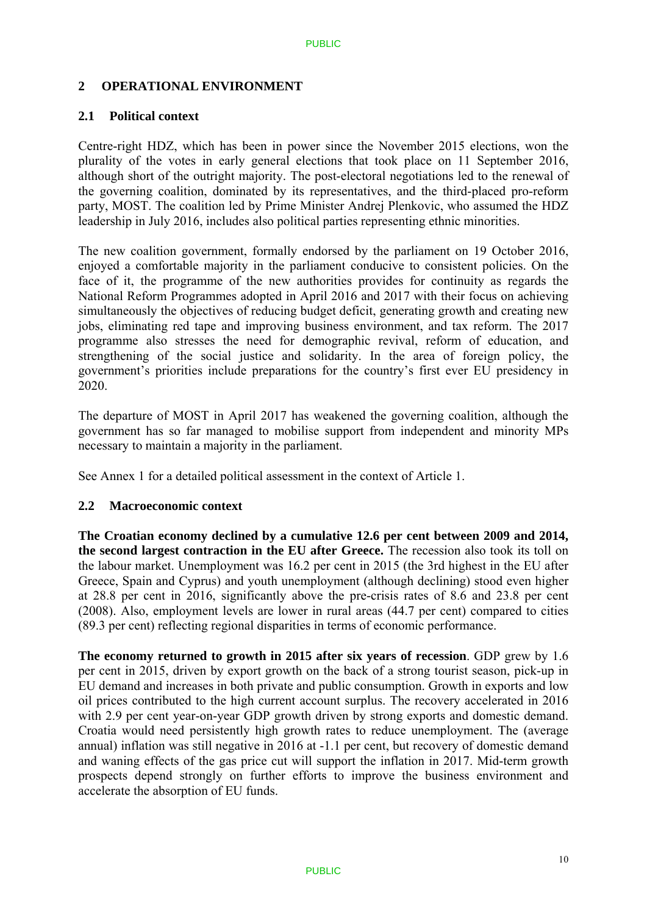### **2 OPERATIONAL ENVIRONMENT**

### **2.1 Political context**

Centre-right HDZ, which has been in power since the November 2015 elections, won the plurality of the votes in early general elections that took place on 11 September 2016, although short of the outright majority. The post-electoral negotiations led to the renewal of the governing coalition, dominated by its representatives, and the third-placed pro-reform party, MOST. The coalition led by Prime Minister Andrej Plenkovic, who assumed the HDZ leadership in July 2016, includes also political parties representing ethnic minorities.

The new coalition government, formally endorsed by the parliament on 19 October 2016, enjoyed a comfortable majority in the parliament conducive to consistent policies. On the face of it, the programme of the new authorities provides for continuity as regards the National Reform Programmes adopted in April 2016 and 2017 with their focus on achieving simultaneously the objectives of reducing budget deficit, generating growth and creating new jobs, eliminating red tape and improving business environment, and tax reform. The 2017 programme also stresses the need for demographic revival, reform of education, and strengthening of the social justice and solidarity. In the area of foreign policy, the government's priorities include preparations for the country's first ever EU presidency in 2020.

The departure of MOST in April 2017 has weakened the governing coalition, although the government has so far managed to mobilise support from independent and minority MPs necessary to maintain a majority in the parliament.

See Annex 1 for a detailed political assessment in the context of Article 1.

### **2.2 Macroeconomic context**

**The Croatian economy declined by a cumulative 12.6 per cent between 2009 and 2014, the second largest contraction in the EU after Greece.** The recession also took its toll on the labour market. Unemployment was 16.2 per cent in 2015 (the 3rd highest in the EU after Greece, Spain and Cyprus) and youth unemployment (although declining) stood even higher at 28.8 per cent in 2016, significantly above the pre-crisis rates of 8.6 and 23.8 per cent (2008). Also, employment levels are lower in rural areas (44.7 per cent) compared to cities (89.3 per cent) reflecting regional disparities in terms of economic performance.

**The economy returned to growth in 2015 after six years of recession**. GDP grew by 1.6 per cent in 2015, driven by export growth on the back of a strong tourist season, pick-up in EU demand and increases in both private and public consumption. Growth in exports and low oil prices contributed to the high current account surplus. The recovery accelerated in 2016 with 2.9 per cent year-on-year GDP growth driven by strong exports and domestic demand. Croatia would need persistently high growth rates to reduce unemployment. The (average annual) inflation was still negative in 2016 at -1.1 per cent, but recovery of domestic demand and waning effects of the gas price cut will support the inflation in 2017. Mid-term growth prospects depend strongly on further efforts to improve the business environment and accelerate the absorption of EU funds.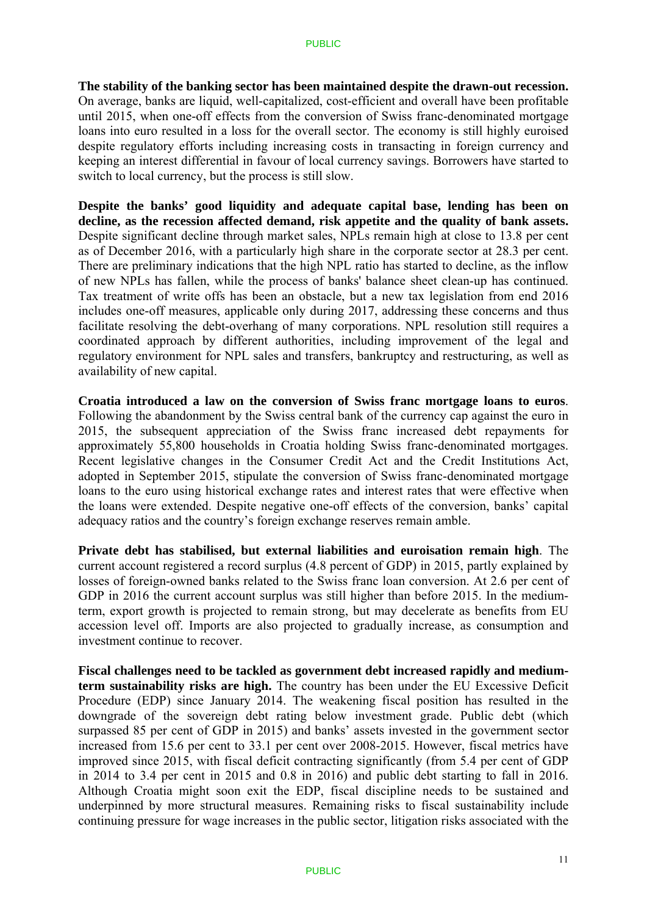**The stability of the banking sector has been maintained despite the drawn-out recession.**  On average, banks are liquid, well-capitalized, cost-efficient and overall have been profitable until 2015, when one-off effects from the conversion of Swiss franc-denominated mortgage loans into euro resulted in a loss for the overall sector. The economy is still highly euroised despite regulatory efforts including increasing costs in transacting in foreign currency and keeping an interest differential in favour of local currency savings. Borrowers have started to switch to local currency, but the process is still slow.

**Despite the banks' good liquidity and adequate capital base, lending has been on decline, as the recession affected demand, risk appetite and the quality of bank assets.** Despite significant decline through market sales, NPLs remain high at close to 13.8 per cent as of December 2016, with a particularly high share in the corporate sector at 28.3 per cent. There are preliminary indications that the high NPL ratio has started to decline, as the inflow of new NPLs has fallen, while the process of banks' balance sheet clean-up has continued. Tax treatment of write offs has been an obstacle, but a new tax legislation from end 2016 includes one-off measures, applicable only during 2017, addressing these concerns and thus facilitate resolving the debt-overhang of many corporations. NPL resolution still requires a coordinated approach by different authorities, including improvement of the legal and regulatory environment for NPL sales and transfers, bankruptcy and restructuring, as well as availability of new capital.

**Croatia introduced a law on the conversion of Swiss franc mortgage loans to euros**. Following the abandonment by the Swiss central bank of the currency cap against the euro in 2015, the subsequent appreciation of the Swiss franc increased debt repayments for approximately 55,800 households in Croatia holding Swiss franc-denominated mortgages. Recent legislative changes in the Consumer Credit Act and the Credit Institutions Act, adopted in September 2015, stipulate the conversion of Swiss franc-denominated mortgage loans to the euro using historical exchange rates and interest rates that were effective when the loans were extended. Despite negative one-off effects of the conversion, banks' capital adequacy ratios and the country's foreign exchange reserves remain amble.

**Private debt has stabilised, but external liabilities and euroisation remain high**. The current account registered a record surplus (4.8 percent of GDP) in 2015, partly explained by losses of foreign-owned banks related to the Swiss franc loan conversion. At 2.6 per cent of GDP in 2016 the current account surplus was still higher than before 2015. In the mediumterm, export growth is projected to remain strong, but may decelerate as benefits from EU accession level off. Imports are also projected to gradually increase, as consumption and investment continue to recover.

**Fiscal challenges need to be tackled as government debt increased rapidly and mediumterm sustainability risks are high.** The country has been under the EU Excessive Deficit Procedure (EDP) since January 2014. The weakening fiscal position has resulted in the downgrade of the sovereign debt rating below investment grade. Public debt (which surpassed 85 per cent of GDP in 2015) and banks' assets invested in the government sector increased from 15.6 per cent to 33.1 per cent over 2008-2015. However, fiscal metrics have improved since 2015, with fiscal deficit contracting significantly (from 5.4 per cent of GDP in 2014 to 3.4 per cent in 2015 and 0.8 in 2016) and public debt starting to fall in 2016. Although Croatia might soon exit the EDP, fiscal discipline needs to be sustained and underpinned by more structural measures. Remaining risks to fiscal sustainability include continuing pressure for wage increases in the public sector, litigation risks associated with the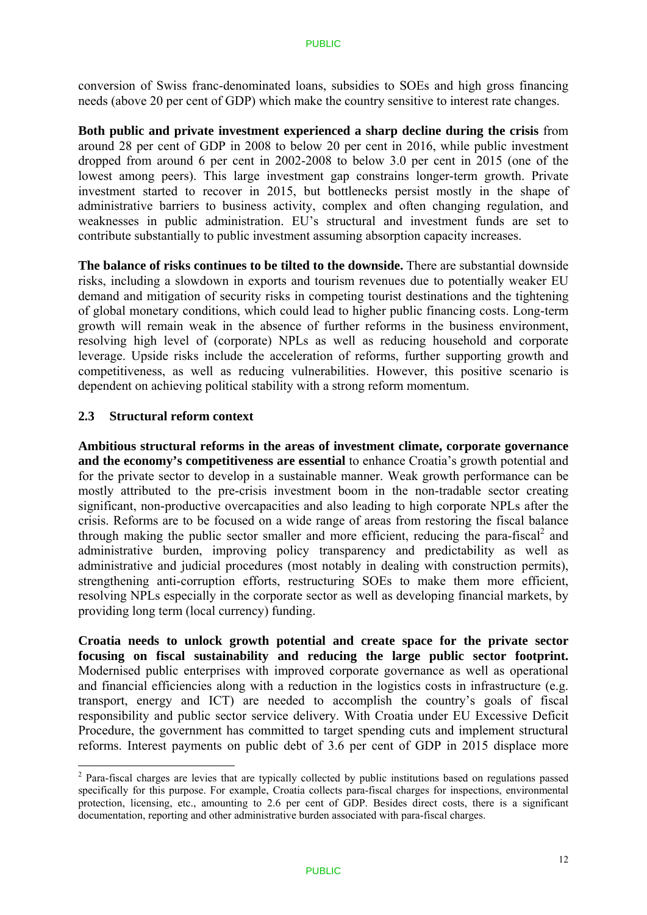conversion of Swiss franc-denominated loans, subsidies to SOEs and high gross financing needs (above 20 per cent of GDP) which make the country sensitive to interest rate changes.

**Both public and private investment experienced a sharp decline during the crisis** from around 28 per cent of GDP in 2008 to below 20 per cent in 2016, while public investment dropped from around 6 per cent in 2002-2008 to below 3.0 per cent in 2015 (one of the lowest among peers). This large investment gap constrains longer-term growth. Private investment started to recover in 2015, but bottlenecks persist mostly in the shape of administrative barriers to business activity, complex and often changing regulation, and weaknesses in public administration. EU's structural and investment funds are set to contribute substantially to public investment assuming absorption capacity increases.

**The balance of risks continues to be tilted to the downside.** There are substantial downside risks, including a slowdown in exports and tourism revenues due to potentially weaker EU demand and mitigation of security risks in competing tourist destinations and the tightening of global monetary conditions, which could lead to higher public financing costs. Long-term growth will remain weak in the absence of further reforms in the business environment, resolving high level of (corporate) NPLs as well as reducing household and corporate leverage. Upside risks include the acceleration of reforms, further supporting growth and competitiveness, as well as reducing vulnerabilities. However, this positive scenario is dependent on achieving political stability with a strong reform momentum.

### **2.3 Structural reform context**

<u>.</u>

**Ambitious structural reforms in the areas of investment climate, corporate governance and the economy's competitiveness are essential** to enhance Croatia's growth potential and for the private sector to develop in a sustainable manner. Weak growth performance can be mostly attributed to the pre-crisis investment boom in the non-tradable sector creating significant, non-productive overcapacities and also leading to high corporate NPLs after the crisis. Reforms are to be focused on a wide range of areas from restoring the fiscal balance through making the public sector smaller and more efficient, reducing the para-fiscal<sup>2</sup> and administrative burden, improving policy transparency and predictability as well as administrative and judicial procedures (most notably in dealing with construction permits), strengthening anti-corruption efforts, restructuring SOEs to make them more efficient, resolving NPLs especially in the corporate sector as well as developing financial markets, by providing long term (local currency) funding.

**Croatia needs to unlock growth potential and create space for the private sector focusing on fiscal sustainability and reducing the large public sector footprint.**  Modernised public enterprises with improved corporate governance as well as operational and financial efficiencies along with a reduction in the logistics costs in infrastructure (e.g. transport, energy and ICT) are needed to accomplish the country's goals of fiscal responsibility and public sector service delivery. With Croatia under EU Excessive Deficit Procedure, the government has committed to target spending cuts and implement structural reforms. Interest payments on public debt of 3.6 per cent of GDP in 2015 displace more

 $2$  Para-fiscal charges are levies that are typically collected by public institutions based on regulations passed specifically for this purpose. For example, Croatia collects para-fiscal charges for inspections, environmental protection, licensing, etc., amounting to 2.6 per cent of GDP. Besides direct costs, there is a significant documentation, reporting and other administrative burden associated with para-fiscal charges.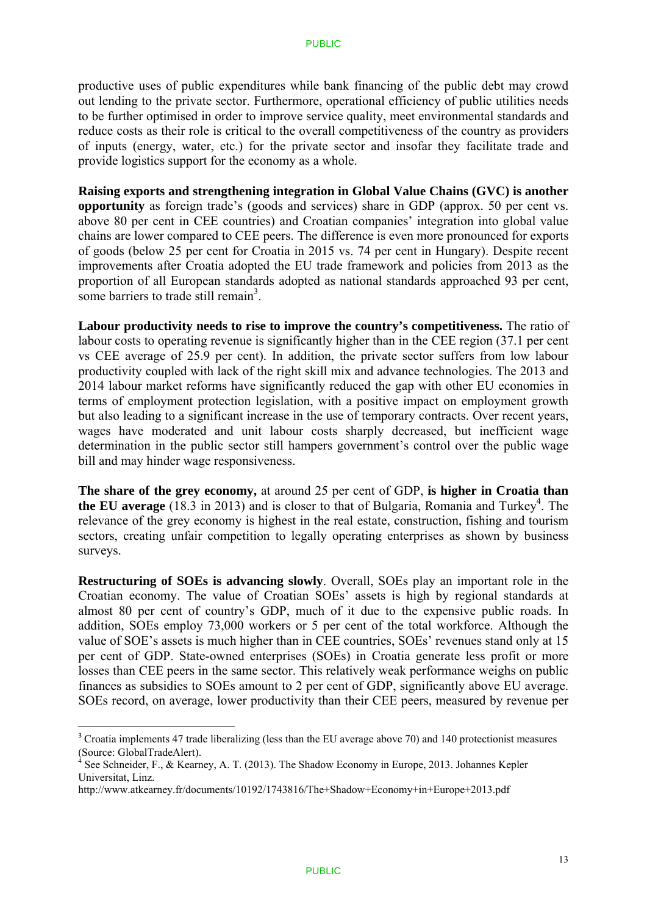productive uses of public expenditures while bank financing of the public debt may crowd out lending to the private sector. Furthermore, operational efficiency of public utilities needs to be further optimised in order to improve service quality, meet environmental standards and reduce costs as their role is critical to the overall competitiveness of the country as providers of inputs (energy, water, etc.) for the private sector and insofar they facilitate trade and provide logistics support for the economy as a whole.

**Raising exports and strengthening integration in Global Value Chains (GVC) is another opportunity** as foreign trade's (goods and services) share in GDP (approx. 50 per cent vs. above 80 per cent in CEE countries) and Croatian companies' integration into global value chains are lower compared to CEE peers. The difference is even more pronounced for exports of goods (below 25 per cent for Croatia in 2015 vs. 74 per cent in Hungary). Despite recent improvements after Croatia adopted the EU trade framework and policies from 2013 as the proportion of all European standards adopted as national standards approached 93 per cent, some barriers to trade still remain<sup>3</sup>.

**Labour productivity needs to rise to improve the country's competitiveness.** The ratio of labour costs to operating revenue is significantly higher than in the CEE region (37.1 per cent vs CEE average of 25.9 per cent). In addition, the private sector suffers from low labour productivity coupled with lack of the right skill mix and advance technologies. The 2013 and 2014 labour market reforms have significantly reduced the gap with other EU economies in terms of employment protection legislation, with a positive impact on employment growth but also leading to a significant increase in the use of temporary contracts. Over recent years, wages have moderated and unit labour costs sharply decreased, but inefficient wage determination in the public sector still hampers government's control over the public wage bill and may hinder wage responsiveness.

**The share of the grey economy,** at around 25 per cent of GDP, **is higher in Croatia than**  the EU average  $(18.3 \text{ in } 2013)$  and is closer to that of Bulgaria, Romania and Turkey<sup>4</sup>. The relevance of the grey economy is highest in the real estate, construction, fishing and tourism sectors, creating unfair competition to legally operating enterprises as shown by business surveys.

**Restructuring of SOEs is advancing slowly**. Overall, SOEs play an important role in the Croatian economy. The value of Croatian SOEs' assets is high by regional standards at almost 80 per cent of country's GDP, much of it due to the expensive public roads. In addition, SOEs employ 73,000 workers or 5 per cent of the total workforce. Although the value of SOE's assets is much higher than in CEE countries, SOEs' revenues stand only at 15 per cent of GDP. State-owned enterprises (SOEs) in Croatia generate less profit or more losses than CEE peers in the same sector. This relatively weak performance weighs on public finances as subsidies to SOEs amount to 2 per cent of GDP, significantly above EU average. SOEs record, on average, lower productivity than their CEE peers, measured by revenue per

1

<sup>&</sup>lt;sup>3</sup> Croatia implements 47 trade liberalizing (less than the EU average above 70) and 140 protectionist measures (Source: GlobalTradeAlert).

See Schneider, F., & Kearney, A. T. (2013). The Shadow Economy in Europe, 2013. Johannes Kepler Universitat, Linz.

http://www.atkearney.fr/documents/10192/1743816/The+Shadow+Economy+in+Europe+2013.pdf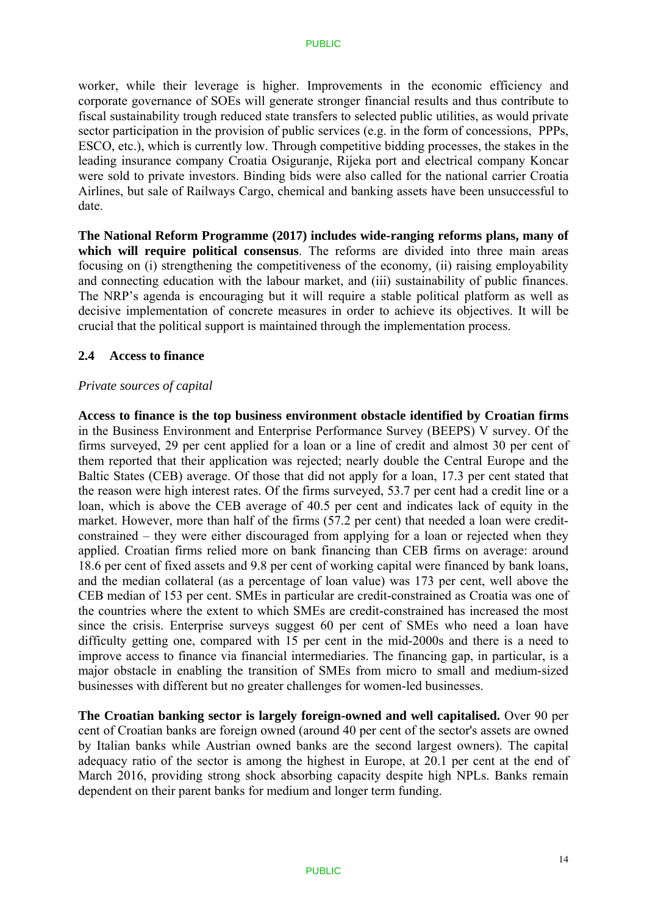worker, while their leverage is higher. Improvements in the economic efficiency and corporate governance of SOEs will generate stronger financial results and thus contribute to fiscal sustainability trough reduced state transfers to selected public utilities, as would private sector participation in the provision of public services (e.g. in the form of concessions, PPPs, ESCO, etc.), which is currently low. Through competitive bidding processes, the stakes in the leading insurance company Croatia Osiguranje, Rijeka port and electrical company Koncar were sold to private investors. Binding bids were also called for the national carrier Croatia Airlines, but sale of Railways Cargo, chemical and banking assets have been unsuccessful to date.

**The National Reform Programme (2017) includes wide-ranging reforms plans, many of**  which will require political consensus. The reforms are divided into three main areas focusing on (i) strengthening the competitiveness of the economy, (ii) raising employability and connecting education with the labour market, and (iii) sustainability of public finances. The NRP's agenda is encouraging but it will require a stable political platform as well as decisive implementation of concrete measures in order to achieve its objectives. It will be crucial that the political support is maintained through the implementation process.

#### **2.4 Access to finance**

#### *Private sources of capital*

**Access to finance is the top business environment obstacle identified by Croatian firms**  in the Business Environment and Enterprise Performance Survey (BEEPS) V survey. Of the firms surveyed, 29 per cent applied for a loan or a line of credit and almost 30 per cent of them reported that their application was rejected; nearly double the Central Europe and the Baltic States (CEB) average. Of those that did not apply for a loan, 17.3 per cent stated that the reason were high interest rates. Of the firms surveyed, 53.7 per cent had a credit line or a loan, which is above the CEB average of 40.5 per cent and indicates lack of equity in the market. However, more than half of the firms (57.2 per cent) that needed a loan were creditconstrained – they were either discouraged from applying for a loan or rejected when they applied. Croatian firms relied more on bank financing than CEB firms on average: around 18.6 per cent of fixed assets and 9.8 per cent of working capital were financed by bank loans, and the median collateral (as a percentage of loan value) was 173 per cent, well above the CEB median of 153 per cent. SMEs in particular are credit-constrained as Croatia was one of the countries where the extent to which SMEs are credit-constrained has increased the most since the crisis. Enterprise surveys suggest 60 per cent of SMEs who need a loan have difficulty getting one, compared with 15 per cent in the mid-2000s and there is a need to improve access to finance via financial intermediaries. The financing gap, in particular, is a major obstacle in enabling the transition of SMEs from micro to small and medium-sized businesses with different but no greater challenges for women-led businesses.

**The Croatian banking sector is largely foreign-owned and well capitalised.** Over 90 per cent of Croatian banks are foreign owned (around 40 per cent of the sector's assets are owned by Italian banks while Austrian owned banks are the second largest owners). The capital adequacy ratio of the sector is among the highest in Europe, at 20.1 per cent at the end of March 2016, providing strong shock absorbing capacity despite high NPLs. Banks remain dependent on their parent banks for medium and longer term funding.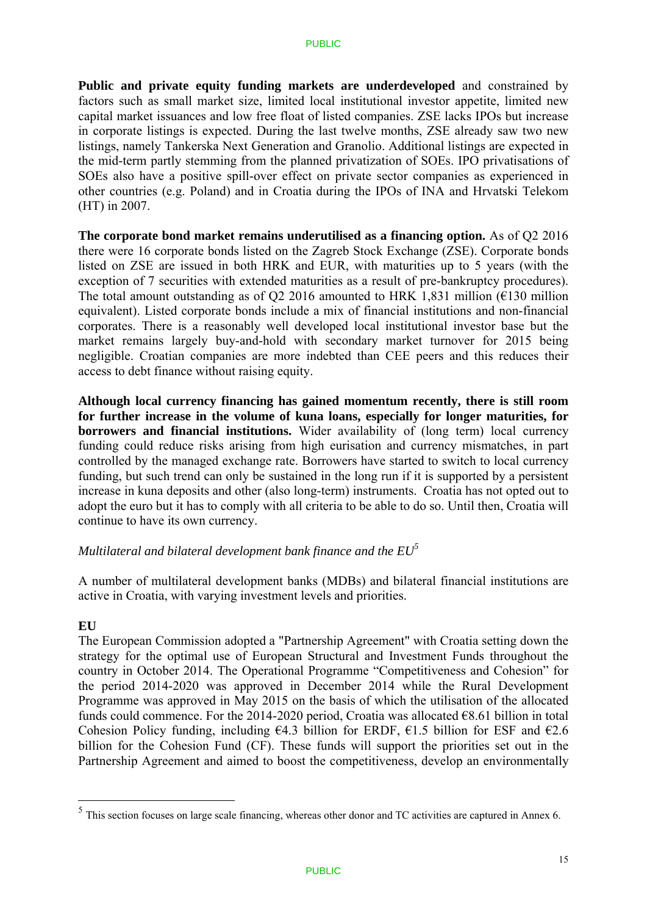**Public and private equity funding markets are underdeveloped** and constrained by factors such as small market size, limited local institutional investor appetite, limited new capital market issuances and low free float of listed companies. ZSE lacks IPOs but increase in corporate listings is expected. During the last twelve months, ZSE already saw two new listings, namely Tankerska Next Generation and Granolio. Additional listings are expected in the mid-term partly stemming from the planned privatization of SOEs. IPO privatisations of SOEs also have a positive spill-over effect on private sector companies as experienced in other countries (e.g. Poland) and in Croatia during the IPOs of INA and Hrvatski Telekom (HT) in 2007.

**The corporate bond market remains underutilised as a financing option.** As of Q2 2016 there were 16 corporate bonds listed on the Zagreb Stock Exchange (ZSE). Corporate bonds listed on ZSE are issued in both HRK and EUR, with maturities up to 5 years (with the exception of 7 securities with extended maturities as a result of pre-bankruptcy procedures). The total amount outstanding as of Q2 2016 amounted to HRK 1,831 million ( $\epsilon$ 130 million equivalent). Listed corporate bonds include a mix of financial institutions and non-financial corporates. There is a reasonably well developed local institutional investor base but the market remains largely buy-and-hold with secondary market turnover for 2015 being negligible. Croatian companies are more indebted than CEE peers and this reduces their access to debt finance without raising equity.

**Although local currency financing has gained momentum recently, there is still room for further increase in the volume of kuna loans, especially for longer maturities, for borrowers and financial institutions.** Wider availability of (long term) local currency funding could reduce risks arising from high eurisation and currency mismatches, in part controlled by the managed exchange rate. Borrowers have started to switch to local currency funding, but such trend can only be sustained in the long run if it is supported by a persistent increase in kuna deposits and other (also long-term) instruments. Croatia has not opted out to adopt the euro but it has to comply with all criteria to be able to do so. Until then, Croatia will continue to have its own currency.

### *Multilateral and bilateral development bank finance and the EU5*

A number of multilateral development banks (MDBs) and bilateral financial institutions are active in Croatia, with varying investment levels and priorities.

### **EU**

1

The European Commission adopted a "Partnership Agreement" with Croatia setting down the strategy for the optimal use of European Structural and Investment Funds throughout the country in October 2014. The Operational Programme "Competitiveness and Cohesion" for the period 2014-2020 was approved in December 2014 while the Rural Development Programme was approved in May 2015 on the basis of which the utilisation of the allocated funds could commence. For the 2014-2020 period, Croatia was allocated  $\epsilon$ 8.61 billion in total Cohesion Policy funding, including  $64.3$  billion for ERDF,  $61.5$  billion for ESF and  $62.6$ billion for the Cohesion Fund (CF). These funds will support the priorities set out in the Partnership Agreement and aimed to boost the competitiveness, develop an environmentally

 $<sup>5</sup>$  This section focuses on large scale financing, whereas other donor and TC activities are captured in Annex 6.</sup>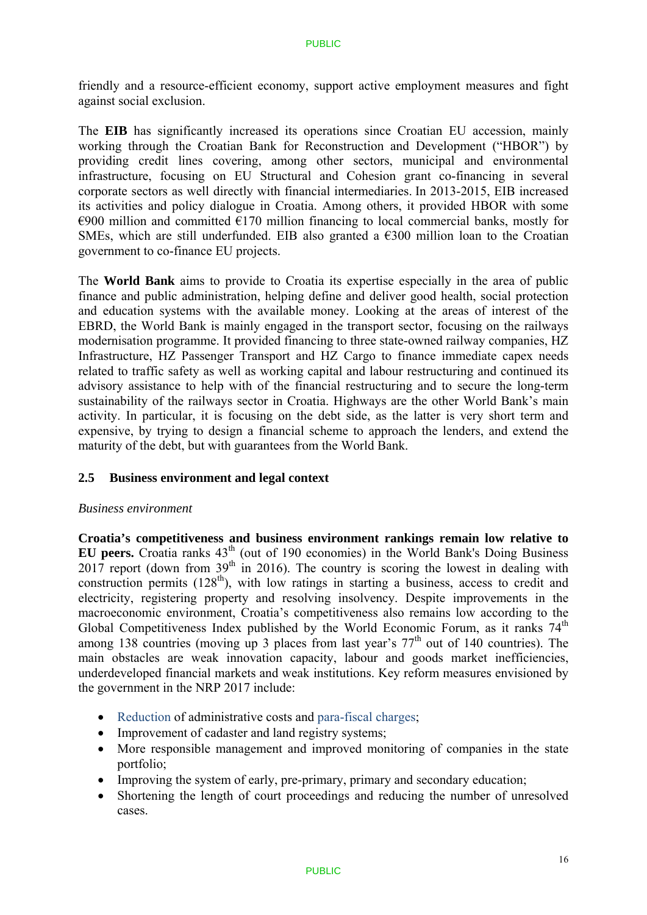friendly and a resource-efficient economy, support active employment measures and fight against social exclusion.

The **EIB** has significantly increased its operations since Croatian EU accession, mainly working through the Croatian Bank for Reconstruction and Development ("HBOR") by providing credit lines covering, among other sectors, municipal and environmental infrastructure, focusing on EU Structural and Cohesion grant co-financing in several corporate sectors as well directly with financial intermediaries. In 2013-2015, EIB increased its activities and policy dialogue in Croatia. Among others, it provided HBOR with some  $\epsilon$ 900 million and committed  $\epsilon$ 170 million financing to local commercial banks, mostly for SMEs, which are still underfunded. EIB also granted a  $\epsilon$ 300 million loan to the Croatian government to co-finance EU projects.

The **World Bank** aims to provide to Croatia its expertise especially in the area of public finance and public administration, helping define and deliver good health, social protection and education systems with the available money. Looking at the areas of interest of the EBRD, the World Bank is mainly engaged in the transport sector, focusing on the railways modernisation programme. It provided financing to three state-owned railway companies, HZ Infrastructure, HZ Passenger Transport and HZ Cargo to finance immediate capex needs related to traffic safety as well as working capital and labour restructuring and continued its advisory assistance to help with of the financial restructuring and to secure the long-term sustainability of the railways sector in Croatia. Highways are the other World Bank's main activity. In particular, it is focusing on the debt side, as the latter is very short term and expensive, by trying to design a financial scheme to approach the lenders, and extend the maturity of the debt, but with guarantees from the World Bank.

### **2.5 Business environment and legal context**

### *Business environment*

**Croatia's competitiveness and business environment rankings remain low relative to EU peers.** Croatia ranks  $43<sup>th</sup>$  (out of 190 economies) in the World Bank's Doing Business 2017 report (down from 39<sup>th</sup> in 2016). The country is scoring the lowest in dealing with construction permits  $(128<sup>th</sup>)$ , with low ratings in starting a business, access to credit and electricity, registering property and resolving insolvency. Despite improvements in the macroeconomic environment, Croatia's competitiveness also remains low according to the Global Competitiveness Index published by the World Economic Forum, as it ranks  $74<sup>th</sup>$ among 138 countries (moving up 3 places from last year's  $77<sup>th</sup>$  out of 140 countries). The main obstacles are weak innovation capacity, labour and goods market inefficiencies, underdeveloped financial markets and weak institutions. Key reform measures envisioned by the government in the NRP 2017 include:

- Reduction of administrative costs and para-fiscal charges;
- Improvement of cadaster and land registry systems;
- More responsible management and improved monitoring of companies in the state portfolio;
- Improving the system of early, pre-primary, primary and secondary education;
- Shortening the length of court proceedings and reducing the number of unresolved cases.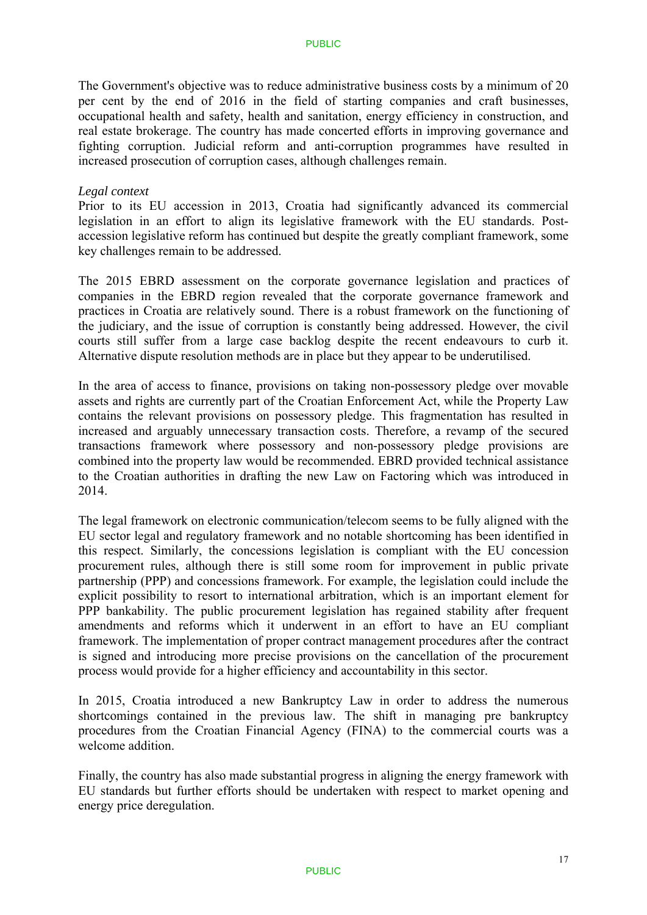The Government's objective was to reduce administrative business costs by a minimum of 20 per cent by the end of 2016 in the field of starting companies and craft businesses, occupational health and safety, health and sanitation, energy efficiency in construction, and real estate brokerage. The country has made concerted efforts in improving governance and fighting corruption. Judicial reform and anti-corruption programmes have resulted in increased prosecution of corruption cases, although challenges remain.

#### *Legal context*

Prior to its EU accession in 2013, Croatia had significantly advanced its commercial legislation in an effort to align its legislative framework with the EU standards. Postaccession legislative reform has continued but despite the greatly compliant framework, some key challenges remain to be addressed.

The 2015 EBRD assessment on the corporate governance legislation and practices of companies in the EBRD region revealed that the corporate governance framework and practices in Croatia are relatively sound. There is a robust framework on the functioning of the judiciary, and the issue of corruption is constantly being addressed. However, the civil courts still suffer from a large case backlog despite the recent endeavours to curb it. Alternative dispute resolution methods are in place but they appear to be underutilised.

In the area of access to finance, provisions on taking non-possessory pledge over movable assets and rights are currently part of the Croatian Enforcement Act, while the Property Law contains the relevant provisions on possessory pledge. This fragmentation has resulted in increased and arguably unnecessary transaction costs. Therefore, a revamp of the secured transactions framework where possessory and non-possessory pledge provisions are combined into the property law would be recommended. EBRD provided technical assistance to the Croatian authorities in drafting the new Law on Factoring which was introduced in 2014.

The legal framework on electronic communication/telecom seems to be fully aligned with the EU sector legal and regulatory framework and no notable shortcoming has been identified in this respect. Similarly, the concessions legislation is compliant with the EU concession procurement rules, although there is still some room for improvement in public private partnership (PPP) and concessions framework. For example, the legislation could include the explicit possibility to resort to international arbitration, which is an important element for PPP bankability. The public procurement legislation has regained stability after frequent amendments and reforms which it underwent in an effort to have an EU compliant framework. The implementation of proper contract management procedures after the contract is signed and introducing more precise provisions on the cancellation of the procurement process would provide for a higher efficiency and accountability in this sector.

In 2015, Croatia introduced a new Bankruptcy Law in order to address the numerous shortcomings contained in the previous law. The shift in managing pre bankruptcy procedures from the Croatian Financial Agency (FINA) to the commercial courts was a welcome addition.

Finally, the country has also made substantial progress in aligning the energy framework with EU standards but further efforts should be undertaken with respect to market opening and energy price deregulation.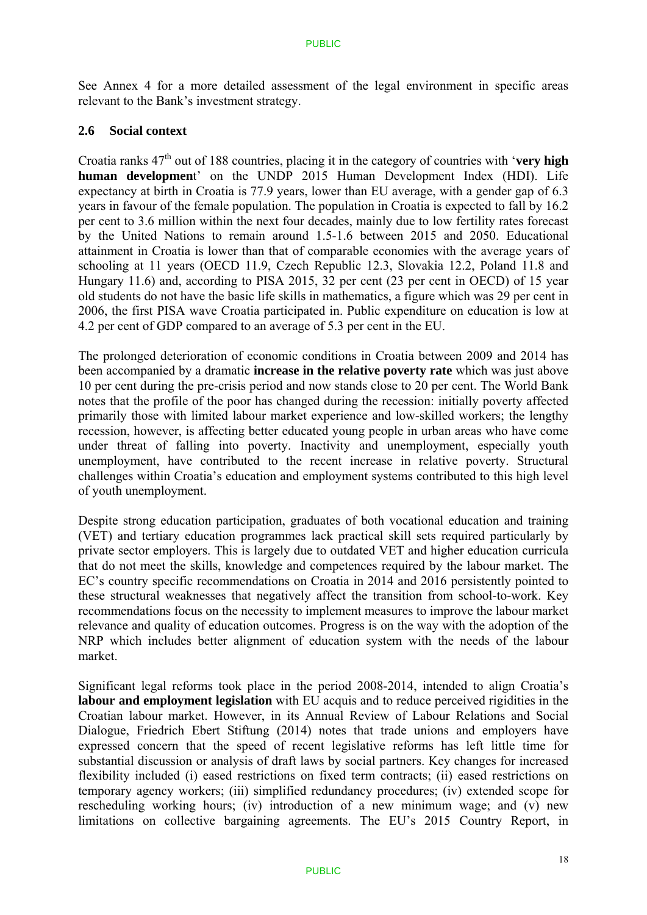See Annex 4 for a more detailed assessment of the legal environment in specific areas relevant to the Bank's investment strategy.

### **2.6 Social context**

Croatia ranks  $47<sup>th</sup>$  out of 188 countries, placing it in the category of countries with '**very high human developmen**t' on the UNDP 2015 Human Development Index (HDI). Life expectancy at birth in Croatia is 77.9 years, lower than EU average, with a gender gap of 6.3 years in favour of the female population. The population in Croatia is expected to fall by 16.2 per cent to 3.6 million within the next four decades, mainly due to low fertility rates forecast by the United Nations to remain around 1.5-1.6 between 2015 and 2050. Educational attainment in Croatia is lower than that of comparable economies with the average years of schooling at 11 years (OECD 11.9, Czech Republic 12.3, Slovakia 12.2, Poland 11.8 and Hungary 11.6) and, according to PISA 2015, 32 per cent (23 per cent in OECD) of 15 year old students do not have the basic life skills in mathematics, a figure which was 29 per cent in 2006, the first PISA wave Croatia participated in. Public expenditure on education is low at 4.2 per cent of GDP compared to an average of 5.3 per cent in the EU.

The prolonged deterioration of economic conditions in Croatia between 2009 and 2014 has been accompanied by a dramatic **increase in the relative poverty rate** which was just above 10 per cent during the pre-crisis period and now stands close to 20 per cent. The World Bank notes that the profile of the poor has changed during the recession: initially poverty affected primarily those with limited labour market experience and low-skilled workers; the lengthy recession, however, is affecting better educated young people in urban areas who have come under threat of falling into poverty. Inactivity and unemployment, especially youth unemployment, have contributed to the recent increase in relative poverty. Structural challenges within Croatia's education and employment systems contributed to this high level of youth unemployment.

Despite strong education participation, graduates of both vocational education and training (VET) and tertiary education programmes lack practical skill sets required particularly by private sector employers. This is largely due to outdated VET and higher education curricula that do not meet the skills, knowledge and competences required by the labour market. The EC's country specific recommendations on Croatia in 2014 and 2016 persistently pointed to these structural weaknesses that negatively affect the transition from school-to-work. Key recommendations focus on the necessity to implement measures to improve the labour market relevance and quality of education outcomes. Progress is on the way with the adoption of the NRP which includes better alignment of education system with the needs of the labour market.

Significant legal reforms took place in the period 2008-2014, intended to align Croatia's **labour and employment legislation** with EU acquis and to reduce perceived rigidities in the Croatian labour market. However, in its Annual Review of Labour Relations and Social Dialogue, Friedrich Ebert Stiftung (2014) notes that trade unions and employers have expressed concern that the speed of recent legislative reforms has left little time for substantial discussion or analysis of draft laws by social partners. Key changes for increased flexibility included (i) eased restrictions on fixed term contracts; (ii) eased restrictions on temporary agency workers; (iii) simplified redundancy procedures; (iv) extended scope for rescheduling working hours; (iv) introduction of a new minimum wage; and (v) new limitations on collective bargaining agreements. The EU's 2015 Country Report, in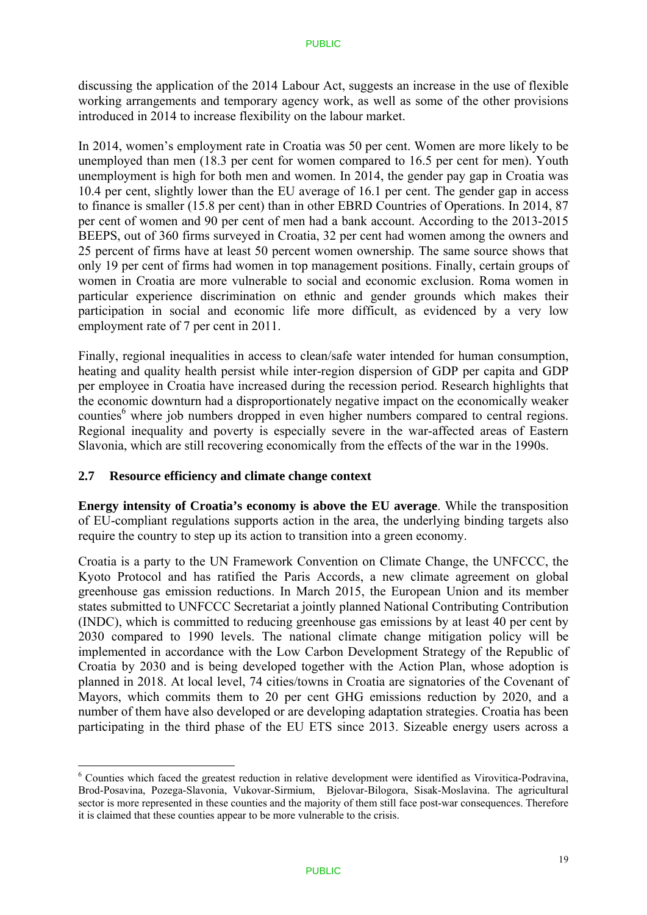discussing the application of the 2014 Labour Act, suggests an increase in the use of flexible working arrangements and temporary agency work, as well as some of the other provisions introduced in 2014 to increase flexibility on the labour market.

In 2014, women's employment rate in Croatia was 50 per cent. Women are more likely to be unemployed than men (18.3 per cent for women compared to 16.5 per cent for men). Youth unemployment is high for both men and women. In 2014, the gender pay gap in Croatia was 10.4 per cent, slightly lower than the EU average of 16.1 per cent. The gender gap in access to finance is smaller (15.8 per cent) than in other EBRD Countries of Operations. In 2014, 87 per cent of women and 90 per cent of men had a bank account. According to the 2013-2015 BEEPS, out of 360 firms surveyed in Croatia, 32 per cent had women among the owners and 25 percent of firms have at least 50 percent women ownership. The same source shows that only 19 per cent of firms had women in top management positions. Finally, certain groups of women in Croatia are more vulnerable to social and economic exclusion. Roma women in particular experience discrimination on ethnic and gender grounds which makes their participation in social and economic life more difficult, as evidenced by a very low employment rate of 7 per cent in 2011.

Finally, regional inequalities in access to clean/safe water intended for human consumption, heating and quality health persist while inter-region dispersion of GDP per capita and GDP per employee in Croatia have increased during the recession period. Research highlights that the economic downturn had a disproportionately negative impact on the economically weaker counties<sup>6</sup> where job numbers dropped in even higher numbers compared to central regions. Regional inequality and poverty is especially severe in the war-affected areas of Eastern Slavonia, which are still recovering economically from the effects of the war in the 1990s.

### **2.7 Resource efficiency and climate change context**

<u>.</u>

**Energy intensity of Croatia's economy is above the EU average**. While the transposition of EU-compliant regulations supports action in the area, the underlying binding targets also require the country to step up its action to transition into a green economy.

Croatia is a party to the UN Framework Convention on Climate Change, the UNFCCC, the Kyoto Protocol and has ratified the Paris Accords, a new climate agreement on global greenhouse gas emission reductions. In March 2015, the European Union and its member states submitted to UNFCCC Secretariat a jointly planned National Contributing Contribution (INDC), which is committed to reducing greenhouse gas emissions by at least 40 per cent by 2030 compared to 1990 levels. The national climate change mitigation policy will be implemented in accordance with the Low Carbon Development Strategy of the Republic of Croatia by 2030 and is being developed together with the Action Plan, whose adoption is planned in 2018. At local level, 74 cities/towns in Croatia are signatories of the Covenant of Mayors, which commits them to 20 per cent GHG emissions reduction by 2020, and a number of them have also developed or are developing adaptation strategies. Croatia has been participating in the third phase of the EU ETS since 2013. Sizeable energy users across a

<sup>&</sup>lt;sup>6</sup> Counties which faced the greatest reduction in relative development were identified as Virovitica-Podravina, Brod-Posavina, Pozega-Slavonia, Vukovar-Sirmium, Bjelovar-Bilogora, Sisak-Moslavina. The agricultural sector is more represented in these counties and the majority of them still face post-war consequences. Therefore it is claimed that these counties appear to be more vulnerable to the crisis.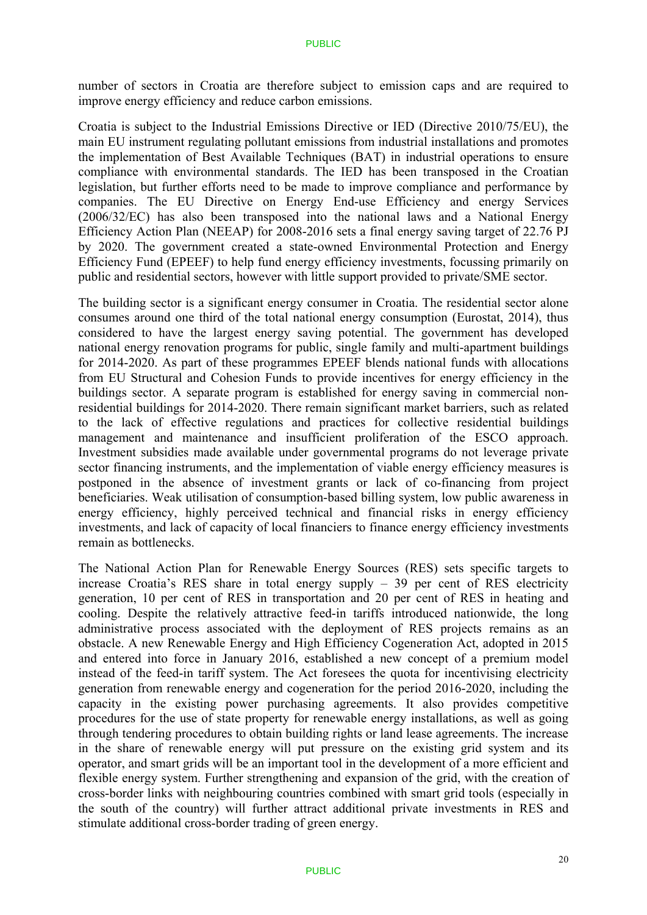number of sectors in Croatia are therefore subject to emission caps and are required to improve energy efficiency and reduce carbon emissions.

Croatia is subject to the Industrial Emissions Directive or IED (Directive 2010/75/EU), the main EU instrument regulating pollutant emissions from industrial installations and promotes the implementation of Best Available Techniques (BAT) in industrial operations to ensure compliance with environmental standards. The IED has been transposed in the Croatian legislation, but further efforts need to be made to improve compliance and performance by companies. The EU Directive on Energy End-use Efficiency and energy Services (2006/32/EC) has also been transposed into the national laws and a National Energy Efficiency Action Plan (NEEAP) for 2008-2016 sets a final energy saving target of 22.76 PJ by 2020. The government created a state-owned Environmental Protection and Energy Efficiency Fund (EPEEF) to help fund energy efficiency investments, focussing primarily on public and residential sectors, however with little support provided to private/SME sector.

The building sector is a significant energy consumer in Croatia. The residential sector alone consumes around one third of the total national energy consumption (Eurostat, 2014), thus considered to have the largest energy saving potential. The government has developed national energy renovation programs for public, single family and multi-apartment buildings for 2014-2020. As part of these programmes EPEEF blends national funds with allocations from EU Structural and Cohesion Funds to provide incentives for energy efficiency in the buildings sector. A separate program is established for energy saving in commercial nonresidential buildings for 2014-2020. There remain significant market barriers, such as related to the lack of effective regulations and practices for collective residential buildings management and maintenance and insufficient proliferation of the ESCO approach. Investment subsidies made available under governmental programs do not leverage private sector financing instruments, and the implementation of viable energy efficiency measures is postponed in the absence of investment grants or lack of co-financing from project beneficiaries. Weak utilisation of consumption-based billing system, low public awareness in energy efficiency, highly perceived technical and financial risks in energy efficiency investments, and lack of capacity of local financiers to finance energy efficiency investments remain as bottlenecks.

The National Action Plan for Renewable Energy Sources (RES) sets specific targets to increase Croatia's RES share in total energy supply – 39 per cent of RES electricity generation, 10 per cent of RES in transportation and 20 per cent of RES in heating and cooling. Despite the relatively attractive feed-in tariffs introduced nationwide, the long administrative process associated with the deployment of RES projects remains as an obstacle. A new Renewable Energy and High Efficiency Cogeneration Act, adopted in 2015 and entered into force in January 2016, established a new concept of a premium model instead of the feed-in tariff system. The Act foresees the quota for incentivising electricity generation from renewable energy and cogeneration for the period 2016-2020, including the capacity in the existing power purchasing agreements. It also provides competitive procedures for the use of state property for renewable energy installations, as well as going through tendering procedures to obtain building rights or land lease agreements. The increase in the share of renewable energy will put pressure on the existing grid system and its operator, and smart grids will be an important tool in the development of a more efficient and flexible energy system. Further strengthening and expansion of the grid, with the creation of cross-border links with neighbouring countries combined with smart grid tools (especially in the south of the country) will further attract additional private investments in RES and stimulate additional cross-border trading of green energy.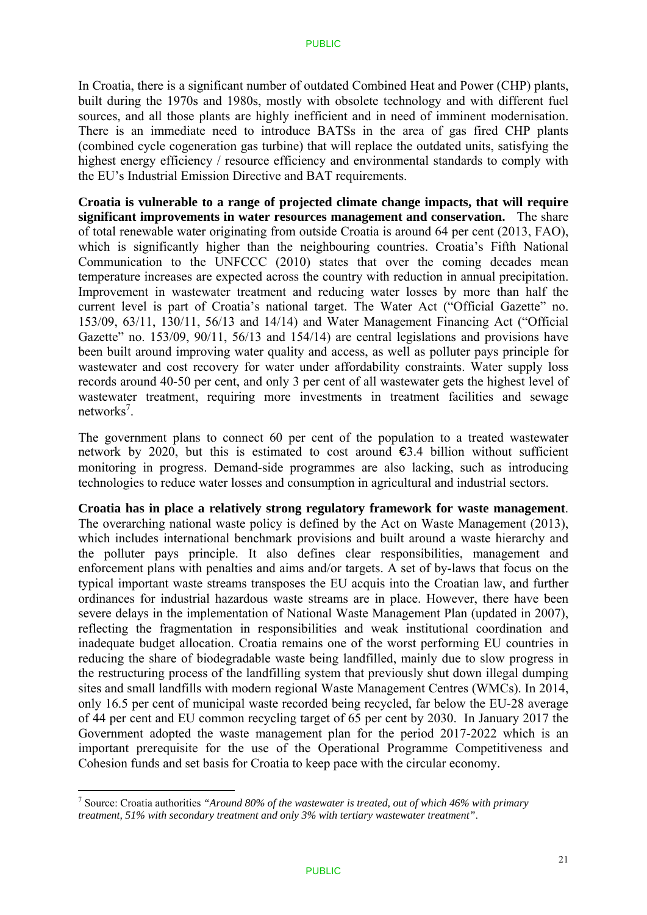In Croatia, there is a significant number of outdated Combined Heat and Power (CHP) plants, built during the 1970s and 1980s, mostly with obsolete technology and with different fuel sources, and all those plants are highly inefficient and in need of imminent modernisation. There is an immediate need to introduce BATSs in the area of gas fired CHP plants (combined cycle cogeneration gas turbine) that will replace the outdated units, satisfying the highest energy efficiency / resource efficiency and environmental standards to comply with the EU's Industrial Emission Directive and BAT requirements.

**Croatia is vulnerable to a range of projected climate change impacts, that will require significant improvements in water resources management and conservation.** The share of total renewable water originating from outside Croatia is around 64 per cent (2013, FAO), which is significantly higher than the neighbouring countries. Croatia's Fifth National Communication to the UNFCCC (2010) states that over the coming decades mean temperature increases are expected across the country with reduction in annual precipitation. Improvement in wastewater treatment and reducing water losses by more than half the current level is part of Croatia's national target. The Water Act ("Official Gazette" no. 153/09, 63/11, 130/11, 56/13 and 14/14) and Water Management Financing Act ("Official Gazette" no. 153/09, 90/11, 56/13 and 154/14) are central legislations and provisions have been built around improving water quality and access, as well as polluter pays principle for wastewater and cost recovery for water under affordability constraints. Water supply loss records around 40-50 per cent, and only 3 per cent of all wastewater gets the highest level of wastewater treatment, requiring more investments in treatment facilities and sewage networks<sup>7</sup>.

The government plans to connect 60 per cent of the population to a treated wastewater network by 2020, but this is estimated to cost around  $\epsilon$ 3.4 billion without sufficient monitoring in progress. Demand-side programmes are also lacking, such as introducing technologies to reduce water losses and consumption in agricultural and industrial sectors.

#### **Croatia has in place a relatively strong regulatory framework for waste management**.

The overarching national waste policy is defined by the Act on Waste Management (2013), which includes international benchmark provisions and built around a waste hierarchy and the polluter pays principle. It also defines clear responsibilities, management and enforcement plans with penalties and aims and/or targets. A set of by-laws that focus on the typical important waste streams transposes the EU acquis into the Croatian law, and further ordinances for industrial hazardous waste streams are in place. However, there have been severe delays in the implementation of National Waste Management Plan (updated in 2007), reflecting the fragmentation in responsibilities and weak institutional coordination and inadequate budget allocation. Croatia remains one of the worst performing EU countries in reducing the share of biodegradable waste being landfilled, mainly due to slow progress in the restructuring process of the landfilling system that previously shut down illegal dumping sites and small landfills with modern regional Waste Management Centres (WMCs). In 2014, only 16.5 per cent of municipal waste recorded being recycled, far below the EU-28 average of 44 per cent and EU common recycling target of 65 per cent by 2030. In January 2017 the Government adopted the waste management plan for the period 2017-2022 which is an important prerequisite for the use of the Operational Programme Competitiveness and Cohesion funds and set basis for Croatia to keep pace with the circular economy.

1

<sup>7</sup> Source: Croatia authorities *"Around 80% of the wastewater is treated, out of which 46% with primary treatment, 51% with secondary treatment and only 3% with tertiary wastewater treatment"*.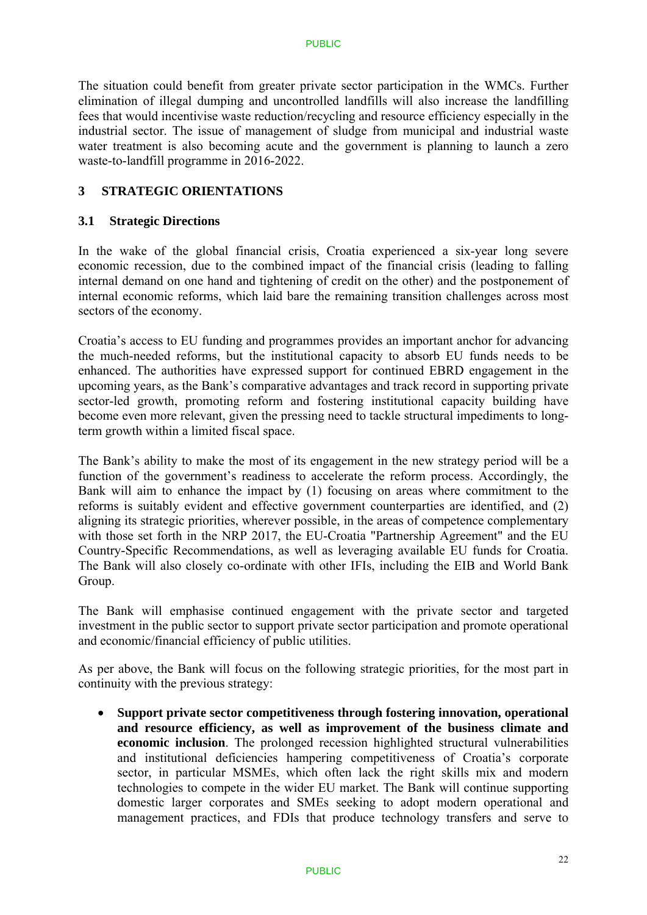The situation could benefit from greater private sector participation in the WMCs. Further elimination of illegal dumping and uncontrolled landfills will also increase the landfilling fees that would incentivise waste reduction/recycling and resource efficiency especially in the industrial sector. The issue of management of sludge from municipal and industrial waste water treatment is also becoming acute and the government is planning to launch a zero waste-to-landfill programme in 2016-2022.

### **3 STRATEGIC ORIENTATIONS**

### **3.1 Strategic Directions**

In the wake of the global financial crisis, Croatia experienced a six-year long severe economic recession, due to the combined impact of the financial crisis (leading to falling internal demand on one hand and tightening of credit on the other) and the postponement of internal economic reforms, which laid bare the remaining transition challenges across most sectors of the economy.

Croatia's access to EU funding and programmes provides an important anchor for advancing the much-needed reforms, but the institutional capacity to absorb EU funds needs to be enhanced. The authorities have expressed support for continued EBRD engagement in the upcoming years, as the Bank's comparative advantages and track record in supporting private sector-led growth, promoting reform and fostering institutional capacity building have become even more relevant, given the pressing need to tackle structural impediments to longterm growth within a limited fiscal space.

The Bank's ability to make the most of its engagement in the new strategy period will be a function of the government's readiness to accelerate the reform process. Accordingly, the Bank will aim to enhance the impact by (1) focusing on areas where commitment to the reforms is suitably evident and effective government counterparties are identified, and (2) aligning its strategic priorities, wherever possible, in the areas of competence complementary with those set forth in the NRP 2017, the EU-Croatia "Partnership Agreement" and the EU Country-Specific Recommendations, as well as leveraging available EU funds for Croatia. The Bank will also closely co-ordinate with other IFIs, including the EIB and World Bank Group.

The Bank will emphasise continued engagement with the private sector and targeted investment in the public sector to support private sector participation and promote operational and economic/financial efficiency of public utilities.

As per above, the Bank will focus on the following strategic priorities, for the most part in continuity with the previous strategy:

 **Support private sector competitiveness through fostering innovation, operational and resource efficiency, as well as improvement of the business climate and economic inclusion**. The prolonged recession highlighted structural vulnerabilities and institutional deficiencies hampering competitiveness of Croatia's corporate sector, in particular MSMEs, which often lack the right skills mix and modern technologies to compete in the wider EU market. The Bank will continue supporting domestic larger corporates and SMEs seeking to adopt modern operational and management practices, and FDIs that produce technology transfers and serve to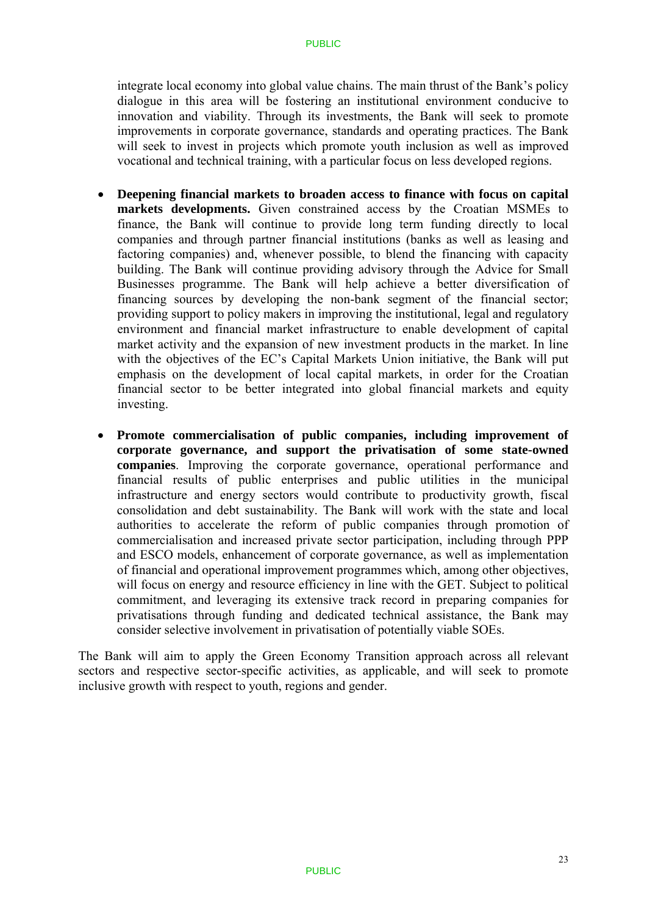integrate local economy into global value chains. The main thrust of the Bank's policy dialogue in this area will be fostering an institutional environment conducive to innovation and viability. Through its investments, the Bank will seek to promote improvements in corporate governance, standards and operating practices. The Bank will seek to invest in projects which promote youth inclusion as well as improved vocational and technical training, with a particular focus on less developed regions.

- **Deepening financial markets to broaden access to finance with focus on capital markets developments.** Given constrained access by the Croatian MSMEs to finance, the Bank will continue to provide long term funding directly to local companies and through partner financial institutions (banks as well as leasing and factoring companies) and, whenever possible, to blend the financing with capacity building. The Bank will continue providing advisory through the Advice for Small Businesses programme. The Bank will help achieve a better diversification of financing sources by developing the non-bank segment of the financial sector; providing support to policy makers in improving the institutional, legal and regulatory environment and financial market infrastructure to enable development of capital market activity and the expansion of new investment products in the market. In line with the objectives of the EC's Capital Markets Union initiative, the Bank will put emphasis on the development of local capital markets, in order for the Croatian financial sector to be better integrated into global financial markets and equity investing.
- **Promote commercialisation of public companies, including improvement of corporate governance, and support the privatisation of some state-owned companies**. Improving the corporate governance, operational performance and financial results of public enterprises and public utilities in the municipal infrastructure and energy sectors would contribute to productivity growth, fiscal consolidation and debt sustainability. The Bank will work with the state and local authorities to accelerate the reform of public companies through promotion of commercialisation and increased private sector participation, including through PPP and ESCO models, enhancement of corporate governance, as well as implementation of financial and operational improvement programmes which, among other objectives, will focus on energy and resource efficiency in line with the GET. Subject to political commitment, and leveraging its extensive track record in preparing companies for privatisations through funding and dedicated technical assistance, the Bank may consider selective involvement in privatisation of potentially viable SOEs.

The Bank will aim to apply the Green Economy Transition approach across all relevant sectors and respective sector-specific activities, as applicable, and will seek to promote inclusive growth with respect to youth, regions and gender.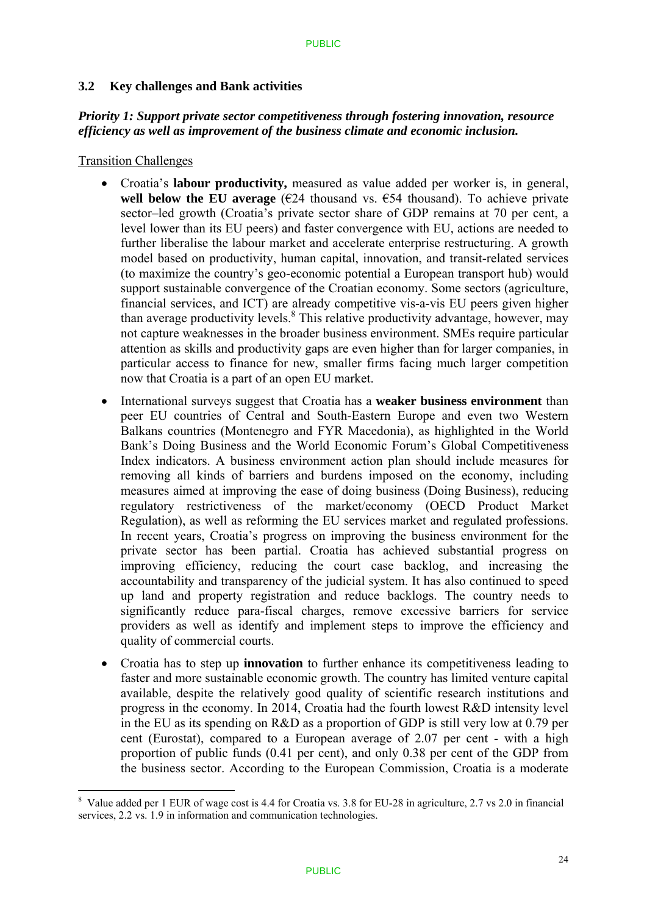### **3.2 Key challenges and Bank activities**

### *Priority 1: Support private sector competitiveness through fostering innovation, resource efficiency as well as improvement of the business climate and economic inclusion.*

Transition Challenges

1

- Croatia's **labour productivity,** measured as value added per worker is, in general, **well below the EU average**  $(E24)$  thousand vs.  $E54$  thousand). To achieve private sector–led growth (Croatia's private sector share of GDP remains at 70 per cent, a level lower than its EU peers) and faster convergence with EU, actions are needed to further liberalise the labour market and accelerate enterprise restructuring. A growth model based on productivity, human capital, innovation, and transit-related services (to maximize the country's geo-economic potential a European transport hub) would support sustainable convergence of the Croatian economy. Some sectors (agriculture, financial services, and ICT) are already competitive vis-a-vis EU peers given higher than average productivity levels.<sup>8</sup> This relative productivity advantage, however, may not capture weaknesses in the broader business environment. SMEs require particular attention as skills and productivity gaps are even higher than for larger companies, in particular access to finance for new, smaller firms facing much larger competition now that Croatia is a part of an open EU market.
- International surveys suggest that Croatia has a **weaker business environment** than peer EU countries of Central and South-Eastern Europe and even two Western Balkans countries (Montenegro and FYR Macedonia), as highlighted in the World Bank's Doing Business and the World Economic Forum's Global Competitiveness Index indicators. A business environment action plan should include measures for removing all kinds of barriers and burdens imposed on the economy, including measures aimed at improving the ease of doing business (Doing Business), reducing regulatory restrictiveness of the market/economy (OECD Product Market Regulation), as well as reforming the EU services market and regulated professions. In recent years, Croatia's progress on improving the business environment for the private sector has been partial. Croatia has achieved substantial progress on improving efficiency, reducing the court case backlog, and increasing the accountability and transparency of the judicial system. It has also continued to speed up land and property registration and reduce backlogs. The country needs to significantly reduce para-fiscal charges, remove excessive barriers for service providers as well as identify and implement steps to improve the efficiency and quality of commercial courts.
- Croatia has to step up **innovation** to further enhance its competitiveness leading to faster and more sustainable economic growth. The country has limited venture capital available, despite the relatively good quality of scientific research institutions and progress in the economy. In 2014, Croatia had the fourth lowest R&D intensity level in the EU as its spending on R&D as a proportion of GDP is still very low at 0.79 per cent (Eurostat), compared to a European average of 2.07 per cent - with a high proportion of public funds (0.41 per cent), and only 0.38 per cent of the GDP from the business sector. According to the European Commission, Croatia is a moderate

<sup>&</sup>lt;sup>8</sup> Value added per 1 EUR of wage cost is 4.4 for Croatia vs. 3.8 for EU-28 in agriculture, 2.7 vs 2.0 in financial services, 2.2 vs. 1.9 in information and communication technologies.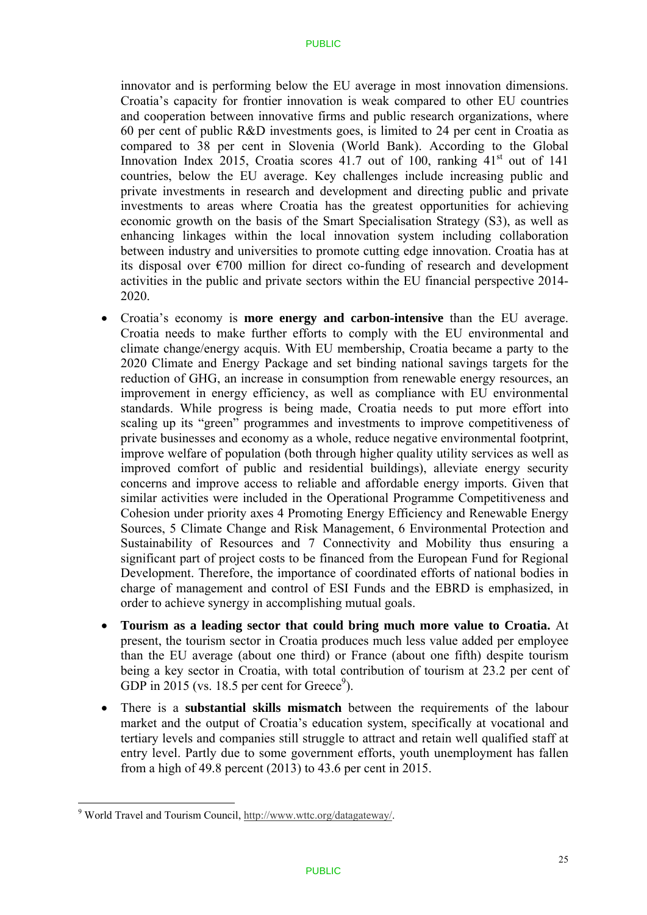innovator and is performing below the EU average in most innovation dimensions. Croatia's capacity for frontier innovation is weak compared to other EU countries and cooperation between innovative firms and public research organizations, where 60 per cent of public R&D investments goes, is limited to 24 per cent in Croatia as compared to 38 per cent in Slovenia (World Bank). According to the Global Innovation Index 2015, Croatia scores  $41.7$  out of 100, ranking  $41<sup>st</sup>$  out of 141 countries, below the EU average. Key challenges include increasing public and private investments in research and development and directing public and private investments to areas where Croatia has the greatest opportunities for achieving economic growth on the basis of the Smart Specialisation Strategy (S3), as well as enhancing linkages within the local innovation system including collaboration between industry and universities to promote cutting edge innovation. Croatia has at its disposal over  $\epsilon$ 700 million for direct co-funding of research and development activities in the public and private sectors within the EU financial perspective 2014- 2020.

- Croatia's economy is **more energy and carbon-intensive** than the EU average. Croatia needs to make further efforts to comply with the EU environmental and climate change/energy acquis. With EU membership, Croatia became a party to the 2020 Climate and Energy Package and set binding national savings targets for the reduction of GHG, an increase in consumption from renewable energy resources, an improvement in energy efficiency, as well as compliance with EU environmental standards. While progress is being made, Croatia needs to put more effort into scaling up its "green" programmes and investments to improve competitiveness of private businesses and economy as a whole, reduce negative environmental footprint, improve welfare of population (both through higher quality utility services as well as improved comfort of public and residential buildings), alleviate energy security concerns and improve access to reliable and affordable energy imports. Given that similar activities were included in the Operational Programme Competitiveness and Cohesion under priority axes 4 Promoting Energy Efficiency and Renewable Energy Sources, 5 Climate Change and Risk Management, 6 Environmental Protection and Sustainability of Resources and 7 Connectivity and Mobility thus ensuring a significant part of project costs to be financed from the European Fund for Regional Development. Therefore, the importance of coordinated efforts of national bodies in charge of management and control of ESI Funds and the EBRD is emphasized, in order to achieve synergy in accomplishing mutual goals.
- **Tourism as a leading sector that could bring much more value to Croatia.** At present, the tourism sector in Croatia produces much less value added per employee than the EU average (about one third) or France (about one fifth) despite tourism being a key sector in Croatia, with total contribution of tourism at 23.2 per cent of GDP in 2015 (vs. 18.5 per cent for Greece<sup>9</sup>).
- There is a **substantial skills mismatch** between the requirements of the labour market and the output of Croatia's education system, specifically at vocational and tertiary levels and companies still struggle to attract and retain well qualified staff at entry level. Partly due to some government efforts, youth unemployment has fallen from a high of 49.8 percent (2013) to 43.6 per cent in 2015.

<sup>&</sup>lt;u>.</u> <sup>9</sup> World Travel and Tourism Council, http://www.wttc.org/datagateway/.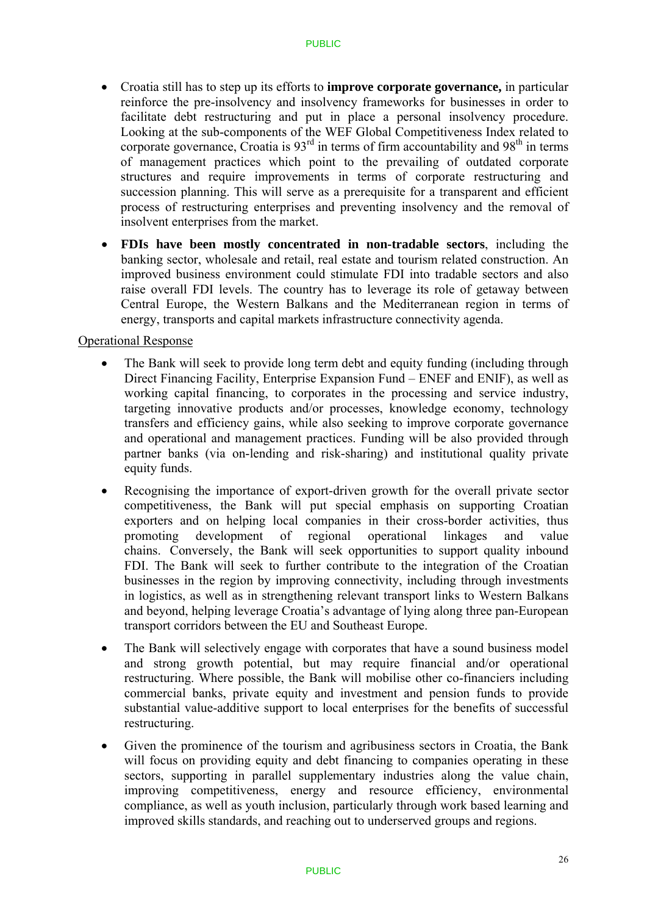- Croatia still has to step up its efforts to **improve corporate governance,** in particular reinforce the pre-insolvency and insolvency frameworks for businesses in order to facilitate debt restructuring and put in place a personal insolvency procedure. Looking at the sub-components of the WEF Global Competitiveness Index related to corporate governance, Croatia is  $93<sup>rd</sup>$  in terms of firm accountability and  $98<sup>th</sup>$  in terms of management practices which point to the prevailing of outdated corporate structures and require improvements in terms of corporate restructuring and succession planning. This will serve as a prerequisite for a transparent and efficient process of restructuring enterprises and preventing insolvency and the removal of insolvent enterprises from the market.
- **FDIs have been mostly concentrated in non-tradable sectors**, including the banking sector, wholesale and retail, real estate and tourism related construction. An improved business environment could stimulate FDI into tradable sectors and also raise overall FDI levels. The country has to leverage its role of getaway between Central Europe, the Western Balkans and the Mediterranean region in terms of energy, transports and capital markets infrastructure connectivity agenda.

### Operational Response

- The Bank will seek to provide long term debt and equity funding (including through Direct Financing Facility, Enterprise Expansion Fund – ENEF and ENIF), as well as working capital financing, to corporates in the processing and service industry, targeting innovative products and/or processes, knowledge economy, technology transfers and efficiency gains, while also seeking to improve corporate governance and operational and management practices. Funding will be also provided through partner banks (via on-lending and risk-sharing) and institutional quality private equity funds.
- Recognising the importance of export-driven growth for the overall private sector competitiveness, the Bank will put special emphasis on supporting Croatian exporters and on helping local companies in their cross-border activities, thus promoting development of regional operational linkages and value chains. Conversely, the Bank will seek opportunities to support quality inbound FDI. The Bank will seek to further contribute to the integration of the Croatian businesses in the region by improving connectivity, including through investments in logistics, as well as in strengthening relevant transport links to Western Balkans and beyond, helping leverage Croatia's advantage of lying along three pan-European transport corridors between the EU and Southeast Europe.
- The Bank will selectively engage with corporates that have a sound business model and strong growth potential, but may require financial and/or operational restructuring. Where possible, the Bank will mobilise other co-financiers including commercial banks, private equity and investment and pension funds to provide substantial value-additive support to local enterprises for the benefits of successful restructuring.
- Given the prominence of the tourism and agribusiness sectors in Croatia, the Bank will focus on providing equity and debt financing to companies operating in these sectors, supporting in parallel supplementary industries along the value chain, improving competitiveness, energy and resource efficiency, environmental compliance, as well as youth inclusion, particularly through work based learning and improved skills standards, and reaching out to underserved groups and regions.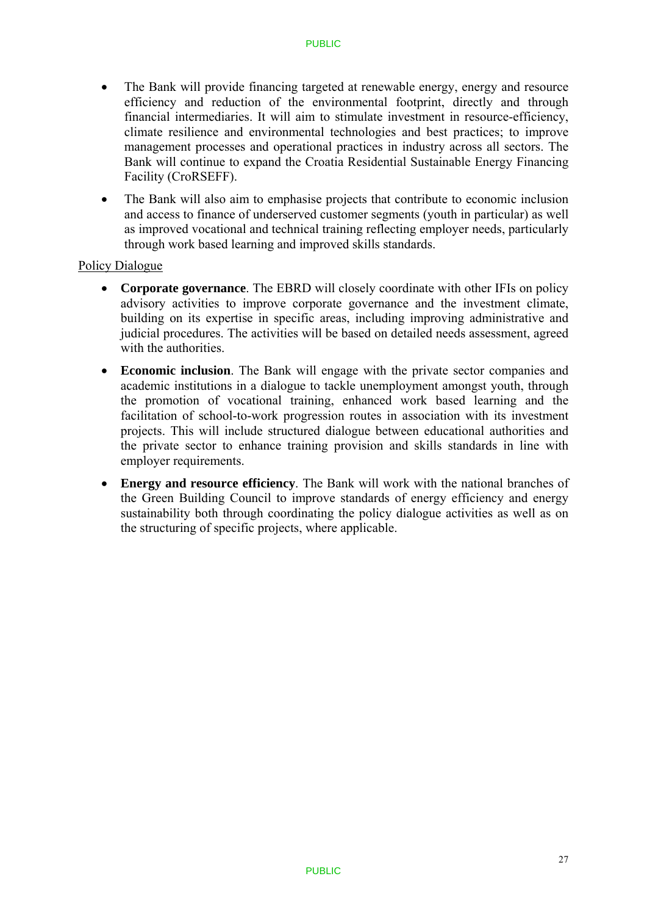- The Bank will provide financing targeted at renewable energy, energy and resource efficiency and reduction of the environmental footprint, directly and through financial intermediaries. It will aim to stimulate investment in resource-efficiency, climate resilience and environmental technologies and best practices; to improve management processes and operational practices in industry across all sectors. The Bank will continue to expand the Croatia Residential Sustainable Energy Financing Facility (CroRSEFF).
- The Bank will also aim to emphasise projects that contribute to economic inclusion and access to finance of underserved customer segments (youth in particular) as well as improved vocational and technical training reflecting employer needs, particularly through work based learning and improved skills standards.

### Policy Dialogue

- **Corporate governance**. The EBRD will closely coordinate with other IFIs on policy advisory activities to improve corporate governance and the investment climate, building on its expertise in specific areas, including improving administrative and judicial procedures. The activities will be based on detailed needs assessment, agreed with the authorities.
- **Economic inclusion**. The Bank will engage with the private sector companies and academic institutions in a dialogue to tackle unemployment amongst youth, through the promotion of vocational training, enhanced work based learning and the facilitation of school-to-work progression routes in association with its investment projects. This will include structured dialogue between educational authorities and the private sector to enhance training provision and skills standards in line with employer requirements.
- **Energy and resource efficiency**. The Bank will work with the national branches of the Green Building Council to improve standards of energy efficiency and energy sustainability both through coordinating the policy dialogue activities as well as on the structuring of specific projects, where applicable.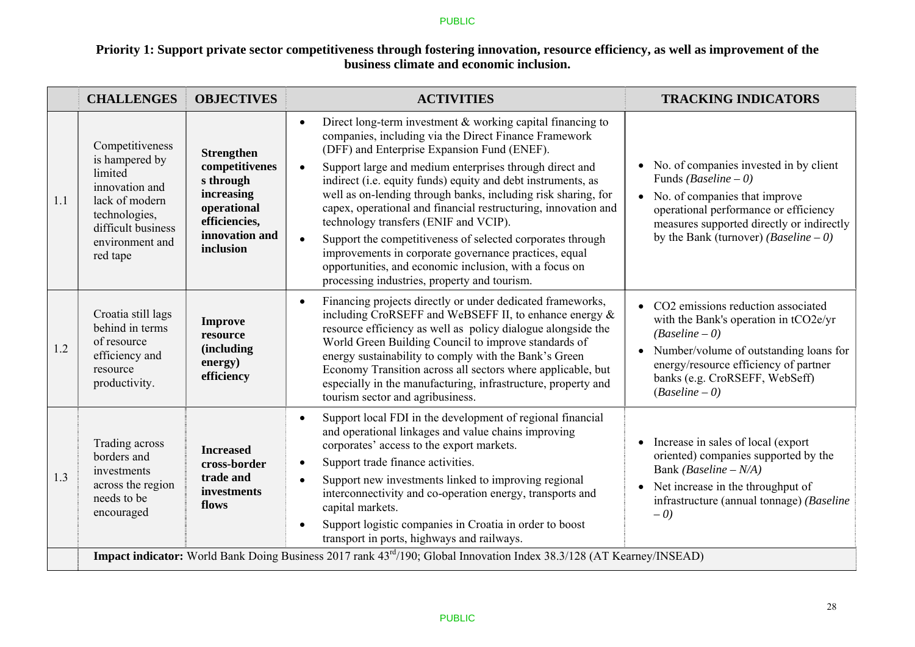### **Priority 1: Support private sector competitiveness through fostering innovation, resource efficiency, as well as improvement of the business climate and economic inclusion.**

|     | <b>CHALLENGES</b>                                                                                                                                      | <b>OBJECTIVES</b>                                                                                                             | <b>ACTIVITIES</b>                                                                                                                                                                                                                                                                                                                                                                                                                                                                                                                                                                                                                                                                                                                                    | <b>TRACKING INDICATORS</b>                                                                                                                                                                                                                          |
|-----|--------------------------------------------------------------------------------------------------------------------------------------------------------|-------------------------------------------------------------------------------------------------------------------------------|------------------------------------------------------------------------------------------------------------------------------------------------------------------------------------------------------------------------------------------------------------------------------------------------------------------------------------------------------------------------------------------------------------------------------------------------------------------------------------------------------------------------------------------------------------------------------------------------------------------------------------------------------------------------------------------------------------------------------------------------------|-----------------------------------------------------------------------------------------------------------------------------------------------------------------------------------------------------------------------------------------------------|
| 1.1 | Competitiveness<br>is hampered by<br>limited<br>innovation and<br>lack of modern<br>technologies,<br>difficult business<br>environment and<br>red tape | <b>Strengthen</b><br>competitivenes<br>s through<br>increasing<br>operational<br>efficiencies,<br>innovation and<br>inclusion | Direct long-term investment $\&$ working capital financing to<br>$\bullet$<br>companies, including via the Direct Finance Framework<br>(DFF) and Enterprise Expansion Fund (ENEF).<br>Support large and medium enterprises through direct and<br>$\bullet$<br>indirect (i.e. equity funds) equity and debt instruments, as<br>well as on-lending through banks, including risk sharing, for<br>capex, operational and financial restructuring, innovation and<br>technology transfers (ENIF and VCIP).<br>Support the competitiveness of selected corporates through<br>$\bullet$<br>improvements in corporate governance practices, equal<br>opportunities, and economic inclusion, with a focus on<br>processing industries, property and tourism. | • No. of companies invested in by client<br>Funds ( <i>Baseline – 0</i> )<br>• No. of companies that improve<br>operational performance or efficiency<br>measures supported directly or indirectly<br>by the Bank (turnover) ( <i>Baseline</i> – 0) |
| 1.2 | Croatia still lags<br>behind in terms<br>of resource<br>efficiency and<br>resource<br>productivity.                                                    | <b>Improve</b><br>resource<br><i>(including)</i><br>energy)<br>efficiency                                                     | Financing projects directly or under dedicated frameworks,<br>$\bullet$<br>including CroRSEFF and WeBSEFF II, to enhance energy &<br>resource efficiency as well as policy dialogue alongside the<br>World Green Building Council to improve standards of<br>energy sustainability to comply with the Bank's Green<br>Economy Transition across all sectors where applicable, but<br>especially in the manufacturing, infrastructure, property and<br>tourism sector and agribusiness.                                                                                                                                                                                                                                                               | • CO2 emissions reduction associated<br>with the Bank's operation in tCO2e/yr<br>$(Baseline-0)$<br>• Number/volume of outstanding loans for<br>energy/resource efficiency of partner<br>banks (e.g. CroRSEFF, WebSeff)<br>$(Baseline-0)$            |
| 1.3 | Trading across<br>borders and<br>investments<br>across the region<br>needs to be<br>encouraged                                                         | <b>Increased</b><br>cross-border<br>trade and<br>investments<br>flows                                                         | Support local FDI in the development of regional financial<br>$\bullet$<br>and operational linkages and value chains improving<br>corporates' access to the export markets.<br>Support trade finance activities.<br>$\bullet$<br>Support new investments linked to improving regional<br>$\bullet$<br>interconnectivity and co-operation energy, transports and<br>capital markets.<br>Support logistic companies in Croatia in order to boost<br>$\bullet$<br>transport in ports, highways and railways.                                                                                                                                                                                                                                            | Increase in sales of local (export)<br>oriented) companies supported by the<br>Bank (Baseline $-N/A$ )<br>• Net increase in the throughput of<br>infrastructure (annual tonnage) (Baseline<br>$-0$                                                  |
|     |                                                                                                                                                        |                                                                                                                               | <b>Impact indicator:</b> World Bank Doing Business 2017 rank 43 <sup>rd</sup> /190; Global Innovation Index 38.3/128 (AT Kearney/INSEAD)                                                                                                                                                                                                                                                                                                                                                                                                                                                                                                                                                                                                             |                                                                                                                                                                                                                                                     |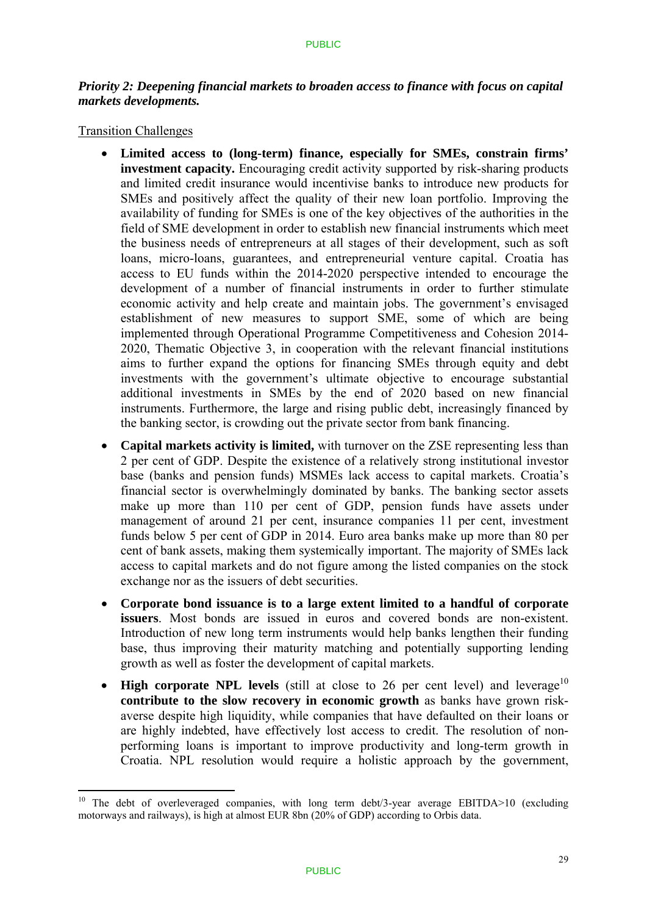### *Priority 2: Deepening financial markets to broaden access to finance with focus on capital markets developments.*

#### Transition Challenges

1

- **Limited access to (long-term) finance, especially for SMEs, constrain firms' investment capacity.** Encouraging credit activity supported by risk-sharing products and limited credit insurance would incentivise banks to introduce new products for SMEs and positively affect the quality of their new loan portfolio. Improving the availability of funding for SMEs is one of the key objectives of the authorities in the field of SME development in order to establish new financial instruments which meet the business needs of entrepreneurs at all stages of their development, such as soft loans, micro-loans, guarantees, and entrepreneurial venture capital. Croatia has access to EU funds within the 2014-2020 perspective intended to encourage the development of a number of financial instruments in order to further stimulate economic activity and help create and maintain jobs. The government's envisaged establishment of new measures to support SME, some of which are being implemented through Operational Programme Competitiveness and Cohesion 2014- 2020, Thematic Objective 3, in cooperation with the relevant financial institutions aims to further expand the options for financing SMEs through equity and debt investments with the government's ultimate objective to encourage substantial additional investments in SMEs by the end of 2020 based on new financial instruments. Furthermore, the large and rising public debt, increasingly financed by the banking sector, is crowding out the private sector from bank financing.
- **Capital markets activity is limited,** with turnover on the ZSE representing less than 2 per cent of GDP. Despite the existence of a relatively strong institutional investor base (banks and pension funds) MSMEs lack access to capital markets. Croatia's financial sector is overwhelmingly dominated by banks. The banking sector assets make up more than 110 per cent of GDP, pension funds have assets under management of around 21 per cent, insurance companies 11 per cent, investment funds below 5 per cent of GDP in 2014. Euro area banks make up more than 80 per cent of bank assets, making them systemically important. The majority of SMEs lack access to capital markets and do not figure among the listed companies on the stock exchange nor as the issuers of debt securities.
- **Corporate bond issuance is to a large extent limited to a handful of corporate issuers**. Most bonds are issued in euros and covered bonds are non-existent. Introduction of new long term instruments would help banks lengthen their funding base, thus improving their maturity matching and potentially supporting lending growth as well as foster the development of capital markets.
- High corporate NPL levels (still at close to 26 per cent level) and leverage<sup>10</sup> **contribute to the slow recovery in economic growth** as banks have grown riskaverse despite high liquidity, while companies that have defaulted on their loans or are highly indebted, have effectively lost access to credit. The resolution of nonperforming loans is important to improve productivity and long-term growth in Croatia. NPL resolution would require a holistic approach by the government,

<sup>&</sup>lt;sup>10</sup> The debt of overleveraged companies, with long term debt/3-year average EBITDA $>10$  (excluding motorways and railways), is high at almost EUR 8bn (20% of GDP) according to Orbis data.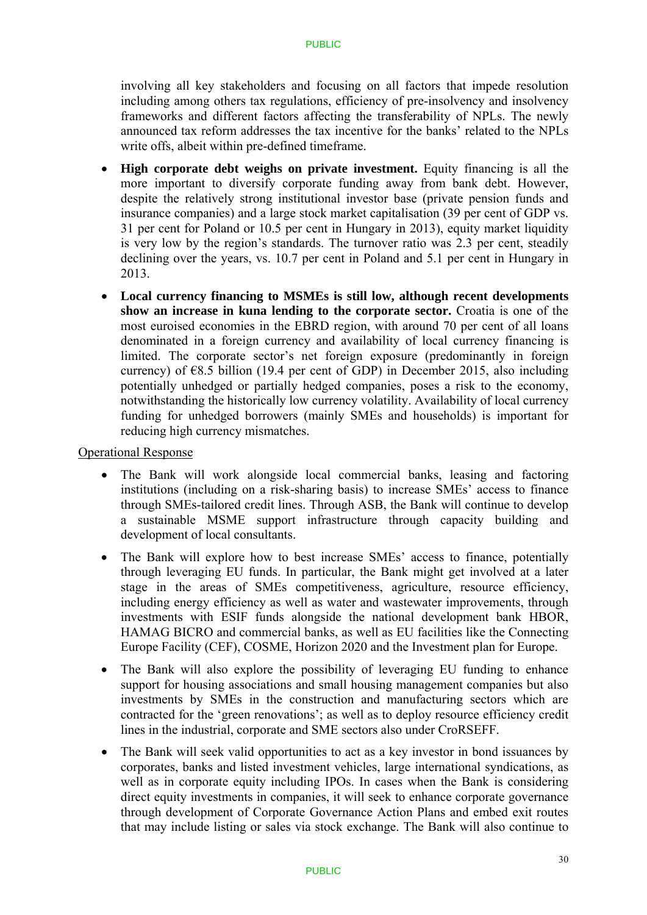involving all key stakeholders and focusing on all factors that impede resolution including among others tax regulations, efficiency of pre-insolvency and insolvency frameworks and different factors affecting the transferability of NPLs. The newly announced tax reform addresses the tax incentive for the banks' related to the NPLs write offs, albeit within pre-defined timeframe.

- **High corporate debt weighs on private investment.** Equity financing is all the more important to diversify corporate funding away from bank debt. However, despite the relatively strong institutional investor base (private pension funds and insurance companies) and a large stock market capitalisation (39 per cent of GDP vs. 31 per cent for Poland or 10.5 per cent in Hungary in 2013), equity market liquidity is very low by the region's standards. The turnover ratio was 2.3 per cent, steadily declining over the years, vs. 10.7 per cent in Poland and 5.1 per cent in Hungary in 2013.
- **Local currency financing to MSMEs is still low, although recent developments show an increase in kuna lending to the corporate sector.** Croatia is one of the most euroised economies in the EBRD region, with around 70 per cent of all loans denominated in a foreign currency and availability of local currency financing is limited. The corporate sector's net foreign exposure (predominantly in foreign currency) of  $\epsilon$ 8.5 billion (19.4 per cent of GDP) in December 2015, also including potentially unhedged or partially hedged companies, poses a risk to the economy, notwithstanding the historically low currency volatility. Availability of local currency funding for unhedged borrowers (mainly SMEs and households) is important for reducing high currency mismatches.

#### Operational Response

- The Bank will work alongside local commercial banks, leasing and factoring institutions (including on a risk-sharing basis) to increase SMEs' access to finance through SMEs-tailored credit lines. Through ASB, the Bank will continue to develop a sustainable MSME support infrastructure through capacity building and development of local consultants.
- The Bank will explore how to best increase SMEs' access to finance, potentially through leveraging EU funds. In particular, the Bank might get involved at a later stage in the areas of SMEs competitiveness, agriculture, resource efficiency, including energy efficiency as well as water and wastewater improvements, through investments with ESIF funds alongside the national development bank HBOR, HAMAG BICRO and commercial banks, as well as EU facilities like the Connecting Europe Facility (CEF), COSME, Horizon 2020 and the Investment plan for Europe.
- The Bank will also explore the possibility of leveraging EU funding to enhance support for housing associations and small housing management companies but also investments by SMEs in the construction and manufacturing sectors which are contracted for the 'green renovations'; as well as to deploy resource efficiency credit lines in the industrial, corporate and SME sectors also under CroRSEFF.
- The Bank will seek valid opportunities to act as a key investor in bond issuances by corporates, banks and listed investment vehicles, large international syndications, as well as in corporate equity including IPOs. In cases when the Bank is considering direct equity investments in companies, it will seek to enhance corporate governance through development of Corporate Governance Action Plans and embed exit routes that may include listing or sales via stock exchange. The Bank will also continue to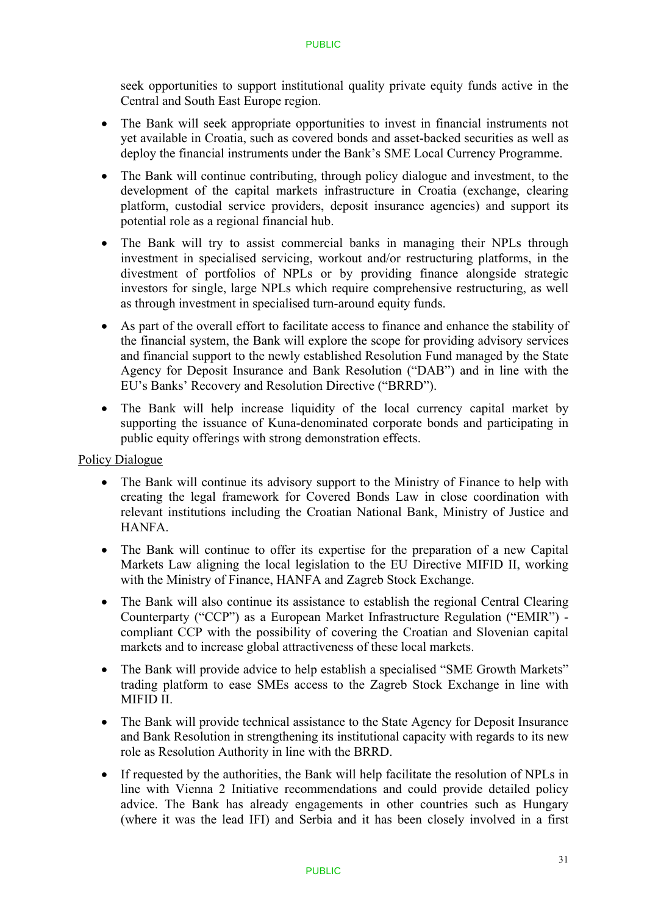seek opportunities to support institutional quality private equity funds active in the Central and South East Europe region.

- The Bank will seek appropriate opportunities to invest in financial instruments not yet available in Croatia, such as covered bonds and asset-backed securities as well as deploy the financial instruments under the Bank's SME Local Currency Programme.
- The Bank will continue contributing, through policy dialogue and investment, to the development of the capital markets infrastructure in Croatia (exchange, clearing platform, custodial service providers, deposit insurance agencies) and support its potential role as a regional financial hub.
- The Bank will try to assist commercial banks in managing their NPLs through investment in specialised servicing, workout and/or restructuring platforms, in the divestment of portfolios of NPLs or by providing finance alongside strategic investors for single, large NPLs which require comprehensive restructuring, as well as through investment in specialised turn-around equity funds.
- As part of the overall effort to facilitate access to finance and enhance the stability of the financial system, the Bank will explore the scope for providing advisory services and financial support to the newly established Resolution Fund managed by the State Agency for Deposit Insurance and Bank Resolution ("DAB") and in line with the EU's Banks' Recovery and Resolution Directive ("BRRD").
- The Bank will help increase liquidity of the local currency capital market by supporting the issuance of Kuna-denominated corporate bonds and participating in public equity offerings with strong demonstration effects.

### Policy Dialogue

- The Bank will continue its advisory support to the Ministry of Finance to help with creating the legal framework for Covered Bonds Law in close coordination with relevant institutions including the Croatian National Bank, Ministry of Justice and HANFA.
- The Bank will continue to offer its expertise for the preparation of a new Capital Markets Law aligning the local legislation to the EU Directive MIFID II, working with the Ministry of Finance, HANFA and Zagreb Stock Exchange.
- The Bank will also continue its assistance to establish the regional Central Clearing Counterparty ("CCP") as a European Market Infrastructure Regulation ("EMIR") compliant CCP with the possibility of covering the Croatian and Slovenian capital markets and to increase global attractiveness of these local markets.
- The Bank will provide advice to help establish a specialised "SME Growth Markets" trading platform to ease SMEs access to the Zagreb Stock Exchange in line with MIFID II.
- The Bank will provide technical assistance to the State Agency for Deposit Insurance and Bank Resolution in strengthening its institutional capacity with regards to its new role as Resolution Authority in line with the BRRD.
- If requested by the authorities, the Bank will help facilitate the resolution of NPLs in line with Vienna 2 Initiative recommendations and could provide detailed policy advice. The Bank has already engagements in other countries such as Hungary (where it was the lead IFI) and Serbia and it has been closely involved in a first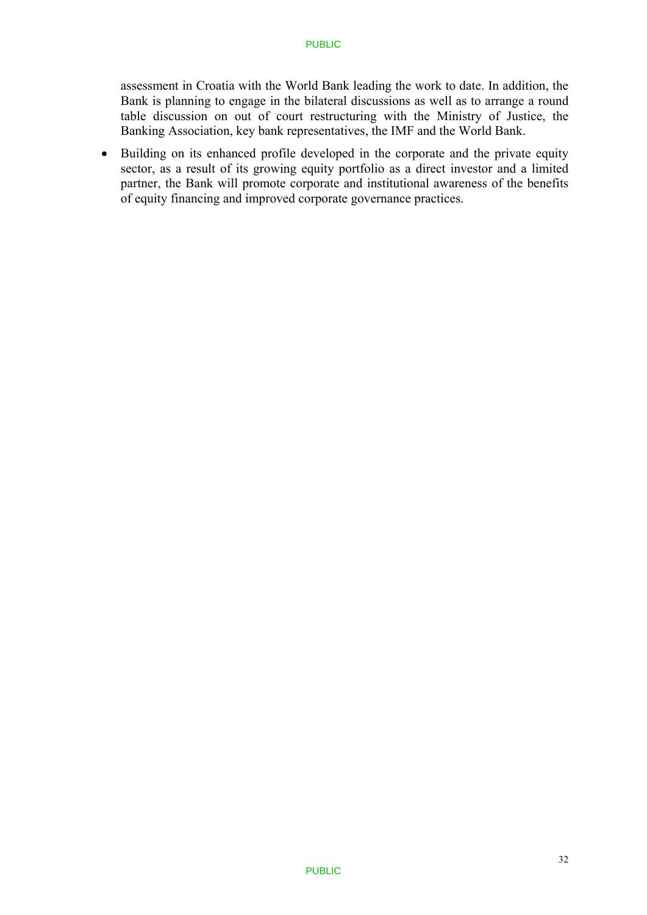assessment in Croatia with the World Bank leading the work to date. In addition, the Bank is planning to engage in the bilateral discussions as well as to arrange a round table discussion on out of court restructuring with the Ministry of Justice, the Banking Association, key bank representatives, the IMF and the World Bank.

• Building on its enhanced profile developed in the corporate and the private equity sector, as a result of its growing equity portfolio as a direct investor and a limited partner, the Bank will promote corporate and institutional awareness of the benefits of equity financing and improved corporate governance practices.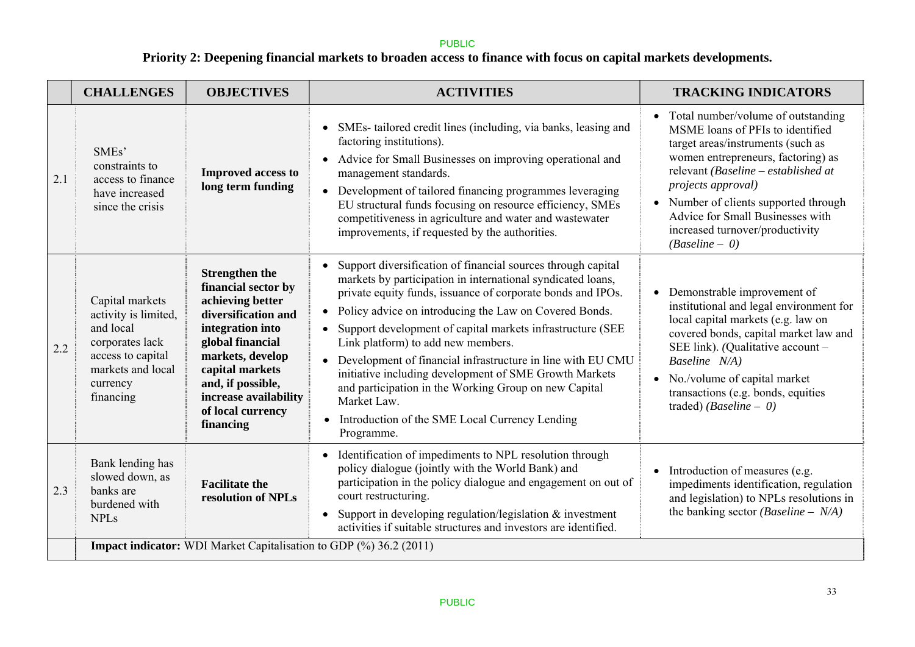# **Priority 2: Deepening financial markets to broaden access to finance with focus on capital markets developments.**

|     | <b>CHALLENGES</b>                                                                                                                          | <b>OBJECTIVES</b>                                                                                                                                                                                                                                      | <b>ACTIVITIES</b>                                                                                                                                                                                                                                                                                                                                                                                                                                                                                                                                                                                                                                     | <b>TRACKING INDICATORS</b>                                                                                                                                                                                                                                                                                                                         |  |  |  |
|-----|--------------------------------------------------------------------------------------------------------------------------------------------|--------------------------------------------------------------------------------------------------------------------------------------------------------------------------------------------------------------------------------------------------------|-------------------------------------------------------------------------------------------------------------------------------------------------------------------------------------------------------------------------------------------------------------------------------------------------------------------------------------------------------------------------------------------------------------------------------------------------------------------------------------------------------------------------------------------------------------------------------------------------------------------------------------------------------|----------------------------------------------------------------------------------------------------------------------------------------------------------------------------------------------------------------------------------------------------------------------------------------------------------------------------------------------------|--|--|--|
| 2.1 | SME <sub>s</sub> '<br>constraints to<br>access to finance<br>have increased<br>since the crisis                                            | <b>Improved access to</b><br>long term funding                                                                                                                                                                                                         | SMEs-tailored credit lines (including, via banks, leasing and<br>factoring institutions).<br>Advice for Small Businesses on improving operational and<br>$\bullet$<br>management standards.<br>• Development of tailored financing programmes leveraging<br>EU structural funds focusing on resource efficiency, SMEs<br>competitiveness in agriculture and water and wastewater<br>improvements, if requested by the authorities.                                                                                                                                                                                                                    | • Total number/volume of outstanding<br>MSME loans of PFIs to identified<br>target areas/instruments (such as<br>women entrepreneurs, factoring) as<br>relevant (Baseline – established at<br>projects approval)<br>• Number of clients supported through<br>Advice for Small Businesses with<br>increased turnover/productivity<br>$(Baseline-0)$ |  |  |  |
| 2.2 | Capital markets<br>activity is limited,<br>and local<br>corporates lack<br>access to capital<br>markets and local<br>currency<br>financing | <b>Strengthen the</b><br>financial sector by<br>achieving better<br>diversification and<br>integration into<br>global financial<br>markets, develop<br>capital markets<br>and, if possible,<br>increase availability<br>of local currency<br>financing | Support diversification of financial sources through capital<br>$\bullet$<br>markets by participation in international syndicated loans,<br>private equity funds, issuance of corporate bonds and IPOs.<br>Policy advice on introducing the Law on Covered Bonds.<br>$\bullet$<br>Support development of capital markets infrastructure (SEE<br>Link platform) to add new members.<br>• Development of financial infrastructure in line with EU CMU<br>initiative including development of SME Growth Markets<br>and participation in the Working Group on new Capital<br>Market Law.<br>Introduction of the SME Local Currency Lending<br>Programme. | • Demonstrable improvement of<br>institutional and legal environment for<br>local capital markets (e.g. law on<br>covered bonds, capital market law and<br>SEE link). (Qualitative account -<br>Baseline N/A)<br>• No./volume of capital market<br>transactions (e.g. bonds, equities<br>traded) (Baseline - $0$ )                                 |  |  |  |
| 2.3 | Bank lending has<br>slowed down, as<br>banks are<br>burdened with<br><b>NPLs</b>                                                           | <b>Facilitate the</b><br>resolution of NPLs                                                                                                                                                                                                            | Identification of impediments to NPL resolution through<br>policy dialogue (jointly with the World Bank) and<br>participation in the policy dialogue and engagement on out of<br>court restructuring.<br>Support in developing regulation/legislation $&$ investment<br>$\bullet$<br>activities if suitable structures and investors are identified.                                                                                                                                                                                                                                                                                                  | Introduction of measures (e.g.<br>impediments identification, regulation<br>and legislation) to NPLs resolutions in<br>the banking sector ( <i>Baseline – N/A</i> )                                                                                                                                                                                |  |  |  |
|     | <b>Impact indicator:</b> WDI Market Capitalisation to GDP (%) 36.2 (2011)                                                                  |                                                                                                                                                                                                                                                        |                                                                                                                                                                                                                                                                                                                                                                                                                                                                                                                                                                                                                                                       |                                                                                                                                                                                                                                                                                                                                                    |  |  |  |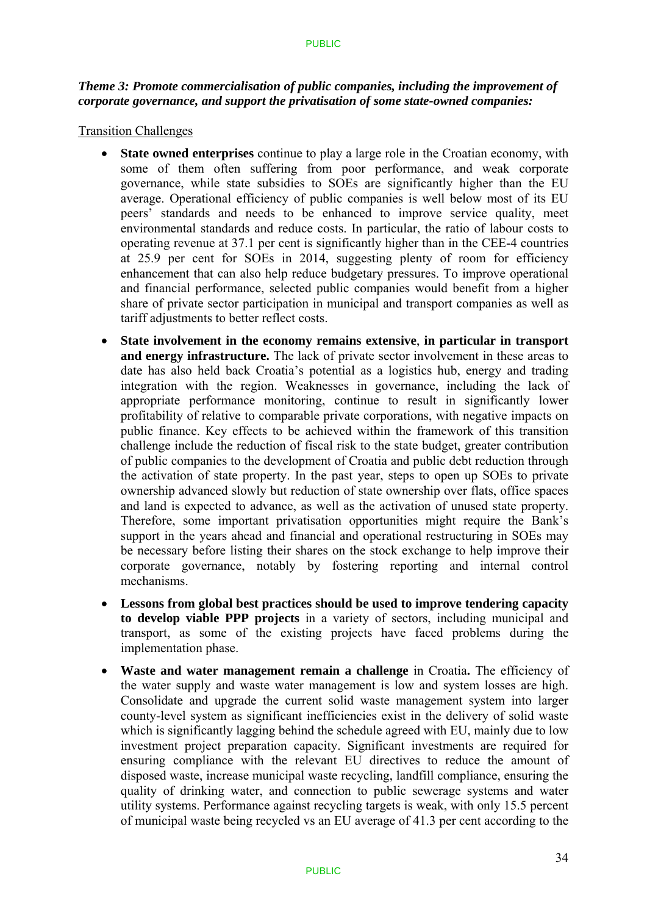### *Theme 3: Promote commercialisation of public companies, including the improvement of corporate governance, and support the privatisation of some state-owned companies:*

### Transition Challenges

- **State owned enterprises** continue to play a large role in the Croatian economy, with some of them often suffering from poor performance, and weak corporate governance, while state subsidies to SOEs are significantly higher than the EU average. Operational efficiency of public companies is well below most of its EU peers' standards and needs to be enhanced to improve service quality, meet environmental standards and reduce costs. In particular, the ratio of labour costs to operating revenue at 37.1 per cent is significantly higher than in the CEE-4 countries at 25.9 per cent for SOEs in 2014, suggesting plenty of room for efficiency enhancement that can also help reduce budgetary pressures. To improve operational and financial performance, selected public companies would benefit from a higher share of private sector participation in municipal and transport companies as well as tariff adjustments to better reflect costs.
- **State involvement in the economy remains extensive**, **in particular in transport and energy infrastructure.** The lack of private sector involvement in these areas to date has also held back Croatia's potential as a logistics hub, energy and trading integration with the region. Weaknesses in governance, including the lack of appropriate performance monitoring, continue to result in significantly lower profitability of relative to comparable private corporations, with negative impacts on public finance. Key effects to be achieved within the framework of this transition challenge include the reduction of fiscal risk to the state budget, greater contribution of public companies to the development of Croatia and public debt reduction through the activation of state property. In the past year, steps to open up SOEs to private ownership advanced slowly but reduction of state ownership over flats, office spaces and land is expected to advance, as well as the activation of unused state property. Therefore, some important privatisation opportunities might require the Bank's support in the years ahead and financial and operational restructuring in SOEs may be necessary before listing their shares on the stock exchange to help improve their corporate governance, notably by fostering reporting and internal control mechanisms.
- **Lessons from global best practices should be used to improve tendering capacity to develop viable PPP projects** in a variety of sectors, including municipal and transport, as some of the existing projects have faced problems during the implementation phase.
- Waste and water management remain a challenge in Croatia. The efficiency of the water supply and waste water management is low and system losses are high. Consolidate and upgrade the current solid waste management system into larger county-level system as significant inefficiencies exist in the delivery of solid waste which is significantly lagging behind the schedule agreed with EU, mainly due to low investment project preparation capacity. Significant investments are required for ensuring compliance with the relevant EU directives to reduce the amount of disposed waste, increase municipal waste recycling, landfill compliance, ensuring the quality of drinking water, and connection to public sewerage systems and water utility systems. Performance against recycling targets is weak, with only 15.5 percent of municipal waste being recycled vs an EU average of 41.3 per cent according to the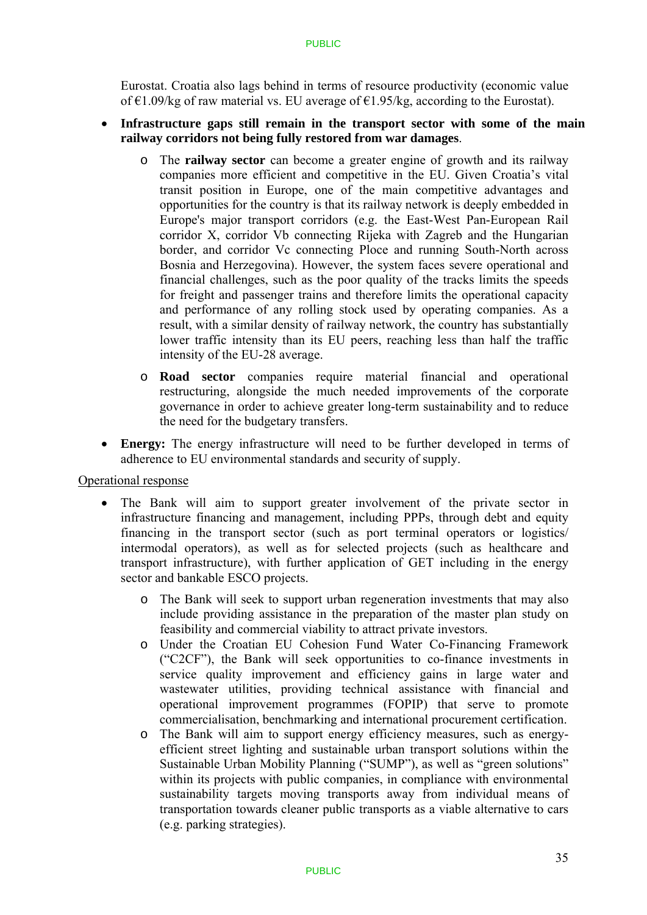Eurostat. Croatia also lags behind in terms of resource productivity (economic value of €1.09/kg of raw material vs. EU average of €1.95/kg, according to the Eurostat).

### **Infrastructure gaps still remain in the transport sector with some of the main railway corridors not being fully restored from war damages**.

- o The **railway sector** can become a greater engine of growth and its railway companies more efficient and competitive in the EU. Given Croatia's vital transit position in Europe, one of the main competitive advantages and opportunities for the country is that its railway network is deeply embedded in Europe's major transport corridors (e.g. the East-West Pan-European Rail corridor X, corridor Vb connecting Rijeka with Zagreb and the Hungarian border, and corridor Vc connecting Ploce and running South-North across Bosnia and Herzegovina). However, the system faces severe operational and financial challenges, such as the poor quality of the tracks limits the speeds for freight and passenger trains and therefore limits the operational capacity and performance of any rolling stock used by operating companies. As a result, with a similar density of railway network, the country has substantially lower traffic intensity than its EU peers, reaching less than half the traffic intensity of the EU-28 average.
- o **Road sector** companies require material financial and operational restructuring, alongside the much needed improvements of the corporate governance in order to achieve greater long-term sustainability and to reduce the need for the budgetary transfers.
- **Energy:** The energy infrastructure will need to be further developed in terms of adherence to EU environmental standards and security of supply.

Operational response

- The Bank will aim to support greater involvement of the private sector in infrastructure financing and management, including PPPs, through debt and equity financing in the transport sector (such as port terminal operators or logistics/ intermodal operators), as well as for selected projects (such as healthcare and transport infrastructure), with further application of GET including in the energy sector and bankable ESCO projects.
	- o The Bank will seek to support urban regeneration investments that may also include providing assistance in the preparation of the master plan study on feasibility and commercial viability to attract private investors.
	- o Under the Croatian EU Cohesion Fund Water Co-Financing Framework ("C2CF"), the Bank will seek opportunities to co-finance investments in service quality improvement and efficiency gains in large water and wastewater utilities, providing technical assistance with financial and operational improvement programmes (FOPIP) that serve to promote commercialisation, benchmarking and international procurement certification.
	- o The Bank will aim to support energy efficiency measures, such as energyefficient street lighting and sustainable urban transport solutions within the Sustainable Urban Mobility Planning ("SUMP"), as well as "green solutions" within its projects with public companies, in compliance with environmental sustainability targets moving transports away from individual means of transportation towards cleaner public transports as a viable alternative to cars (e.g. parking strategies).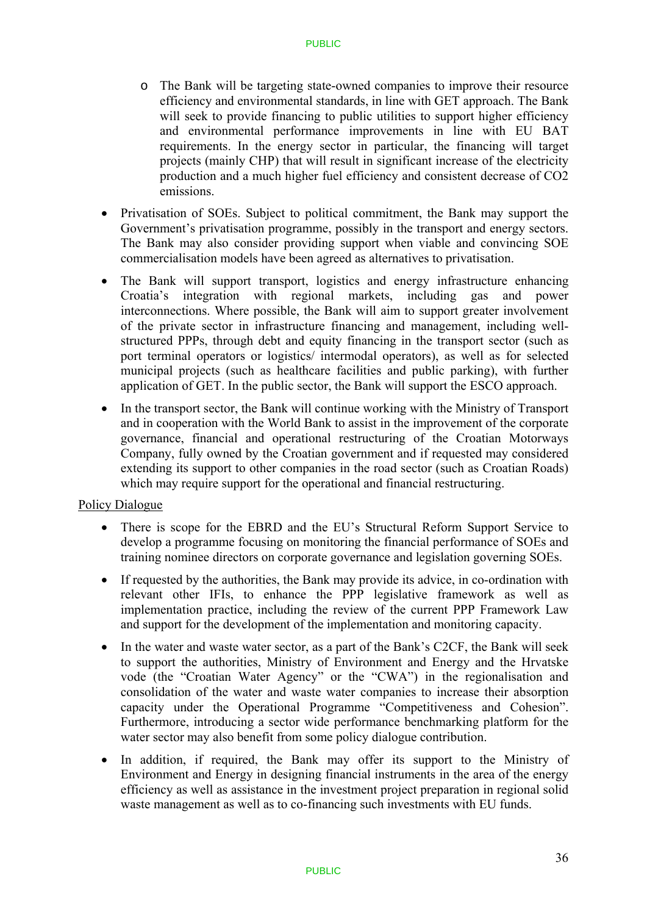- o The Bank will be targeting state-owned companies to improve their resource efficiency and environmental standards, in line with GET approach. The Bank will seek to provide financing to public utilities to support higher efficiency and environmental performance improvements in line with EU BAT requirements. In the energy sector in particular, the financing will target projects (mainly CHP) that will result in significant increase of the electricity production and a much higher fuel efficiency and consistent decrease of CO2 emissions.
- Privatisation of SOEs. Subject to political commitment, the Bank may support the Government's privatisation programme, possibly in the transport and energy sectors. The Bank may also consider providing support when viable and convincing SOE commercialisation models have been agreed as alternatives to privatisation.
- The Bank will support transport, logistics and energy infrastructure enhancing Croatia's integration with regional markets, including gas and power interconnections. Where possible, the Bank will aim to support greater involvement of the private sector in infrastructure financing and management, including wellstructured PPPs, through debt and equity financing in the transport sector (such as port terminal operators or logistics/ intermodal operators), as well as for selected municipal projects (such as healthcare facilities and public parking), with further application of GET. In the public sector, the Bank will support the ESCO approach.
- In the transport sector, the Bank will continue working with the Ministry of Transport and in cooperation with the World Bank to assist in the improvement of the corporate governance, financial and operational restructuring of the Croatian Motorways Company, fully owned by the Croatian government and if requested may considered extending its support to other companies in the road sector (such as Croatian Roads) which may require support for the operational and financial restructuring.

### Policy Dialogue

- There is scope for the EBRD and the EU's Structural Reform Support Service to develop a programme focusing on monitoring the financial performance of SOEs and training nominee directors on corporate governance and legislation governing SOEs.
- If requested by the authorities, the Bank may provide its advice, in co-ordination with relevant other IFIs, to enhance the PPP legislative framework as well as implementation practice, including the review of the current PPP Framework Law and support for the development of the implementation and monitoring capacity.
- In the water and waste water sector, as a part of the Bank's C2CF, the Bank will seek to support the authorities, Ministry of Environment and Energy and the Hrvatske vode (the "Croatian Water Agency" or the "CWA") in the regionalisation and consolidation of the water and waste water companies to increase their absorption capacity under the Operational Programme "Competitiveness and Cohesion". Furthermore, introducing a sector wide performance benchmarking platform for the water sector may also benefit from some policy dialogue contribution.
- In addition, if required, the Bank may offer its support to the Ministry of Environment and Energy in designing financial instruments in the area of the energy efficiency as well as assistance in the investment project preparation in regional solid waste management as well as to co-financing such investments with EU funds.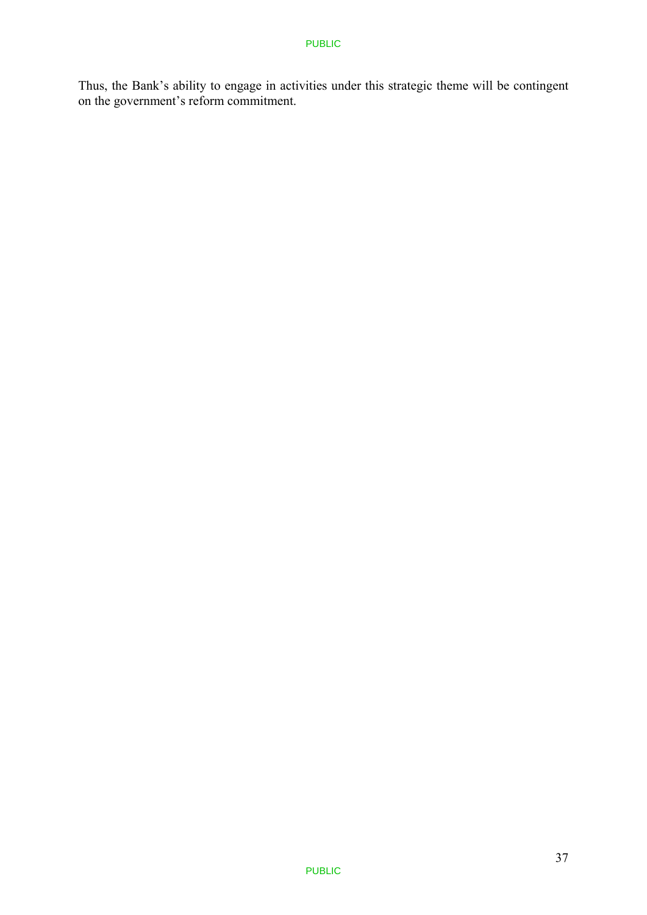Thus, the Bank's ability to engage in activities under this strategic theme will be contingent on the government's reform commitment.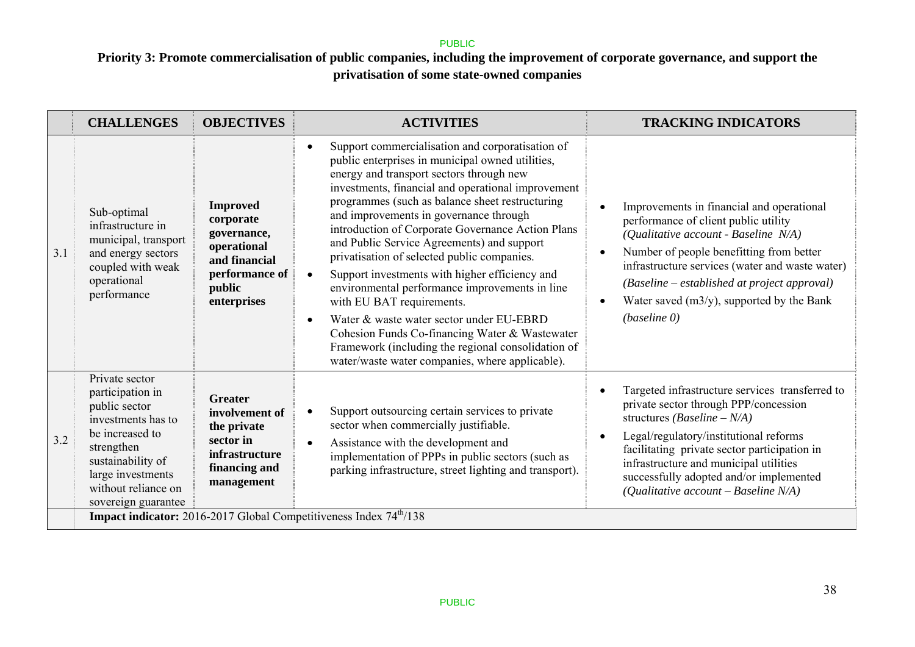# **Priority 3: Promote commercialisation of public companies, including the improvement of corporate governance, and support the privatisation of some state-owned companies**

|     | <b>CHALLENGES</b>                                                                                                                                                                                  | <b>OBJECTIVES</b>                                                                                                      | <b>ACTIVITIES</b>                                                                                                                                                                                                                                                                                                                                                                                                                                                                                                                                                                                                                                                                                                                                                                                                                    | <b>TRACKING INDICATORS</b>                                                                                                                                                                                                                                                                                                                                                        |  |  |  |
|-----|----------------------------------------------------------------------------------------------------------------------------------------------------------------------------------------------------|------------------------------------------------------------------------------------------------------------------------|--------------------------------------------------------------------------------------------------------------------------------------------------------------------------------------------------------------------------------------------------------------------------------------------------------------------------------------------------------------------------------------------------------------------------------------------------------------------------------------------------------------------------------------------------------------------------------------------------------------------------------------------------------------------------------------------------------------------------------------------------------------------------------------------------------------------------------------|-----------------------------------------------------------------------------------------------------------------------------------------------------------------------------------------------------------------------------------------------------------------------------------------------------------------------------------------------------------------------------------|--|--|--|
| 3.1 | Sub-optimal<br>infrastructure in<br>municipal, transport<br>and energy sectors<br>coupled with weak<br>operational<br>performance                                                                  | <b>Improved</b><br>corporate<br>governance,<br>operational<br>and financial<br>performance of<br>public<br>enterprises | Support commercialisation and corporatisation of<br>$\bullet$<br>public enterprises in municipal owned utilities,<br>energy and transport sectors through new<br>investments, financial and operational improvement<br>programmes (such as balance sheet restructuring<br>and improvements in governance through<br>introduction of Corporate Governance Action Plans<br>and Public Service Agreements) and support<br>privatisation of selected public companies.<br>Support investments with higher efficiency and<br>$\bullet$<br>environmental performance improvements in line<br>with EU BAT requirements.<br>Water & waste water sector under EU-EBRD<br>$\bullet$<br>Cohesion Funds Co-financing Water & Wastewater<br>Framework (including the regional consolidation of<br>water/waste water companies, where applicable). | Improvements in financial and operational<br>$\bullet$<br>performance of client public utility<br>(Qualitative account - Baseline N/A)<br>Number of people benefitting from better<br>$\bullet$<br>infrastructure services (water and waste water)<br>(Baseline – established at project approval)<br>Water saved $(m3/y)$ , supported by the Bank<br>$\bullet$<br>(baseline 0)   |  |  |  |
| 3.2 | Private sector<br>participation in<br>public sector<br>investments has to<br>be increased to<br>strengthen<br>sustainability of<br>large investments<br>without reliance on<br>sovereign guarantee | <b>Greater</b><br>involvement of<br>the private<br>sector in<br>infrastructure<br>financing and<br>management          | Support outsourcing certain services to private<br>$\bullet$<br>sector when commercially justifiable.<br>Assistance with the development and<br>$\bullet$<br>implementation of PPPs in public sectors (such as<br>parking infrastructure, street lighting and transport).                                                                                                                                                                                                                                                                                                                                                                                                                                                                                                                                                            | Targeted infrastructure services transferred to<br>$\bullet$<br>private sector through PPP/concession<br>structures ( <i>Baseline – N/A</i> )<br>Legal/regulatory/institutional reforms<br>$\bullet$<br>facilitating private sector participation in<br>infrastructure and municipal utilities<br>successfully adopted and/or implemented<br>(Qualitative account - Baseline N/A) |  |  |  |
|     | <b>Impact indicator:</b> 2016-2017 Global Competitiveness Index 74 <sup>th</sup> /138                                                                                                              |                                                                                                                        |                                                                                                                                                                                                                                                                                                                                                                                                                                                                                                                                                                                                                                                                                                                                                                                                                                      |                                                                                                                                                                                                                                                                                                                                                                                   |  |  |  |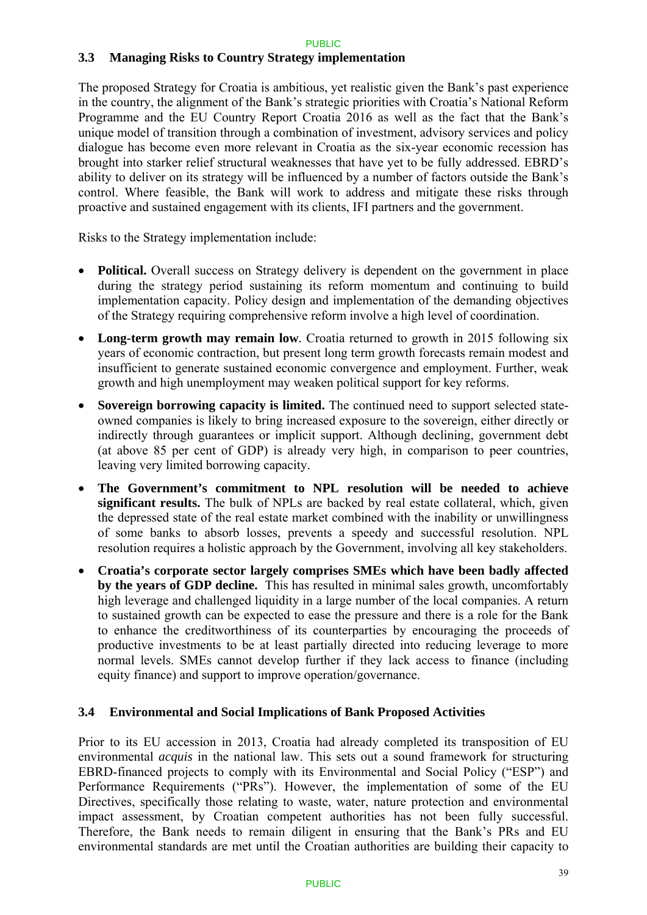### **3.3 Managing Risks to Country Strategy implementation**

The proposed Strategy for Croatia is ambitious, yet realistic given the Bank's past experience in the country, the alignment of the Bank's strategic priorities with Croatia's National Reform Programme and the EU Country Report Croatia 2016 as well as the fact that the Bank's unique model of transition through a combination of investment, advisory services and policy dialogue has become even more relevant in Croatia as the six-year economic recession has brought into starker relief structural weaknesses that have yet to be fully addressed. EBRD's ability to deliver on its strategy will be influenced by a number of factors outside the Bank's control. Where feasible, the Bank will work to address and mitigate these risks through proactive and sustained engagement with its clients, IFI partners and the government.

Risks to the Strategy implementation include:

- **Political.** Overall success on Strategy delivery is dependent on the government in place during the strategy period sustaining its reform momentum and continuing to build implementation capacity. Policy design and implementation of the demanding objectives of the Strategy requiring comprehensive reform involve a high level of coordination.
- Long-term growth may remain low. Croatia returned to growth in 2015 following six years of economic contraction, but present long term growth forecasts remain modest and insufficient to generate sustained economic convergence and employment. Further, weak growth and high unemployment may weaken political support for key reforms.
- **Sovereign borrowing capacity is limited.** The continued need to support selected stateowned companies is likely to bring increased exposure to the sovereign, either directly or indirectly through guarantees or implicit support. Although declining, government debt (at above 85 per cent of GDP) is already very high, in comparison to peer countries, leaving very limited borrowing capacity.
- **The Government's commitment to NPL resolution will be needed to achieve significant results.** The bulk of NPLs are backed by real estate collateral, which, given the depressed state of the real estate market combined with the inability or unwillingness of some banks to absorb losses, prevents a speedy and successful resolution. NPL resolution requires a holistic approach by the Government, involving all key stakeholders.
- **Croatia's corporate sector largely comprises SMEs which have been badly affected by the years of GDP decline.** This has resulted in minimal sales growth, uncomfortably high leverage and challenged liquidity in a large number of the local companies. A return to sustained growth can be expected to ease the pressure and there is a role for the Bank to enhance the creditworthiness of its counterparties by encouraging the proceeds of productive investments to be at least partially directed into reducing leverage to more normal levels. SMEs cannot develop further if they lack access to finance (including equity finance) and support to improve operation/governance.

### **3.4 Environmental and Social Implications of Bank Proposed Activities**

Prior to its EU accession in 2013, Croatia had already completed its transposition of EU environmental *acquis* in the national law. This sets out a sound framework for structuring EBRD-financed projects to comply with its Environmental and Social Policy ("ESP") and Performance Requirements ("PRs"). However, the implementation of some of the EU Directives, specifically those relating to waste, water, nature protection and environmental impact assessment, by Croatian competent authorities has not been fully successful. Therefore, the Bank needs to remain diligent in ensuring that the Bank's PRs and EU environmental standards are met until the Croatian authorities are building their capacity to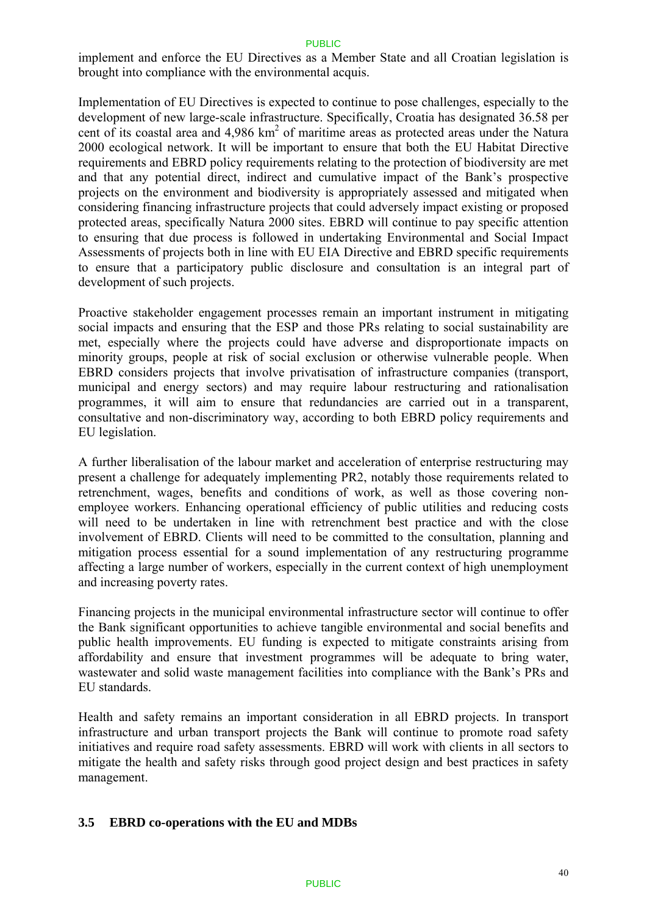implement and enforce the EU Directives as a Member State and all Croatian legislation is brought into compliance with the environmental acquis.

Implementation of EU Directives is expected to continue to pose challenges, especially to the development of new large-scale infrastructure. Specifically, Croatia has designated 36.58 per cent of its coastal area and 4,986 km<sup>2</sup> of maritime areas as protected areas under the Natura 2000 ecological network. It will be important to ensure that both the EU Habitat Directive requirements and EBRD policy requirements relating to the protection of biodiversity are met and that any potential direct, indirect and cumulative impact of the Bank's prospective projects on the environment and biodiversity is appropriately assessed and mitigated when considering financing infrastructure projects that could adversely impact existing or proposed protected areas, specifically Natura 2000 sites. EBRD will continue to pay specific attention to ensuring that due process is followed in undertaking Environmental and Social Impact Assessments of projects both in line with EU EIA Directive and EBRD specific requirements to ensure that a participatory public disclosure and consultation is an integral part of development of such projects.

Proactive stakeholder engagement processes remain an important instrument in mitigating social impacts and ensuring that the ESP and those PRs relating to social sustainability are met, especially where the projects could have adverse and disproportionate impacts on minority groups, people at risk of social exclusion or otherwise vulnerable people. When EBRD considers projects that involve privatisation of infrastructure companies (transport, municipal and energy sectors) and may require labour restructuring and rationalisation programmes, it will aim to ensure that redundancies are carried out in a transparent, consultative and non-discriminatory way, according to both EBRD policy requirements and EU legislation.

A further liberalisation of the labour market and acceleration of enterprise restructuring may present a challenge for adequately implementing PR2, notably those requirements related to retrenchment, wages, benefits and conditions of work, as well as those covering nonemployee workers. Enhancing operational efficiency of public utilities and reducing costs will need to be undertaken in line with retrenchment best practice and with the close involvement of EBRD. Clients will need to be committed to the consultation, planning and mitigation process essential for a sound implementation of any restructuring programme affecting a large number of workers, especially in the current context of high unemployment and increasing poverty rates.

Financing projects in the municipal environmental infrastructure sector will continue to offer the Bank significant opportunities to achieve tangible environmental and social benefits and public health improvements. EU funding is expected to mitigate constraints arising from affordability and ensure that investment programmes will be adequate to bring water, wastewater and solid waste management facilities into compliance with the Bank's PRs and EU standards.

Health and safety remains an important consideration in all EBRD projects. In transport infrastructure and urban transport projects the Bank will continue to promote road safety initiatives and require road safety assessments. EBRD will work with clients in all sectors to mitigate the health and safety risks through good project design and best practices in safety management.

### **3.5 EBRD co-operations with the EU and MDBs**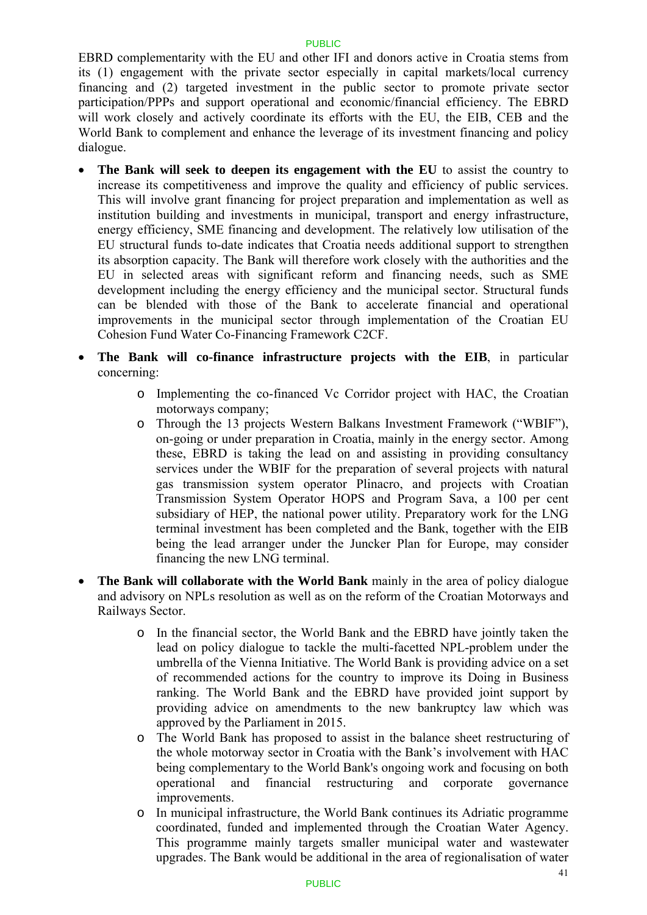EBRD complementarity with the EU and other IFI and donors active in Croatia stems from its (1) engagement with the private sector especially in capital markets/local currency financing and (2) targeted investment in the public sector to promote private sector participation/PPPs and support operational and economic/financial efficiency. The EBRD will work closely and actively coordinate its efforts with the EU, the EIB, CEB and the World Bank to complement and enhance the leverage of its investment financing and policy dialogue.

- **The Bank will seek to deepen its engagement with the EU** to assist the country to increase its competitiveness and improve the quality and efficiency of public services. This will involve grant financing for project preparation and implementation as well as institution building and investments in municipal, transport and energy infrastructure, energy efficiency, SME financing and development. The relatively low utilisation of the EU structural funds to-date indicates that Croatia needs additional support to strengthen its absorption capacity. The Bank will therefore work closely with the authorities and the EU in selected areas with significant reform and financing needs, such as SME development including the energy efficiency and the municipal sector. Structural funds can be blended with those of the Bank to accelerate financial and operational improvements in the municipal sector through implementation of the Croatian EU Cohesion Fund Water Co-Financing Framework C2CF.
- **The Bank will co-finance infrastructure projects with the EIB**, in particular concerning:
	- o Implementing the co-financed Vc Corridor project with HAC, the Croatian motorways company;
	- o Through the 13 projects Western Balkans Investment Framework ("WBIF"), on-going or under preparation in Croatia, mainly in the energy sector. Among these, EBRD is taking the lead on and assisting in providing consultancy services under the WBIF for the preparation of several projects with natural gas transmission system operator Plinacro, and projects with Croatian Transmission System Operator HOPS and Program Sava, a 100 per cent subsidiary of HEP, the national power utility. Preparatory work for the LNG terminal investment has been completed and the Bank, together with the EIB being the lead arranger under the Juncker Plan for Europe, may consider financing the new LNG terminal.
- **The Bank will collaborate with the World Bank** mainly in the area of policy dialogue and advisory on NPLs resolution as well as on the reform of the Croatian Motorways and Railways Sector.
	- o In the financial sector, the World Bank and the EBRD have jointly taken the lead on policy dialogue to tackle the multi-facetted NPL-problem under the umbrella of the Vienna Initiative. The World Bank is providing advice on a set of recommended actions for the country to improve its Doing in Business ranking. The World Bank and the EBRD have provided joint support by providing advice on amendments to the new bankruptcy law which was approved by the Parliament in 2015.
	- o The World Bank has proposed to assist in the balance sheet restructuring of the whole motorway sector in Croatia with the Bank's involvement with HAC being complementary to the World Bank's ongoing work and focusing on both operational and financial restructuring and corporate governance improvements.
	- o In municipal infrastructure, the World Bank continues its Adriatic programme coordinated, funded and implemented through the Croatian Water Agency. This programme mainly targets smaller municipal water and wastewater upgrades. The Bank would be additional in the area of regionalisation of water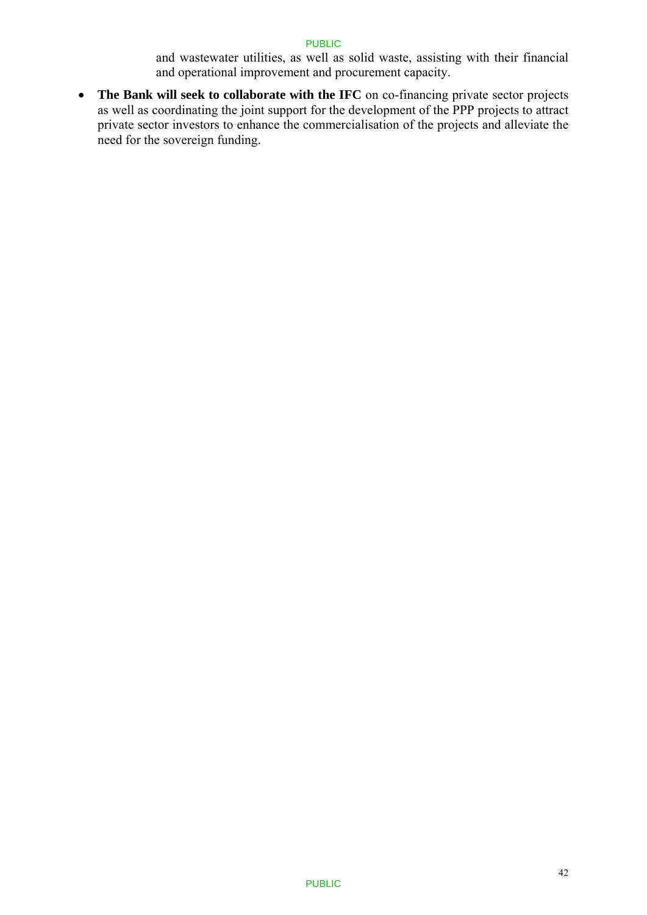and wastewater utilities, as well as solid waste, assisting with their financial and operational improvement and procurement capacity.

 **The Bank will seek to collaborate with the IFC** on co-financing private sector projects as well as coordinating the joint support for the development of the PPP projects to attract private sector investors to enhance the commercialisation of the projects and alleviate the need for the sovereign funding.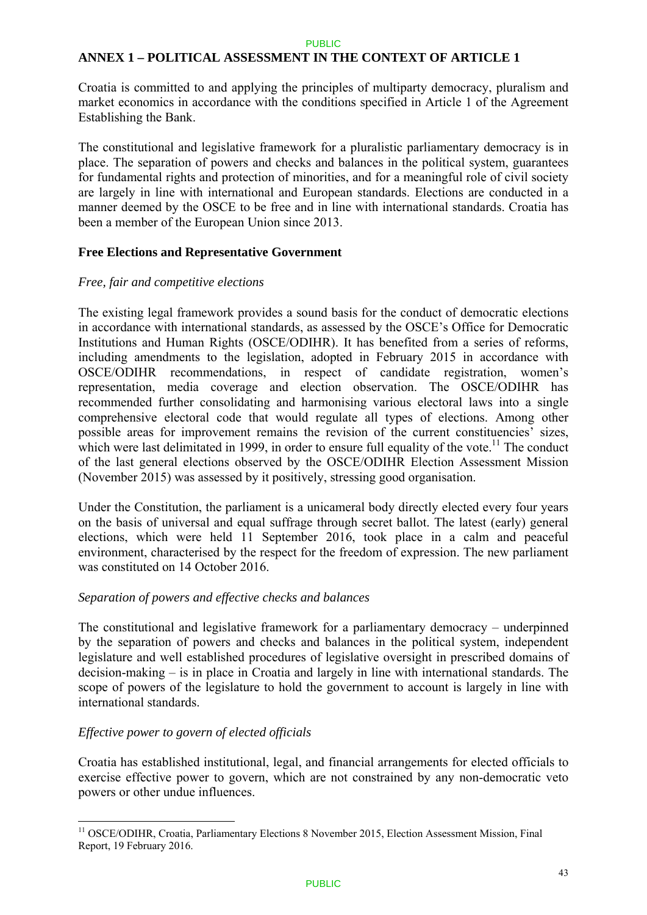### **ANNEX 1 – POLITICAL ASSESSMENT IN THE CONTEXT OF ARTICLE 1**

Croatia is committed to and applying the principles of multiparty democracy, pluralism and market economics in accordance with the conditions specified in Article 1 of the Agreement Establishing the Bank.

The constitutional and legislative framework for a pluralistic parliamentary democracy is in place. The separation of powers and checks and balances in the political system, guarantees for fundamental rights and protection of minorities, and for a meaningful role of civil society are largely in line with international and European standards. Elections are conducted in a manner deemed by the OSCE to be free and in line with international standards. Croatia has been a member of the European Union since 2013.

#### **Free Elections and Representative Government**

#### *Free, fair and competitive elections*

The existing legal framework provides a sound basis for the conduct of democratic elections in accordance with international standards, as assessed by the OSCE's Office for Democratic Institutions and Human Rights (OSCE/ODIHR). It has benefited from a series of reforms, including amendments to the legislation, adopted in February 2015 in accordance with OSCE/ODIHR recommendations, in respect of candidate registration, women's representation, media coverage and election observation. The OSCE/ODIHR has recommended further consolidating and harmonising various electoral laws into a single comprehensive electoral code that would regulate all types of elections. Among other possible areas for improvement remains the revision of the current constituencies' sizes, which were last delimitated in 1999, in order to ensure full equality of the vote.<sup>11</sup> The conduct of the last general elections observed by the OSCE/ODIHR Election Assessment Mission (November 2015) was assessed by it positively, stressing good organisation.

Under the Constitution, the parliament is a unicameral body directly elected every four years on the basis of universal and equal suffrage through secret ballot. The latest (early) general elections, which were held 11 September 2016, took place in a calm and peaceful environment, characterised by the respect for the freedom of expression. The new parliament was constituted on 14 October 2016.

### *Separation of powers and effective checks and balances*

The constitutional and legislative framework for a parliamentary democracy – underpinned by the separation of powers and checks and balances in the political system, independent legislature and well established procedures of legislative oversight in prescribed domains of decision-making – is in place in Croatia and largely in line with international standards. The scope of powers of the legislature to hold the government to account is largely in line with international standards.

### *Effective power to govern of elected officials*

<u>.</u>

Croatia has established institutional, legal, and financial arrangements for elected officials to exercise effective power to govern, which are not constrained by any non-democratic veto powers or other undue influences.

<sup>&</sup>lt;sup>11</sup> OSCE/ODIHR, Croatia, Parliamentary Elections 8 November 2015, Election Assessment Mission, Final Report, 19 February 2016.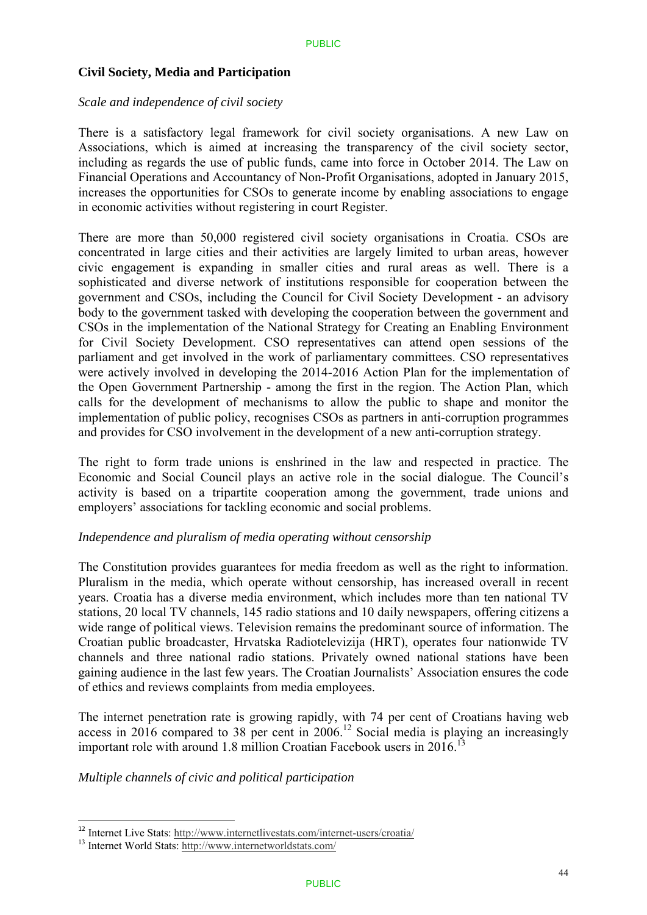#### **Civil Society, Media and Participation**

#### *Scale and independence of civil society*

There is a satisfactory legal framework for civil society organisations. A new Law on Associations, which is aimed at increasing the transparency of the civil society sector, including as regards the use of public funds, came into force in October 2014. The Law on Financial Operations and Accountancy of Non-Profit Organisations, adopted in January 2015, increases the opportunities for CSOs to generate income by enabling associations to engage in economic activities without registering in court Register.

There are more than 50,000 registered civil society organisations in Croatia. CSOs are concentrated in large cities and their activities are largely limited to urban areas, however civic engagement is expanding in smaller cities and rural areas as well. There is a sophisticated and diverse network of institutions responsible for cooperation between the government and CSOs, including the Council for Civil Society Development - an advisory body to the government tasked with developing the cooperation between the government and CSOs in the implementation of the National Strategy for Creating an Enabling Environment for Civil Society Development. CSO representatives can attend open sessions of the parliament and get involved in the work of parliamentary committees. CSO representatives were actively involved in developing the 2014-2016 Action Plan for the implementation of the Open Government Partnership - among the first in the region. The Action Plan, which calls for the development of mechanisms to allow the public to shape and monitor the implementation of public policy, recognises CSOs as partners in anti-corruption programmes and provides for CSO involvement in the development of a new anti-corruption strategy.

The right to form trade unions is enshrined in the law and respected in practice. The Economic and Social Council plays an active role in the social dialogue. The Council's activity is based on a tripartite cooperation among the government, trade unions and employers' associations for tackling economic and social problems.

#### *Independence and pluralism of media operating without censorship*

The Constitution provides guarantees for media freedom as well as the right to information. Pluralism in the media, which operate without censorship, has increased overall in recent years. Croatia has a diverse media environment, which includes more than ten national TV stations, 20 local TV channels, 145 radio stations and 10 daily newspapers, offering citizens a wide range of political views. Television remains the predominant source of information. The Croatian public broadcaster, Hrvatska Radiotelevizija (HRT), operates four nationwide TV channels and three national radio stations. Privately owned national stations have been gaining audience in the last few years. The Croatian Journalists' Association ensures the code of ethics and reviews complaints from media employees.

The internet penetration rate is growing rapidly, with 74 per cent of Croatians having web access in 2016 compared to 38 per cent in  $2006$ .<sup>12</sup> Social media is playing an increasingly important role with around 1.8 million Croatian Facebook users in  $2016$ <sup>13</sup>

### *Multiple channels of civic and political participation*

1

<sup>&</sup>lt;sup>12</sup> Internet Live Stats: http://www.internetlivestats.com/internet-users/croatia/

<sup>13</sup> Internet World Stats: http://www.internetworldstats.com/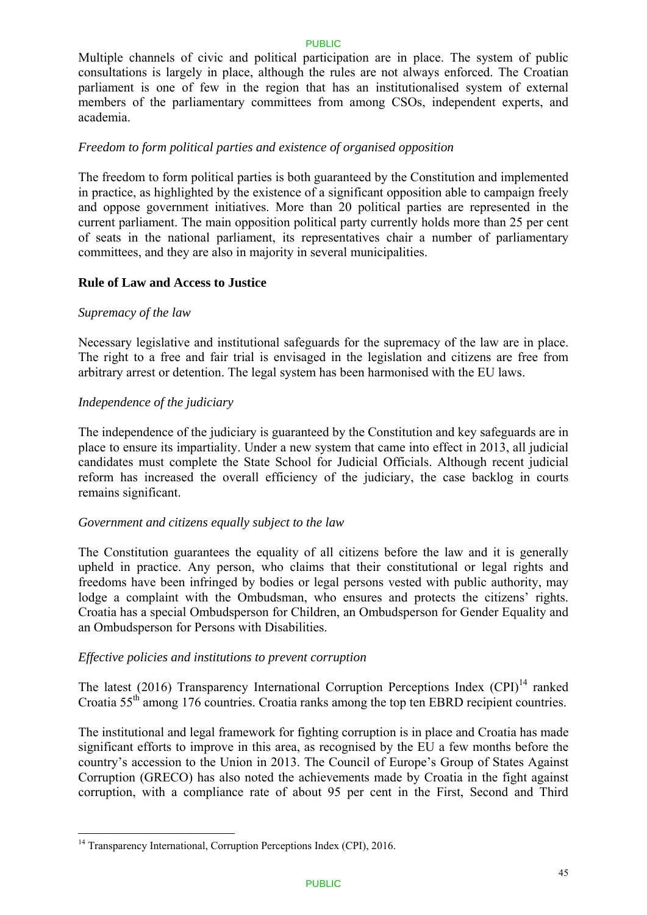Multiple channels of civic and political participation are in place. The system of public consultations is largely in place, although the rules are not always enforced. The Croatian parliament is one of few in the region that has an institutionalised system of external members of the parliamentary committees from among CSOs, independent experts, and academia.

### *Freedom to form political parties and existence of organised opposition*

The freedom to form political parties is both guaranteed by the Constitution and implemented in practice, as highlighted by the existence of a significant opposition able to campaign freely and oppose government initiatives. More than 20 political parties are represented in the current parliament. The main opposition political party currently holds more than 25 per cent of seats in the national parliament, its representatives chair a number of parliamentary committees, and they are also in majority in several municipalities.

### **Rule of Law and Access to Justice**

### *Supremacy of the law*

1

Necessary legislative and institutional safeguards for the supremacy of the law are in place. The right to a free and fair trial is envisaged in the legislation and citizens are free from arbitrary arrest or detention. The legal system has been harmonised with the EU laws.

### *Independence of the judiciary*

The independence of the judiciary is guaranteed by the Constitution and key safeguards are in place to ensure its impartiality. Under a new system that came into effect in 2013, all judicial candidates must complete the State School for Judicial Officials. Although recent judicial reform has increased the overall efficiency of the judiciary, the case backlog in courts remains significant.

### *Government and citizens equally subject to the law*

The Constitution guarantees the equality of all citizens before the law and it is generally upheld in practice. Any person, who claims that their constitutional or legal rights and freedoms have been infringed by bodies or legal persons vested with public authority, may lodge a complaint with the Ombudsman, who ensures and protects the citizens' rights. Croatia has a special Ombudsperson for Children, an Ombudsperson for Gender Equality and an Ombudsperson for Persons with Disabilities.

### *Effective policies and institutions to prevent corruption*

The latest (2016) Transparency International Corruption Perceptions Index  $(CPI)^{14}$  ranked Croatia 55th among 176 countries. Croatia ranks among the top ten EBRD recipient countries.

The institutional and legal framework for fighting corruption is in place and Croatia has made significant efforts to improve in this area, as recognised by the EU a few months before the country's accession to the Union in 2013. The Council of Europe's Group of States Against Corruption (GRECO) has also noted the achievements made by Croatia in the fight against corruption, with a compliance rate of about 95 per cent in the First, Second and Third

<sup>&</sup>lt;sup>14</sup> Transparency International, Corruption Perceptions Index (CPI), 2016.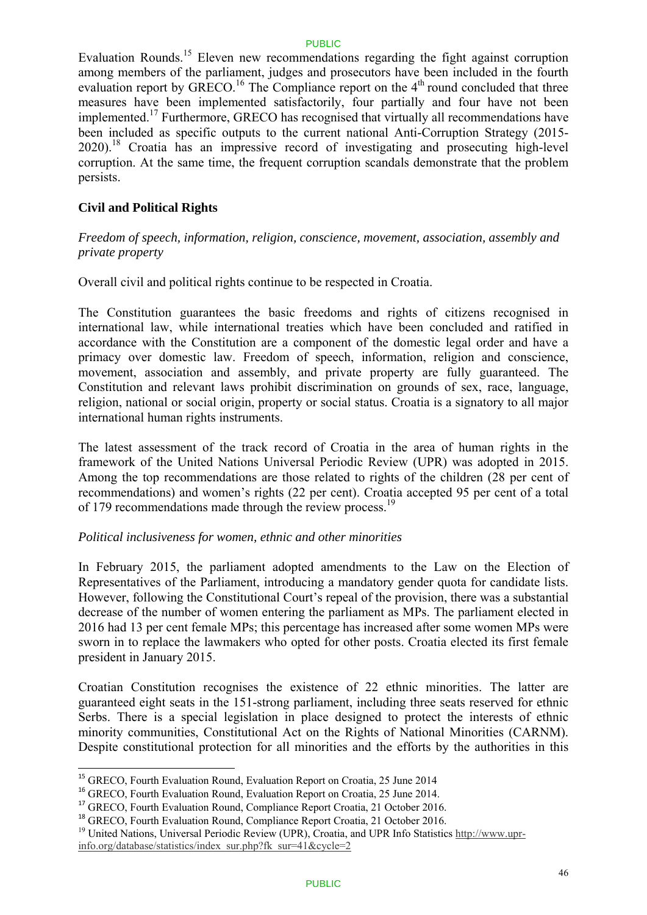Evaluation Rounds.15 Eleven new recommendations regarding the fight against corruption among members of the parliament, judges and prosecutors have been included in the fourth evaluation report by GRECO.<sup>16</sup> The Compliance report on the  $4<sup>th</sup>$  round concluded that three measures have been implemented satisfactorily, four partially and four have not been implemented.17 Furthermore, GRECO has recognised that virtually all recommendations have been included as specific outputs to the current national Anti-Corruption Strategy (2015- 2020).18 Croatia has an impressive record of investigating and prosecuting high-level corruption. At the same time, the frequent corruption scandals demonstrate that the problem persists.

### **Civil and Political Rights**

*Freedom of speech, information, religion, conscience, movement, association, assembly and private property* 

Overall civil and political rights continue to be respected in Croatia.

The Constitution guarantees the basic freedoms and rights of citizens recognised in international law, while international treaties which have been concluded and ratified in accordance with the Constitution are a component of the domestic legal order and have a primacy over domestic law. Freedom of speech, information, religion and conscience, movement, association and assembly, and private property are fully guaranteed. The Constitution and relevant laws prohibit discrimination on grounds of sex, race, language, religion, national or social origin, property or social status. Croatia is a signatory to all major international human rights instruments.

The latest assessment of the track record of Croatia in the area of human rights in the framework of the United Nations Universal Periodic Review (UPR) was adopted in 2015. Among the top recommendations are those related to rights of the children (28 per cent of recommendations) and women's rights (22 per cent). Croatia accepted 95 per cent of a total of 179 recommendations made through the review process.<sup>19</sup>

### *Political inclusiveness for women, ethnic and other minorities*

In February 2015, the parliament adopted amendments to the Law on the Election of Representatives of the Parliament, introducing a mandatory gender quota for candidate lists. However, following the Constitutional Court's repeal of the provision, there was a substantial decrease of the number of women entering the parliament as MPs. The parliament elected in 2016 had 13 per cent female MPs; this percentage has increased after some women MPs were sworn in to replace the lawmakers who opted for other posts. Croatia elected its first female president in January 2015.

Croatian Constitution recognises the existence of 22 ethnic minorities. The latter are guaranteed eight seats in the 151-strong parliament, including three seats reserved for ethnic Serbs. There is a special legislation in place designed to protect the interests of ethnic minority communities, Constitutional Act on the Rights of National Minorities (CARNM). Despite constitutional protection for all minorities and the efforts by the authorities in this

1

<sup>&</sup>lt;sup>15</sup> GRECO, Fourth Evaluation Round, Evaluation Report on Croatia, 25 June 2014

<sup>&</sup>lt;sup>16</sup> GRECO, Fourth Evaluation Round, Evaluation Report on Croatia, 25 June 2014.

<sup>&</sup>lt;sup>17</sup> GRECO, Fourth Evaluation Round, Compliance Report Croatia, 21 October 2016.

<sup>&</sup>lt;sup>18</sup> GRECO, Fourth Evaluation Round, Compliance Report Croatia, 21 October 2016.

<sup>&</sup>lt;sup>19</sup> United Nations, Universal Periodic Review (UPR), Croatia, and UPR Info Statistics http://www.upr-

info.org/database/statistics/index\_sur.php?fk\_sur=41&cycle=2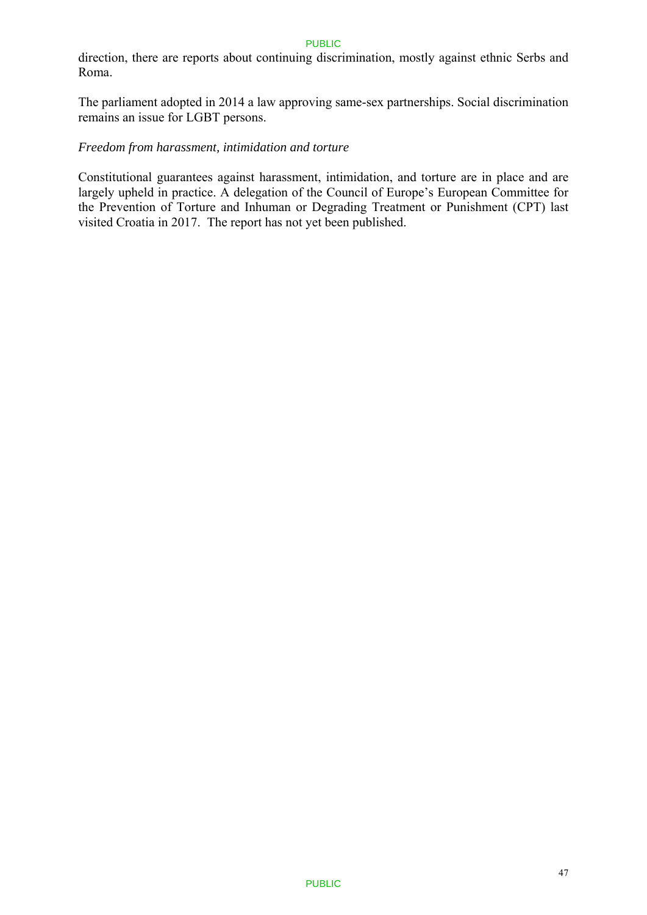direction, there are reports about continuing discrimination, mostly against ethnic Serbs and Roma.

The parliament adopted in 2014 a law approving same-sex partnerships. Social discrimination remains an issue for LGBT persons.

#### *Freedom from harassment, intimidation and torture*

Constitutional guarantees against harassment, intimidation, and torture are in place and are largely upheld in practice. A delegation of the Council of Europe's European Committee for the Prevention of Torture and Inhuman or Degrading Treatment or Punishment (CPT) last visited Croatia in 2017. The report has not yet been published.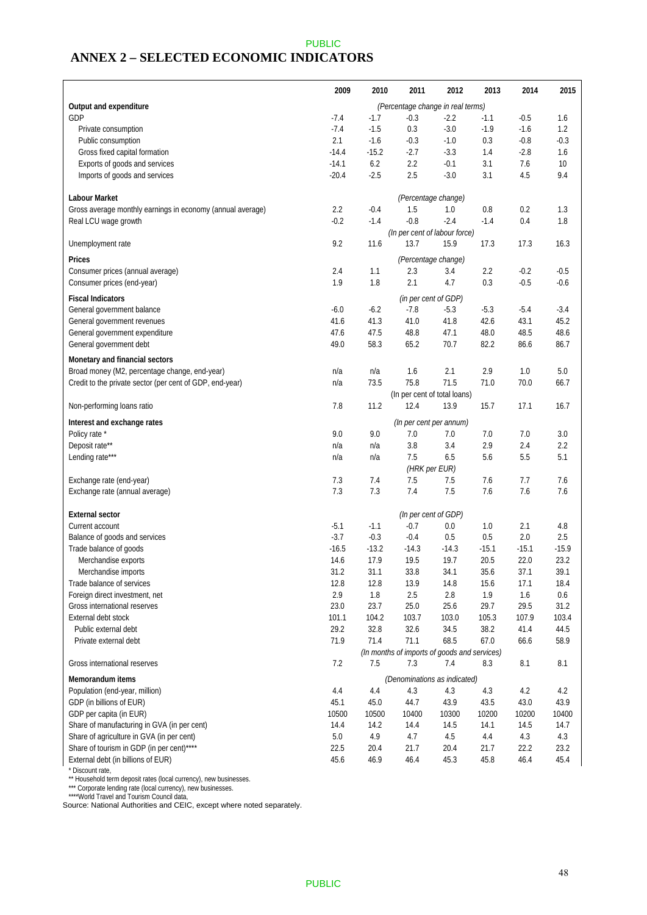### PUBLIC **ANNEX 2 – SELECTED ECONOMIC INDICATORS**

|                                                               | 2009    | 2010    | 2011                                         | 2012    | 2013    | 2014    | 2015    |
|---------------------------------------------------------------|---------|---------|----------------------------------------------|---------|---------|---------|---------|
| Output and expenditure                                        |         |         | (Percentage change in real terms)            |         |         |         |         |
| GDP                                                           | $-7.4$  | $-1.7$  | $-0.3$                                       | $-2.2$  | $-1.1$  | $-0.5$  | 1.6     |
| Private consumption                                           | $-7.4$  | $-1.5$  | 0.3                                          | $-3.0$  | $-1.9$  | $-1.6$  | 1.2     |
| Public consumption                                            | 2.1     | $-1.6$  | $-0.3$                                       | $-1.0$  | 0.3     | $-0.8$  | $-0.3$  |
| Gross fixed capital formation                                 | $-14.4$ | $-15.2$ | $-2.7$                                       | $-3.3$  | 1.4     | $-2.8$  | 1.6     |
| Exports of goods and services                                 | $-14.1$ | 6.2     | 2.2                                          | $-0.1$  | 3.1     | 7.6     | 10      |
| Imports of goods and services                                 | $-20.4$ | $-2.5$  | 2.5                                          | $-3.0$  | 3.1     | 4.5     | 9.4     |
|                                                               |         |         |                                              |         |         |         |         |
| Labour Market                                                 |         |         | (Percentage change)                          |         |         |         |         |
| Gross average monthly earnings in economy (annual average)    | 2.2     | $-0.4$  | 1.5                                          | 1.0     | 0.8     | 0.2     | 1.3     |
| Real LCU wage growth                                          | $-0.2$  | $-1.4$  | $-0.8$                                       | $-2.4$  | $-1.4$  | 0.4     | 1.8     |
|                                                               |         |         | (In per cent of labour force)                |         |         |         |         |
| Unemployment rate                                             | 9.2     | 11.6    | 13.7                                         | 15.9    | 17.3    | 17.3    | 16.3    |
| Prices                                                        |         |         | (Percentage change)                          |         |         |         |         |
| Consumer prices (annual average)                              | 2.4     | 1.1     | 2.3                                          | 3.4     | 2.2     | $-0.2$  | $-0.5$  |
| Consumer prices (end-year)                                    | 1.9     | 1.8     | 2.1                                          | 4.7     | 0.3     | $-0.5$  | $-0.6$  |
| <b>Fiscal Indicators</b>                                      |         |         |                                              |         |         |         |         |
| General government balance                                    | $-6.0$  | $-6.2$  | (in per cent of GDP)<br>$-7.8$               | $-5.3$  | $-5.3$  | $-5.4$  | $-3.4$  |
|                                                               | 41.6    | 41.3    | 41.0                                         | 41.8    | 42.6    | 43.1    | 45.2    |
| General government revenues<br>General government expenditure | 47.6    | 47.5    | 48.8                                         | 47.1    | 48.0    | 48.5    | 48.6    |
| General government debt                                       | 49.0    | 58.3    | 65.2                                         | 70.7    | 82.2    | 86.6    | 86.7    |
|                                                               |         |         |                                              |         |         |         |         |
| Monetary and financial sectors                                |         |         |                                              |         |         |         |         |
| Broad money (M2, percentage change, end-year)                 | n/a     | n/a     | 1.6                                          | 2.1     | 2.9     | 1.0     | 5.0     |
| Credit to the private sector (per cent of GDP, end-year)      | n/a     | 73.5    | 75.8                                         | 71.5    | 71.0    | 70.0    | 66.7    |
|                                                               |         |         | (In per cent of total loans)                 |         |         |         |         |
| Non-performing loans ratio                                    | 7.8     | 11.2    | 12.4                                         | 13.9    | 15.7    | 17.1    | 16.7    |
| Interest and exchange rates                                   |         |         | (In per cent per annum)                      |         |         |         |         |
| Policy rate *                                                 | 9.0     | 9.0     | 7.0                                          | 7.0     | 7.0     | 7.0     | 3.0     |
| Deposit rate**                                                | n/a     | n/a     | 3.8                                          | 3.4     | 2.9     | 2.4     | 2.2     |
| Lending rate***                                               | n/a     | n/a     | 7.5                                          | 6.5     | 5.6     | 5.5     | 5.1     |
|                                                               |         |         | (HRK per EUR)                                |         |         |         |         |
| Exchange rate (end-year)                                      | 7.3     | 7.4     | 7.5                                          | 7.5     | 7.6     | 7.7     | 7.6     |
| Exchange rate (annual average)                                | 7.3     | 7.3     | 7.4                                          | 7.5     | 7.6     | 7.6     | 7.6     |
|                                                               |         |         |                                              |         |         |         |         |
| <b>External sector</b>                                        |         |         | (In per cent of GDP)                         |         |         |         |         |
| Current account                                               | $-5.1$  | $-1.1$  | $-0.7$                                       | 0.0     | 1.0     | 2.1     | 4.8     |
| Balance of goods and services                                 | $-3.7$  | $-0.3$  | $-0.4$                                       | 0.5     | 0.5     | 2.0     | 2.5     |
| Trade balance of goods                                        | $-16.5$ | $-13.2$ | $-14.3$                                      | $-14.3$ | $-15.1$ | $-15.1$ | $-15.9$ |
| Merchandise exports                                           | 14.6    | 17.9    | 19.5                                         | 19.7    | 20.5    | 22.0    | 23.2    |
| Merchandise imports                                           | 31.2    | 31.1    | 33.8                                         | 34.1    | 35.6    | 37.1    | 39.1    |
| Trade balance of services                                     | 12.8    | 12.8    | 13.9                                         | 14.8    | 15.6    | 17.1    | 18.4    |
| Foreign direct investment, net                                | 2.9     | 1.8     | 2.5                                          | 2.8     | 1.9     | 1.6     | 0.6     |
| Gross international reserves                                  | 23.0    | 23.7    | 25.0                                         | 25.6    | 29.7    | 29.5    | 31.2    |
| External debt stock                                           | 101.1   | 104.2   | 103.7                                        | 103.0   | 105.3   | 107.9   | 103.4   |
| Public external debt                                          | 29.2    | 32.8    | 32.6                                         | 34.5    | 38.2    | 41.4    | 44.5    |
| Private external debt                                         | 71.9    | 71.4    | 71.1                                         | 68.5    | 67.0    | 66.6    | 58.9    |
|                                                               |         |         | (In months of imports of goods and services) |         |         |         |         |
| Gross international reserves                                  | 7.2     | 7.5     | 7.3                                          | 7.4     | 8.3     | 8.1     | 8.1     |
| <b>Memorandum items</b>                                       |         |         | (Denominations as indicated)                 |         |         |         |         |
| Population (end-year, million)                                | 4.4     | 4.4     | 4.3                                          | 4.3     | 4.3     | 4.2     | 4.2     |
| GDP (in billions of EUR)                                      | 45.1    | 45.0    | 44.7                                         | 43.9    | 43.5    | 43.0    | 43.9    |
| GDP per capita (in EUR)                                       | 10500   | 10500   | 10400                                        | 10300   | 10200   | 10200   | 10400   |
| Share of manufacturing in GVA (in per cent)                   | 14.4    | 14.2    | 14.4                                         | 14.5    | 14.1    | 14.5    | 14.7    |
| Share of agriculture in GVA (in per cent)                     | $5.0\,$ | 4.9     | 4.7                                          | 4.5     | 4.4     | 4.3     | 4.3     |
| Share of tourism in GDP (in per cent)****                     | 22.5    | 20.4    | 21.7                                         | 20.4    | 21.7    | 22.2    | 23.2    |
| External debt (in billions of EUR)                            | 45.6    | 46.9    | 46.4                                         | 45.3    | 45.8    | 46.4    | 45.4    |
| * Discount rate,                                              |         |         |                                              |         |         |         |         |

\*\* Household term deposit rates (local currency), new businesses.

\*\*\* Corporate lending rate (local currency), new businesses.

\*\*\*\*World Travel and Tourism Council data,

Source: National Authorities and CEIC, except where noted separately.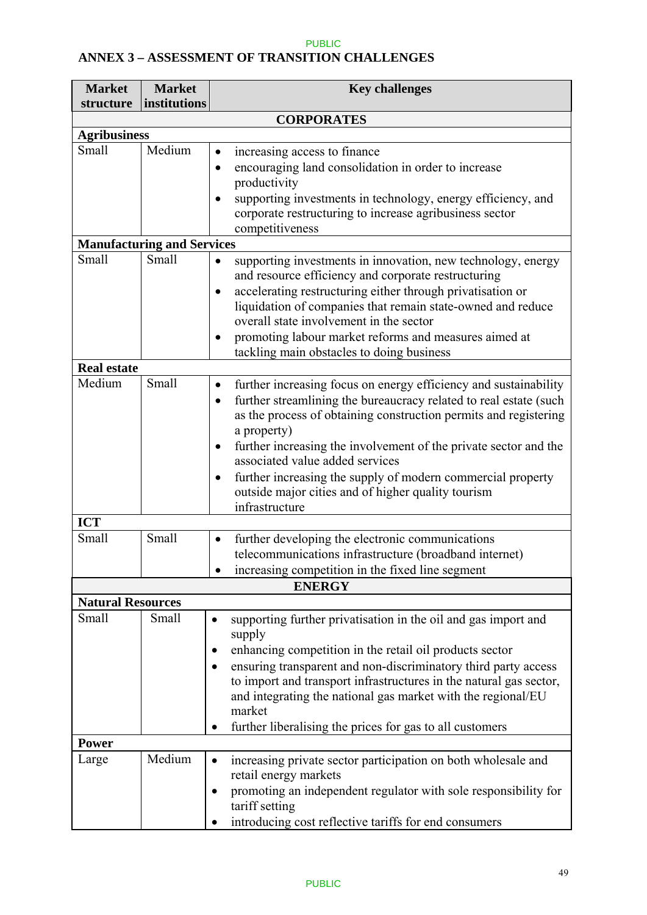# **ANNEX 3 – ASSESSMENT OF TRANSITION CHALLENGES**

| <b>Market</b>                | <b>Market</b>                     | <b>Key challenges</b>                                                                                                                                                                                                                                                                                                                                                                                                                                                                                                      |
|------------------------------|-----------------------------------|----------------------------------------------------------------------------------------------------------------------------------------------------------------------------------------------------------------------------------------------------------------------------------------------------------------------------------------------------------------------------------------------------------------------------------------------------------------------------------------------------------------------------|
| structure                    | institutions                      |                                                                                                                                                                                                                                                                                                                                                                                                                                                                                                                            |
|                              |                                   | <b>CORPORATES</b>                                                                                                                                                                                                                                                                                                                                                                                                                                                                                                          |
| <b>Agribusiness</b><br>Small | Medium                            |                                                                                                                                                                                                                                                                                                                                                                                                                                                                                                                            |
|                              |                                   | increasing access to finance<br>$\bullet$<br>encouraging land consolidation in order to increase<br>$\bullet$<br>productivity<br>supporting investments in technology, energy efficiency, and<br>corporate restructuring to increase agribusiness sector<br>competitiveness                                                                                                                                                                                                                                                |
|                              | <b>Manufacturing and Services</b> |                                                                                                                                                                                                                                                                                                                                                                                                                                                                                                                            |
| Small                        | Small                             | supporting investments in innovation, new technology, energy<br>and resource efficiency and corporate restructuring<br>accelerating restructuring either through privatisation or<br>$\bullet$<br>liquidation of companies that remain state-owned and reduce<br>overall state involvement in the sector<br>promoting labour market reforms and measures aimed at<br>$\bullet$<br>tackling main obstacles to doing business                                                                                                |
| <b>Real estate</b>           |                                   |                                                                                                                                                                                                                                                                                                                                                                                                                                                                                                                            |
| Medium                       | Small                             | further increasing focus on energy efficiency and sustainability<br>$\bullet$<br>further streamlining the bureaucracy related to real estate (such<br>$\bullet$<br>as the process of obtaining construction permits and registering<br>a property)<br>further increasing the involvement of the private sector and the<br>$\bullet$<br>associated value added services<br>further increasing the supply of modern commercial property<br>$\bullet$<br>outside major cities and of higher quality tourism<br>infrastructure |
| <b>ICT</b>                   |                                   |                                                                                                                                                                                                                                                                                                                                                                                                                                                                                                                            |
| Small                        | Small                             | further developing the electronic communications<br>$\bullet$<br>telecommunications infrastructure (broadband internet)<br>increasing competition in the fixed line segment<br><b>ENERGY</b>                                                                                                                                                                                                                                                                                                                               |
| <b>Natural Resources</b>     |                                   |                                                                                                                                                                                                                                                                                                                                                                                                                                                                                                                            |
| Small                        | Small                             | supporting further privatisation in the oil and gas import and<br>٠<br>supply<br>enhancing competition in the retail oil products sector<br>٠<br>ensuring transparent and non-discriminatory third party access<br>to import and transport infrastructures in the natural gas sector,<br>and integrating the national gas market with the regional/EU<br>market<br>further liberalising the prices for gas to all customers<br>٠                                                                                           |
| <b>Power</b>                 |                                   |                                                                                                                                                                                                                                                                                                                                                                                                                                                                                                                            |
| Large                        | Medium                            | increasing private sector participation on both wholesale and<br>$\bullet$<br>retail energy markets<br>promoting an independent regulator with sole responsibility for<br>٠<br>tariff setting<br>introducing cost reflective tariffs for end consumers                                                                                                                                                                                                                                                                     |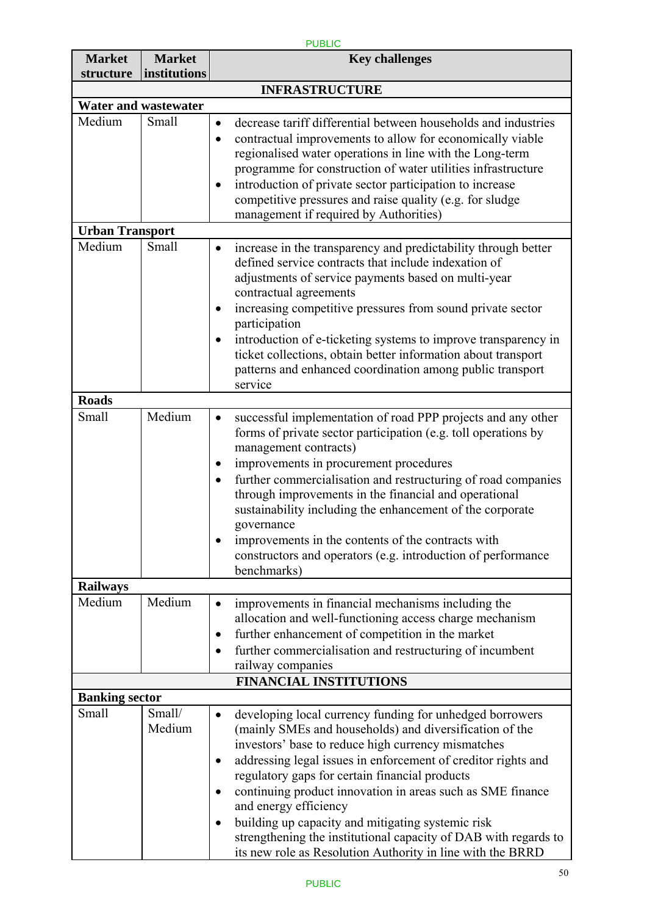| <b>PUBLIC</b>              |                               |                                                                                                                                                                                                                                                                                                                                                                                                                                                                                                                                                                                                     |  |  |
|----------------------------|-------------------------------|-----------------------------------------------------------------------------------------------------------------------------------------------------------------------------------------------------------------------------------------------------------------------------------------------------------------------------------------------------------------------------------------------------------------------------------------------------------------------------------------------------------------------------------------------------------------------------------------------------|--|--|
| <b>Market</b><br>structure | <b>Market</b><br>institutions | <b>Key challenges</b>                                                                                                                                                                                                                                                                                                                                                                                                                                                                                                                                                                               |  |  |
|                            |                               | <b>INFRASTRUCTURE</b>                                                                                                                                                                                                                                                                                                                                                                                                                                                                                                                                                                               |  |  |
|                            | <b>Water and wastewater</b>   |                                                                                                                                                                                                                                                                                                                                                                                                                                                                                                                                                                                                     |  |  |
| Medium                     | Small                         | decrease tariff differential between households and industries<br>$\bullet$<br>contractual improvements to allow for economically viable<br>$\bullet$<br>regionalised water operations in line with the Long-term<br>programme for construction of water utilities infrastructure                                                                                                                                                                                                                                                                                                                   |  |  |
|                            |                               | introduction of private sector participation to increase<br>competitive pressures and raise quality (e.g. for sludge<br>management if required by Authorities)                                                                                                                                                                                                                                                                                                                                                                                                                                      |  |  |
| <b>Urban Transport</b>     |                               |                                                                                                                                                                                                                                                                                                                                                                                                                                                                                                                                                                                                     |  |  |
| Medium                     | Small                         | increase in the transparency and predictability through better<br>defined service contracts that include indexation of<br>adjustments of service payments based on multi-year<br>contractual agreements<br>increasing competitive pressures from sound private sector<br>participation<br>introduction of e-ticketing systems to improve transparency in<br>ticket collections, obtain better information about transport<br>patterns and enhanced coordination among public transport<br>service                                                                                                   |  |  |
| <b>Roads</b>               |                               |                                                                                                                                                                                                                                                                                                                                                                                                                                                                                                                                                                                                     |  |  |
| Small                      | Medium                        | successful implementation of road PPP projects and any other<br>٠<br>forms of private sector participation (e.g. toll operations by<br>management contracts)<br>improvements in procurement procedures<br>further commercialisation and restructuring of road companies<br>through improvements in the financial and operational<br>sustainability including the enhancement of the corporate<br>governance<br>improvements in the contents of the contracts with<br>constructors and operators (e.g. introduction of performance<br>benchmarks)                                                    |  |  |
| <b>Railways</b>            |                               |                                                                                                                                                                                                                                                                                                                                                                                                                                                                                                                                                                                                     |  |  |
| Medium                     | Medium                        | improvements in financial mechanisms including the<br>allocation and well-functioning access charge mechanism<br>further enhancement of competition in the market<br>further commercialisation and restructuring of incumbent<br>railway companies                                                                                                                                                                                                                                                                                                                                                  |  |  |
|                            |                               | <b>FINANCIAL INSTITUTIONS</b>                                                                                                                                                                                                                                                                                                                                                                                                                                                                                                                                                                       |  |  |
| <b>Banking sector</b>      |                               |                                                                                                                                                                                                                                                                                                                                                                                                                                                                                                                                                                                                     |  |  |
| Small                      | Small/<br>Medium              | developing local currency funding for unhedged borrowers<br>(mainly SMEs and households) and diversification of the<br>investors' base to reduce high currency mismatches<br>addressing legal issues in enforcement of creditor rights and<br>$\bullet$<br>regulatory gaps for certain financial products<br>continuing product innovation in areas such as SME finance<br>and energy efficiency<br>building up capacity and mitigating systemic risk<br>$\bullet$<br>strengthening the institutional capacity of DAB with regards to<br>its new role as Resolution Authority in line with the BRRD |  |  |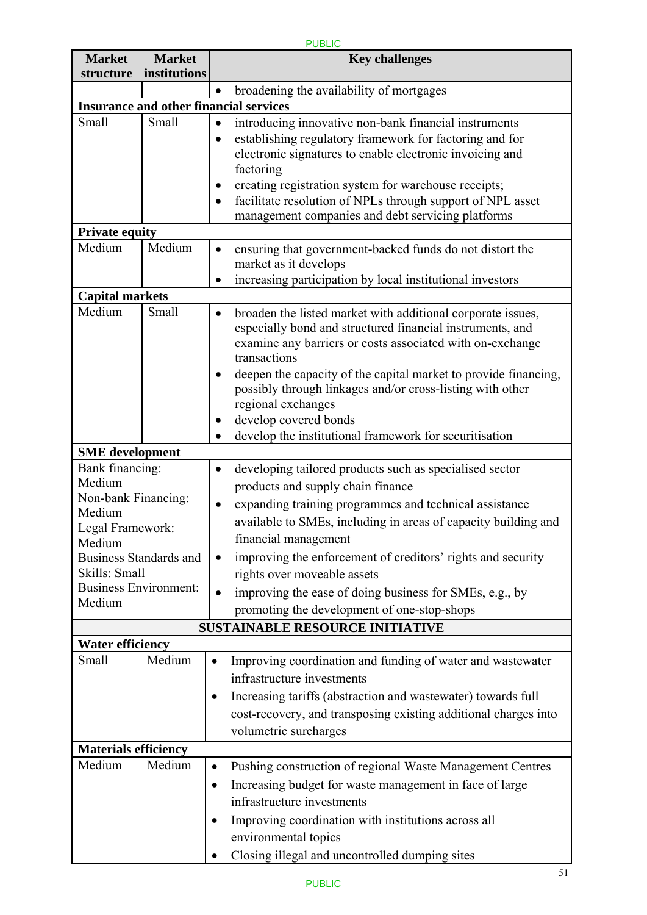| <b>Market</b><br>structure                | <b>Market</b><br>institutions | <b>Key challenges</b>                                                                                                                                                                                                                                                                                                                                                                                          |  |  |
|-------------------------------------------|-------------------------------|----------------------------------------------------------------------------------------------------------------------------------------------------------------------------------------------------------------------------------------------------------------------------------------------------------------------------------------------------------------------------------------------------------------|--|--|
|                                           |                               |                                                                                                                                                                                                                                                                                                                                                                                                                |  |  |
|                                           |                               | broadening the availability of mortgages<br>$\bullet$<br><b>Insurance and other financial services</b>                                                                                                                                                                                                                                                                                                         |  |  |
| Small                                     | Small                         |                                                                                                                                                                                                                                                                                                                                                                                                                |  |  |
|                                           |                               | introducing innovative non-bank financial instruments<br>$\bullet$<br>establishing regulatory framework for factoring and for<br>$\bullet$<br>electronic signatures to enable electronic invoicing and<br>factoring<br>creating registration system for warehouse receipts;<br>$\bullet$<br>facilitate resolution of NPLs through support of NPL asset<br>$\bullet$                                            |  |  |
|                                           |                               | management companies and debt servicing platforms                                                                                                                                                                                                                                                                                                                                                              |  |  |
| <b>Private equity</b>                     |                               |                                                                                                                                                                                                                                                                                                                                                                                                                |  |  |
| Medium                                    | Medium                        | ensuring that government-backed funds do not distort the<br>$\bullet$<br>market as it develops                                                                                                                                                                                                                                                                                                                 |  |  |
|                                           |                               | increasing participation by local institutional investors                                                                                                                                                                                                                                                                                                                                                      |  |  |
| <b>Capital markets</b><br>Medium          | Small                         |                                                                                                                                                                                                                                                                                                                                                                                                                |  |  |
|                                           |                               | broaden the listed market with additional corporate issues,<br>$\bullet$<br>especially bond and structured financial instruments, and<br>examine any barriers or costs associated with on-exchange<br>transactions<br>deepen the capacity of the capital market to provide financing,<br>$\bullet$<br>possibly through linkages and/or cross-listing with other<br>regional exchanges<br>develop covered bonds |  |  |
|                                           |                               | develop the institutional framework for securitisation                                                                                                                                                                                                                                                                                                                                                         |  |  |
| <b>SME</b> development<br>Bank financing: |                               |                                                                                                                                                                                                                                                                                                                                                                                                                |  |  |
| Medium                                    |                               | developing tailored products such as specialised sector<br>$\bullet$                                                                                                                                                                                                                                                                                                                                           |  |  |
| Non-bank Financing:                       |                               | products and supply chain finance                                                                                                                                                                                                                                                                                                                                                                              |  |  |
| Medium<br>Legal Framework:<br>Medium      |                               | expanding training programmes and technical assistance<br>available to SMEs, including in areas of capacity building and<br>financial management                                                                                                                                                                                                                                                               |  |  |
| <b>Business Standards and</b>             |                               | improving the enforcement of creditors' rights and security<br>٠                                                                                                                                                                                                                                                                                                                                               |  |  |
| Skills: Small                             |                               | rights over moveable assets                                                                                                                                                                                                                                                                                                                                                                                    |  |  |
| <b>Business Environment:</b><br>Medium    |                               | improving the ease of doing business for SMEs, e.g., by<br>$\bullet$<br>promoting the development of one-stop-shops                                                                                                                                                                                                                                                                                            |  |  |
|                                           |                               | <b>SUSTAINABLE RESOURCE INITIATIVE</b>                                                                                                                                                                                                                                                                                                                                                                         |  |  |
| <b>Water efficiency</b>                   |                               |                                                                                                                                                                                                                                                                                                                                                                                                                |  |  |
| Small                                     | Medium                        | Improving coordination and funding of water and wastewater<br>infrastructure investments<br>Increasing tariffs (abstraction and wastewater) towards full<br>٠<br>cost-recovery, and transposing existing additional charges into<br>volumetric surcharges                                                                                                                                                      |  |  |
| <b>Materials efficiency</b>               |                               |                                                                                                                                                                                                                                                                                                                                                                                                                |  |  |
| Medium                                    | Medium                        | Pushing construction of regional Waste Management Centres<br>Increasing budget for waste management in face of large<br>$\bullet$<br>infrastructure investments<br>Improving coordination with institutions across all                                                                                                                                                                                         |  |  |
|                                           |                               | environmental topics<br>Closing illegal and uncontrolled dumping sites                                                                                                                                                                                                                                                                                                                                         |  |  |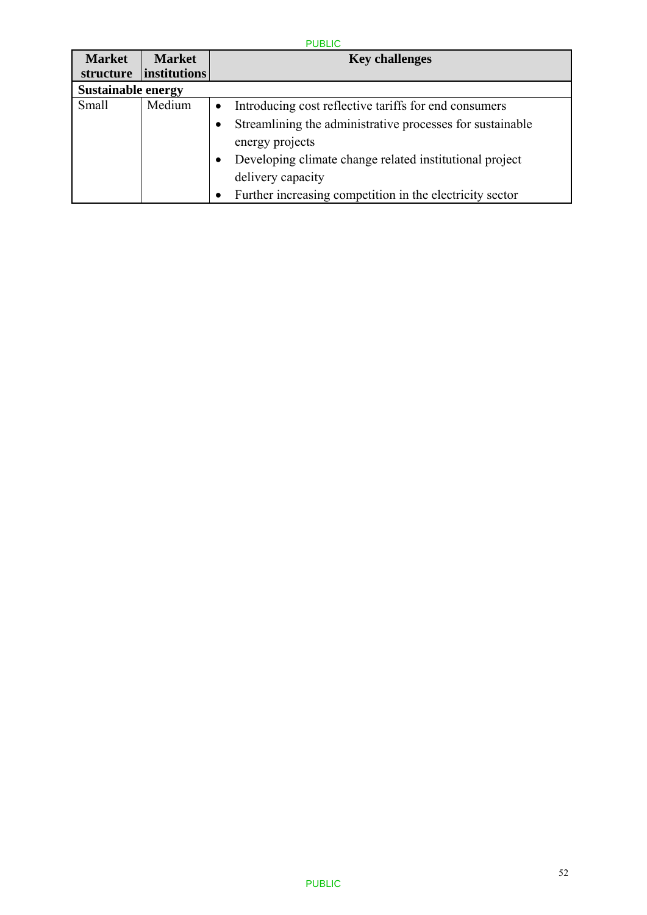| <b>Market</b>             | <b>Market</b>       |           | <b>Key challenges</b>                                     |
|---------------------------|---------------------|-----------|-----------------------------------------------------------|
| structure                 | <i>institutions</i> |           |                                                           |
| <b>Sustainable energy</b> |                     |           |                                                           |
| Small                     | Medium              | $\bullet$ | Introducing cost reflective tariffs for end consumers     |
|                           |                     | $\bullet$ | Streamlining the administrative processes for sustainable |
|                           |                     |           | energy projects                                           |
|                           |                     | $\bullet$ | Developing climate change related institutional project   |
|                           |                     |           | delivery capacity                                         |
|                           |                     |           | Further increasing competition in the electricity sector  |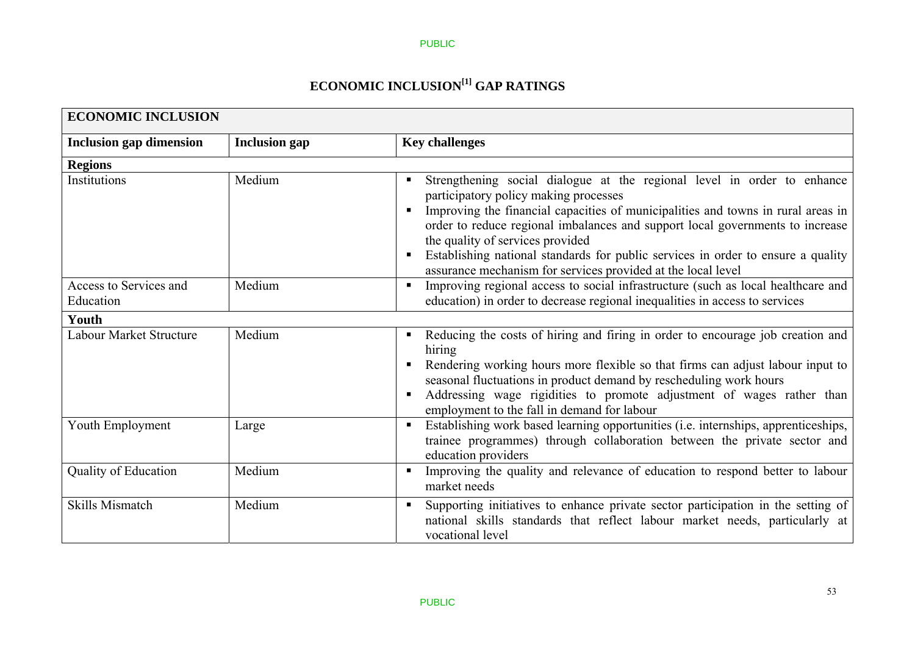# **ECONOMIC INCLUSION[1] GAP RATINGS**

| <b>ECONOMIC INCLUSION</b>           |                      |                                                                                                                                                                                                                                                                                                                                                                                                                                                                                                 |  |  |  |
|-------------------------------------|----------------------|-------------------------------------------------------------------------------------------------------------------------------------------------------------------------------------------------------------------------------------------------------------------------------------------------------------------------------------------------------------------------------------------------------------------------------------------------------------------------------------------------|--|--|--|
| <b>Inclusion gap dimension</b>      | <b>Inclusion</b> gap | <b>Key challenges</b>                                                                                                                                                                                                                                                                                                                                                                                                                                                                           |  |  |  |
| <b>Regions</b>                      |                      |                                                                                                                                                                                                                                                                                                                                                                                                                                                                                                 |  |  |  |
| Institutions                        | Medium               | Strengthening social dialogue at the regional level in order to enhance<br>participatory policy making processes<br>Improving the financial capacities of municipalities and towns in rural areas in<br>$\blacksquare$<br>order to reduce regional imbalances and support local governments to increase<br>the quality of services provided<br>Establishing national standards for public services in order to ensure a quality<br>assurance mechanism for services provided at the local level |  |  |  |
| Access to Services and<br>Education | Medium               | Improving regional access to social infrastructure (such as local healthcare and<br>$\blacksquare$<br>education) in order to decrease regional inequalities in access to services                                                                                                                                                                                                                                                                                                               |  |  |  |
| Youth                               |                      |                                                                                                                                                                                                                                                                                                                                                                                                                                                                                                 |  |  |  |
| Labour Market Structure             | Medium               | Reducing the costs of hiring and firing in order to encourage job creation and<br>hiring<br>Rendering working hours more flexible so that firms can adjust labour input to<br>seasonal fluctuations in product demand by rescheduling work hours<br>Addressing wage rigidities to promote adjustment of wages rather than<br>п<br>employment to the fall in demand for labour                                                                                                                   |  |  |  |
| Youth Employment                    | Large                | Establishing work based learning opportunities (i.e. internships, apprenticeships,<br>٠<br>trainee programmes) through collaboration between the private sector and<br>education providers                                                                                                                                                                                                                                                                                                      |  |  |  |
| <b>Quality of Education</b>         | Medium               | Improving the quality and relevance of education to respond better to labour<br>market needs                                                                                                                                                                                                                                                                                                                                                                                                    |  |  |  |
| <b>Skills Mismatch</b>              | Medium               | Supporting initiatives to enhance private sector participation in the setting of<br>national skills standards that reflect labour market needs, particularly at<br>vocational level                                                                                                                                                                                                                                                                                                             |  |  |  |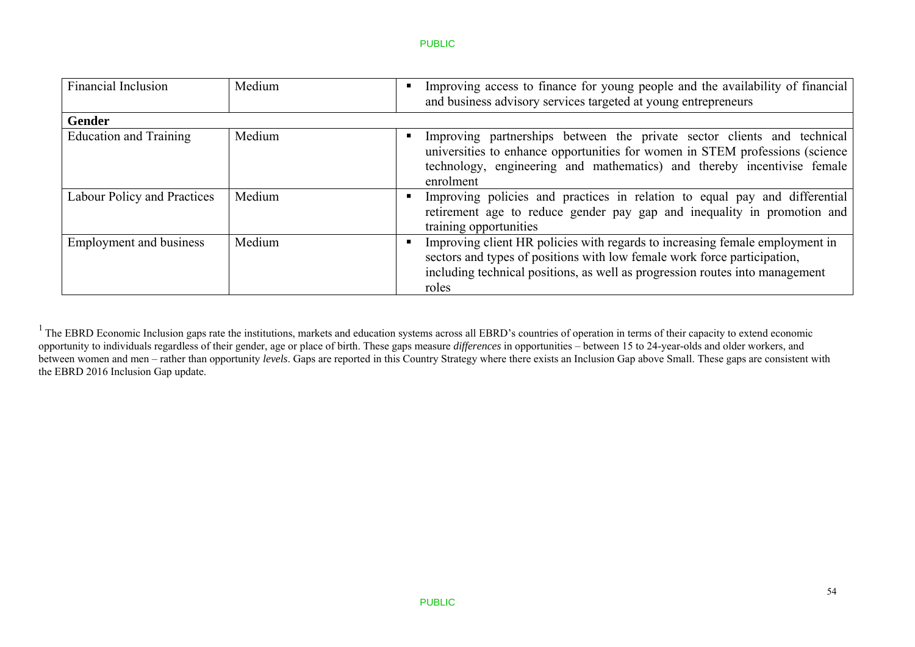| <b>Financial Inclusion</b>     | Medium | Improving access to finance for young people and the availability of financial<br>and business advisory services targeted at young entrepreneurs                                                                                                  |
|--------------------------------|--------|---------------------------------------------------------------------------------------------------------------------------------------------------------------------------------------------------------------------------------------------------|
| <b>Gender</b>                  |        |                                                                                                                                                                                                                                                   |
| <b>Education and Training</b>  | Medium | Improving partnerships between the private sector clients and technical<br>universities to enhance opportunities for women in STEM professions (science)<br>technology, engineering and mathematics) and thereby incentivise female<br>enrolment  |
| Labour Policy and Practices    | Medium | Improving policies and practices in relation to equal pay and differential<br>retirement age to reduce gender pay gap and inequality in promotion and<br>training opportunities                                                                   |
| <b>Employment and business</b> | Medium | Improving client HR policies with regards to increasing female employment in<br>sectors and types of positions with low female work force participation,<br>including technical positions, as well as progression routes into management<br>roles |

 $1$  The EBRD Economic Inclusion gaps rate the institutions, markets and education systems across all EBRD's countries of operation in terms of their capacity to extend economic opportunity to individuals regardless of their gender, age or place of birth. These gaps measure *differences* in opportunities – between 15 to 24-year-olds and older workers, and between women and men – rather than opportunity *levels*. Gaps are reported in this Country Strategy where there exists an Inclusion Gap above Small. These gaps are consistent with the EBRD 2016 Inclusion Gap update.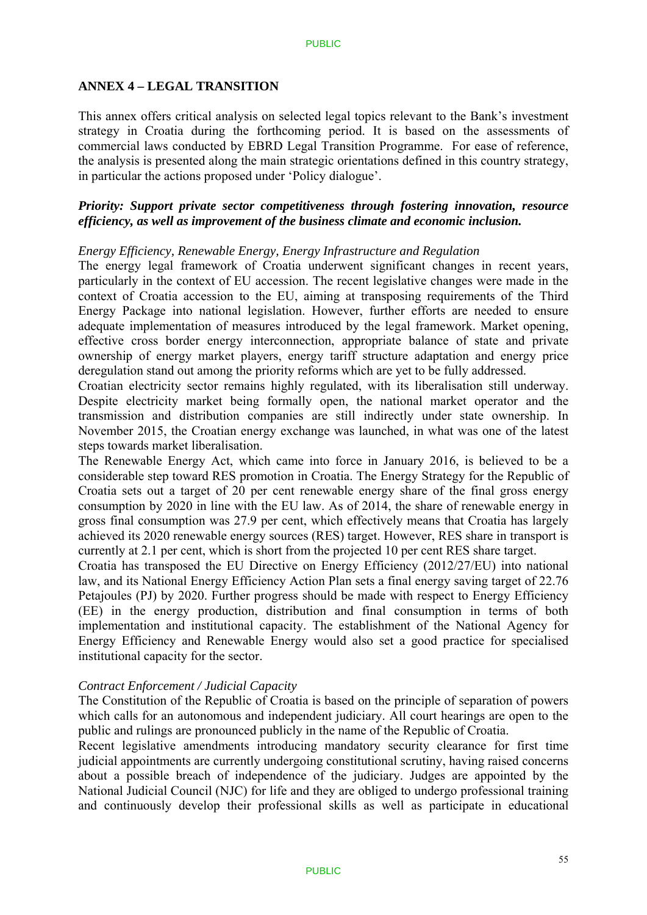### **ANNEX 4 – LEGAL TRANSITION**

This annex offers critical analysis on selected legal topics relevant to the Bank's investment strategy in Croatia during the forthcoming period. It is based on the assessments of commercial laws conducted by EBRD Legal Transition Programme. For ease of reference, the analysis is presented along the main strategic orientations defined in this country strategy, in particular the actions proposed under 'Policy dialogue'.

### *Priority: Support private sector competitiveness through fostering innovation, resource efficiency, as well as improvement of the business climate and economic inclusion.*

### *Energy Efficiency, Renewable Energy, Energy Infrastructure and Regulation*

The energy legal framework of Croatia underwent significant changes in recent years, particularly in the context of EU accession. The recent legislative changes were made in the context of Croatia accession to the EU, aiming at transposing requirements of the Third Energy Package into national legislation. However, further efforts are needed to ensure adequate implementation of measures introduced by the legal framework. Market opening, effective cross border energy interconnection, appropriate balance of state and private ownership of energy market players, energy tariff structure adaptation and energy price deregulation stand out among the priority reforms which are yet to be fully addressed.

Croatian electricity sector remains highly regulated, with its liberalisation still underway. Despite electricity market being formally open, the national market operator and the transmission and distribution companies are still indirectly under state ownership. In November 2015, the Croatian energy exchange was launched, in what was one of the latest steps towards market liberalisation.

The Renewable Energy Act, which came into force in January 2016, is believed to be a considerable step toward RES promotion in Croatia. The Energy Strategy for the Republic of Croatia sets out a target of 20 per cent renewable energy share of the final gross energy consumption by 2020 in line with the EU law. As of 2014, the share of renewable energy in gross final consumption was 27.9 per cent, which effectively means that Croatia has largely achieved its 2020 renewable energy sources (RES) target. However, RES share in transport is currently at 2.1 per cent, which is short from the projected 10 per cent RES share target.

Croatia has transposed the EU Directive on Energy Efficiency (2012/27/EU) into national law, and its National Energy Efficiency Action Plan sets a final energy saving target of 22.76 Petajoules (PJ) by 2020. Further progress should be made with respect to Energy Efficiency (EE) in the energy production, distribution and final consumption in terms of both implementation and institutional capacity. The establishment of the National Agency for Energy Efficiency and Renewable Energy would also set a good practice for specialised institutional capacity for the sector.

### *Contract Enforcement / Judicial Capacity*

The Constitution of the Republic of Croatia is based on the principle of separation of powers which calls for an autonomous and independent judiciary. All court hearings are open to the public and rulings are pronounced publicly in the name of the Republic of Croatia.

Recent legislative amendments introducing mandatory security clearance for first time judicial appointments are currently undergoing constitutional scrutiny, having raised concerns about a possible breach of independence of the judiciary. Judges are appointed by the National Judicial Council (NJC) for life and they are obliged to undergo professional training and continuously develop their professional skills as well as participate in educational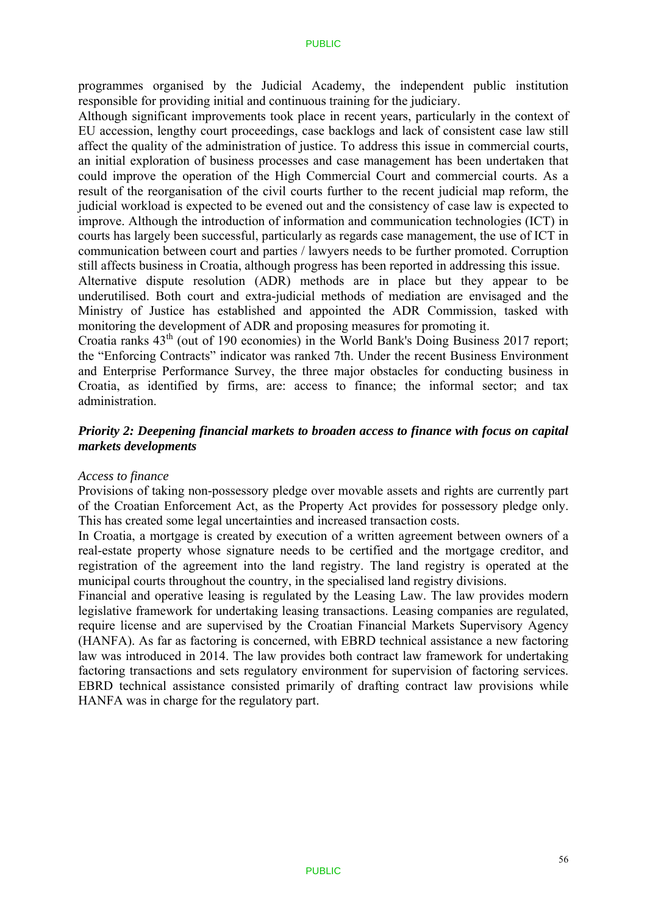programmes organised by the Judicial Academy, the independent public institution responsible for providing initial and continuous training for the judiciary.

Although significant improvements took place in recent years, particularly in the context of EU accession, lengthy court proceedings, case backlogs and lack of consistent case law still affect the quality of the administration of justice. To address this issue in commercial courts, an initial exploration of business processes and case management has been undertaken that could improve the operation of the High Commercial Court and commercial courts. As a result of the reorganisation of the civil courts further to the recent judicial map reform, the judicial workload is expected to be evened out and the consistency of case law is expected to improve. Although the introduction of information and communication technologies (ICT) in courts has largely been successful, particularly as regards case management, the use of ICT in communication between court and parties / lawyers needs to be further promoted. Corruption still affects business in Croatia, although progress has been reported in addressing this issue.

Alternative dispute resolution (ADR) methods are in place but they appear to be underutilised. Both court and extra-judicial methods of mediation are envisaged and the Ministry of Justice has established and appointed the ADR Commission, tasked with monitoring the development of ADR and proposing measures for promoting it.

Croatia ranks 43th (out of 190 economies) in the World Bank's Doing Business 2017 report; the "Enforcing Contracts" indicator was ranked 7th. Under the recent Business Environment and Enterprise Performance Survey, the three major obstacles for conducting business in Croatia, as identified by firms, are: access to finance; the informal sector; and tax administration.

### *Priority 2: Deepening financial markets to broaden access to finance with focus on capital markets developments*

### *Access to finance*

Provisions of taking non-possessory pledge over movable assets and rights are currently part of the Croatian Enforcement Act, as the Property Act provides for possessory pledge only. This has created some legal uncertainties and increased transaction costs.

In Croatia, a mortgage is created by execution of a written agreement between owners of a real-estate property whose signature needs to be certified and the mortgage creditor, and registration of the agreement into the land registry. The land registry is operated at the municipal courts throughout the country, in the specialised land registry divisions.

Financial and operative leasing is regulated by the Leasing Law. The law provides modern legislative framework for undertaking leasing transactions. Leasing companies are regulated, require license and are supervised by the Croatian Financial Markets Supervisory Agency (HANFA). As far as factoring is concerned, with EBRD technical assistance a new factoring law was introduced in 2014. The law provides both contract law framework for undertaking factoring transactions and sets regulatory environment for supervision of factoring services. EBRD technical assistance consisted primarily of drafting contract law provisions while HANFA was in charge for the regulatory part.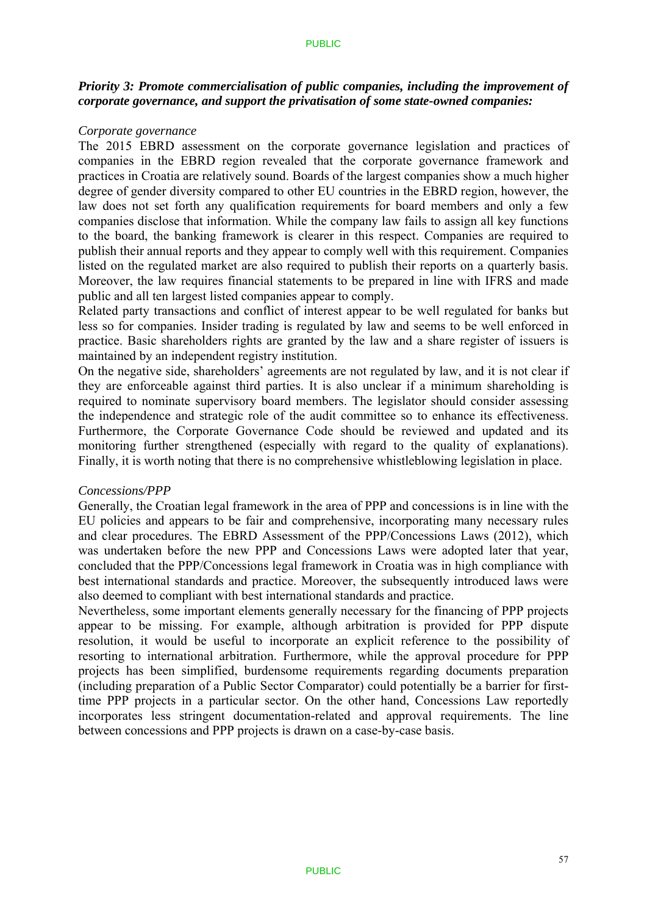### *Priority 3: Promote commercialisation of public companies, including the improvement of corporate governance, and support the privatisation of some state-owned companies:*

#### *Corporate governance*

The 2015 EBRD assessment on the corporate governance legislation and practices of companies in the EBRD region revealed that the corporate governance framework and practices in Croatia are relatively sound. Boards of the largest companies show a much higher degree of gender diversity compared to other EU countries in the EBRD region, however, the law does not set forth any qualification requirements for board members and only a few companies disclose that information. While the company law fails to assign all key functions to the board, the banking framework is clearer in this respect. Companies are required to publish their annual reports and they appear to comply well with this requirement. Companies listed on the regulated market are also required to publish their reports on a quarterly basis. Moreover, the law requires financial statements to be prepared in line with IFRS and made public and all ten largest listed companies appear to comply.

Related party transactions and conflict of interest appear to be well regulated for banks but less so for companies. Insider trading is regulated by law and seems to be well enforced in practice. Basic shareholders rights are granted by the law and a share register of issuers is maintained by an independent registry institution.

On the negative side, shareholders' agreements are not regulated by law, and it is not clear if they are enforceable against third parties. It is also unclear if a minimum shareholding is required to nominate supervisory board members. The legislator should consider assessing the independence and strategic role of the audit committee so to enhance its effectiveness. Furthermore, the Corporate Governance Code should be reviewed and updated and its monitoring further strengthened (especially with regard to the quality of explanations). Finally, it is worth noting that there is no comprehensive whistleblowing legislation in place.

#### *Concessions/PPP*

Generally, the Croatian legal framework in the area of PPP and concessions is in line with the EU policies and appears to be fair and comprehensive, incorporating many necessary rules and clear procedures. The EBRD Assessment of the PPP/Concessions Laws (2012), which was undertaken before the new PPP and Concessions Laws were adopted later that year, concluded that the PPP/Concessions legal framework in Croatia was in high compliance with best international standards and practice. Moreover, the subsequently introduced laws were also deemed to compliant with best international standards and practice.

Nevertheless, some important elements generally necessary for the financing of PPP projects appear to be missing. For example, although arbitration is provided for PPP dispute resolution, it would be useful to incorporate an explicit reference to the possibility of resorting to international arbitration. Furthermore, while the approval procedure for PPP projects has been simplified, burdensome requirements regarding documents preparation (including preparation of a Public Sector Comparator) could potentially be a barrier for firsttime PPP projects in a particular sector. On the other hand, Concessions Law reportedly incorporates less stringent documentation-related and approval requirements. The line between concessions and PPP projects is drawn on a case-by-case basis.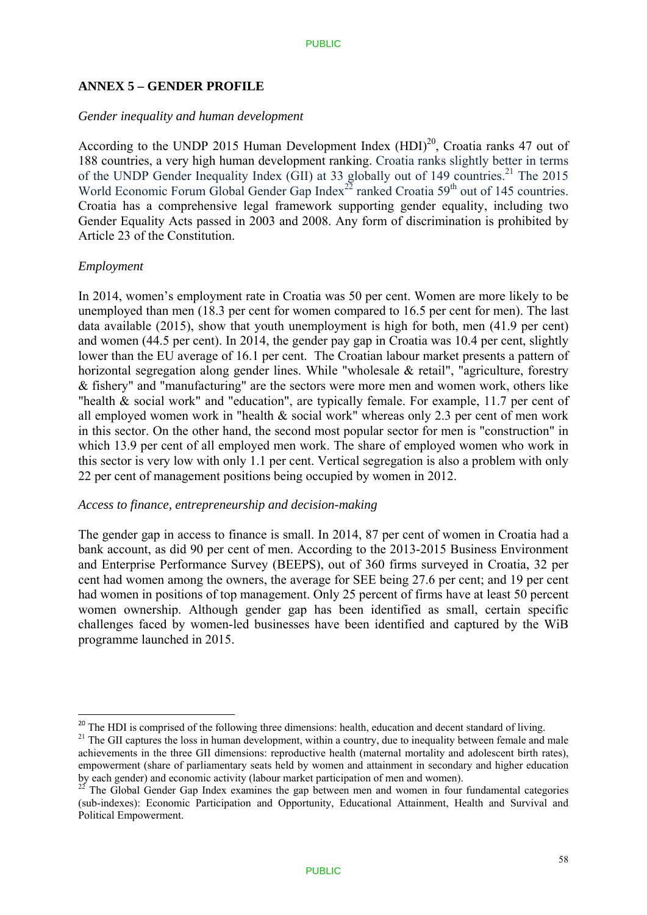### **ANNEX 5 – GENDER PROFILE**

#### *Gender inequality and human development*

According to the UNDP 2015 Human Development Index  $(HDI)^{20}$ , Croatia ranks 47 out of 188 countries, a very high human development ranking. Croatia ranks slightly better in terms of the UNDP Gender Inequality Index (GII) at 33 globally out of 149 countries.<sup>21</sup> The 2015 World Economic Forum Global Gender Gap Index<sup>22</sup> ranked Croatia  $59<sup>th</sup>$  out of 145 countries. Croatia has a comprehensive legal framework supporting gender equality, including two Gender Equality Acts passed in 2003 and 2008. Any form of discrimination is prohibited by Article 23 of the Constitution.

### *Employment*

1

In 2014, women's employment rate in Croatia was 50 per cent. Women are more likely to be unemployed than men (18.3 per cent for women compared to 16.5 per cent for men). The last data available (2015), show that youth unemployment is high for both, men (41.9 per cent) and women (44.5 per cent). In 2014, the gender pay gap in Croatia was 10.4 per cent, slightly lower than the EU average of 16.1 per cent. The Croatian labour market presents a pattern of horizontal segregation along gender lines. While "wholesale & retail", "agriculture, forestry & fishery" and "manufacturing" are the sectors were more men and women work, others like "health & social work" and "education", are typically female. For example, 11.7 per cent of all employed women work in "health & social work" whereas only 2.3 per cent of men work in this sector. On the other hand, the second most popular sector for men is "construction" in which 13.9 per cent of all employed men work. The share of employed women who work in this sector is very low with only 1.1 per cent. Vertical segregation is also a problem with only 22 per cent of management positions being occupied by women in 2012.

#### *Access to finance, entrepreneurship and decision-making*

The gender gap in access to finance is small. In 2014, 87 per cent of women in Croatia had a bank account, as did 90 per cent of men. According to the 2013-2015 Business Environment and Enterprise Performance Survey (BEEPS), out of 360 firms surveyed in Croatia, 32 per cent had women among the owners, the average for SEE being 27.6 per cent; and 19 per cent had women in positions of top management. Only 25 percent of firms have at least 50 percent women ownership. Although gender gap has been identified as small, certain specific challenges faced by women-led businesses have been identified and captured by the WiB programme launched in 2015.

<sup>&</sup>lt;sup>20</sup> The HDI is comprised of the following three dimensions: health, education and decent standard of living.

<sup>&</sup>lt;sup>21</sup> The GII captures the loss in human development, within a country, due to inequality between female and male achievements in the three GII dimensions: reproductive health (maternal mortality and adolescent birth rates), empowerment (share of parliamentary seats held by women and attainment in secondary and higher education by each gender) and economic activity (labour market participation of men and women).<br><sup>22</sup> The Global Gender Gap Index examines the gap between men and women in four fundamental categories

<sup>(</sup>sub-indexes): Economic Participation and Opportunity, Educational Attainment, Health and Survival and Political Empowerment.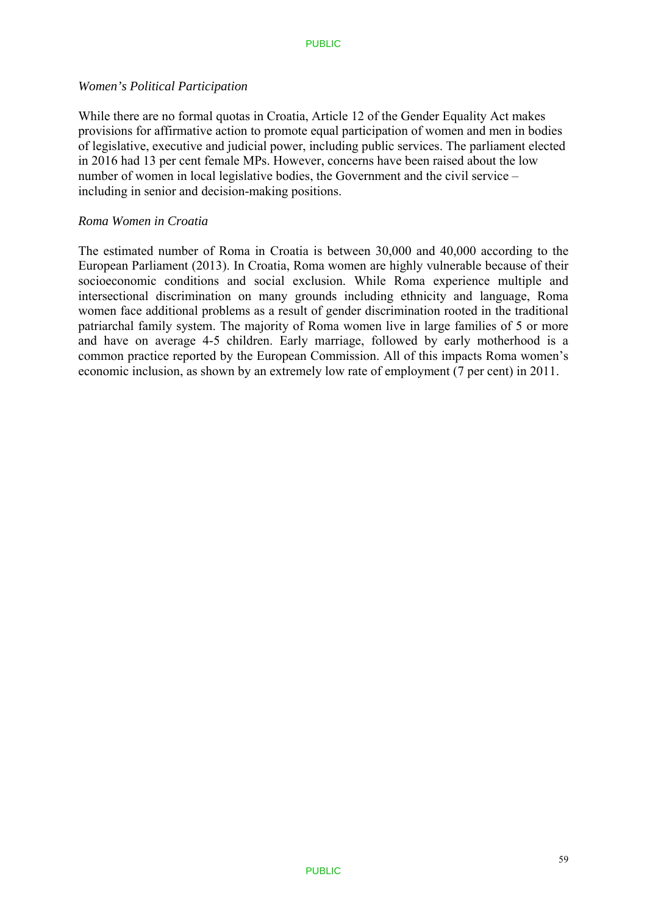#### *Women's Political Participation*

While there are no formal quotas in Croatia, Article 12 of the Gender Equality Act makes provisions for affirmative action to promote equal participation of women and men in bodies of legislative, executive and judicial power, including public services. The parliament elected in 2016 had 13 per cent female MPs. However, concerns have been raised about the low number of women in local legislative bodies, the Government and the civil service – including in senior and decision-making positions.

### *Roma Women in Croatia*

The estimated number of Roma in Croatia is between 30,000 and 40,000 according to the European Parliament (2013). In Croatia, Roma women are highly vulnerable because of their socioeconomic conditions and social exclusion. While Roma experience multiple and intersectional discrimination on many grounds including ethnicity and language, Roma women face additional problems as a result of gender discrimination rooted in the traditional patriarchal family system. The majority of Roma women live in large families of 5 or more and have on average 4-5 children. Early marriage, followed by early motherhood is a common practice reported by the European Commission. All of this impacts Roma women's economic inclusion, as shown by an extremely low rate of employment (7 per cent) in 2011.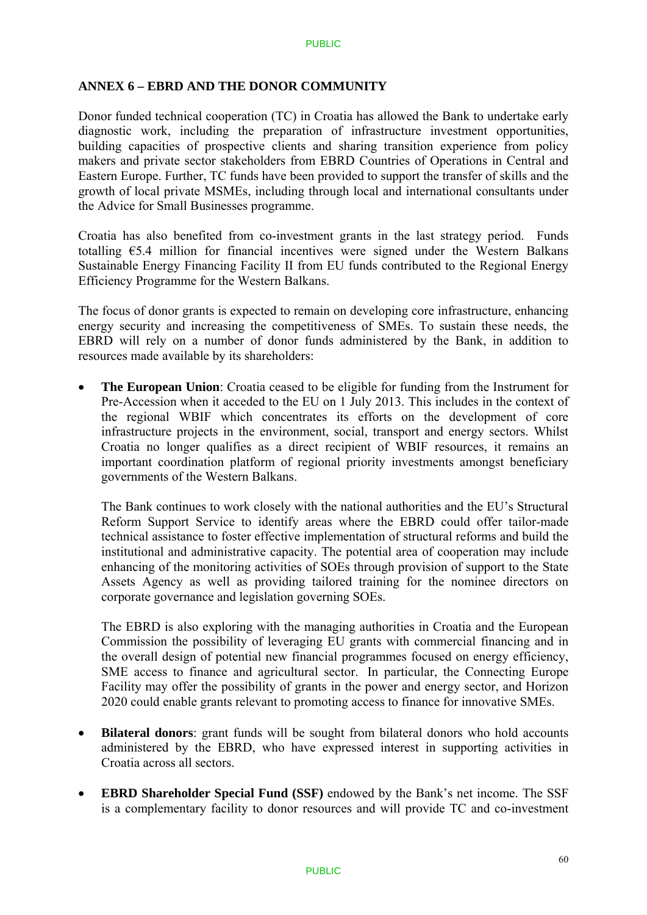### **ANNEX 6 – EBRD AND THE DONOR COMMUNITY**

Donor funded technical cooperation (TC) in Croatia has allowed the Bank to undertake early diagnostic work, including the preparation of infrastructure investment opportunities, building capacities of prospective clients and sharing transition experience from policy makers and private sector stakeholders from EBRD Countries of Operations in Central and Eastern Europe. Further, TC funds have been provided to support the transfer of skills and the growth of local private MSMEs, including through local and international consultants under the Advice for Small Businesses programme.

Croatia has also benefited from co-investment grants in the last strategy period. Funds totalling  $65.4$  million for financial incentives were signed under the Western Balkans Sustainable Energy Financing Facility II from EU funds contributed to the Regional Energy Efficiency Programme for the Western Balkans.

The focus of donor grants is expected to remain on developing core infrastructure, enhancing energy security and increasing the competitiveness of SMEs. To sustain these needs, the EBRD will rely on a number of donor funds administered by the Bank, in addition to resources made available by its shareholders:

 **The European Union**: Croatia ceased to be eligible for funding from the Instrument for Pre-Accession when it acceded to the EU on 1 July 2013. This includes in the context of the regional WBIF which concentrates its efforts on the development of core infrastructure projects in the environment, social, transport and energy sectors. Whilst Croatia no longer qualifies as a direct recipient of WBIF resources, it remains an important coordination platform of regional priority investments amongst beneficiary governments of the Western Balkans.

The Bank continues to work closely with the national authorities and the EU's Structural Reform Support Service to identify areas where the EBRD could offer tailor-made technical assistance to foster effective implementation of structural reforms and build the institutional and administrative capacity. The potential area of cooperation may include enhancing of the monitoring activities of SOEs through provision of support to the State Assets Agency as well as providing tailored training for the nominee directors on corporate governance and legislation governing SOEs.

The EBRD is also exploring with the managing authorities in Croatia and the European Commission the possibility of leveraging EU grants with commercial financing and in the overall design of potential new financial programmes focused on energy efficiency, SME access to finance and agricultural sector. In particular, the Connecting Europe Facility may offer the possibility of grants in the power and energy sector, and Horizon 2020 could enable grants relevant to promoting access to finance for innovative SMEs.

- **Bilateral donors**: grant funds will be sought from bilateral donors who hold accounts administered by the EBRD, who have expressed interest in supporting activities in Croatia across all sectors.
- **EBRD Shareholder Special Fund (SSF)** endowed by the Bank's net income. The SSF is a complementary facility to donor resources and will provide TC and co-investment